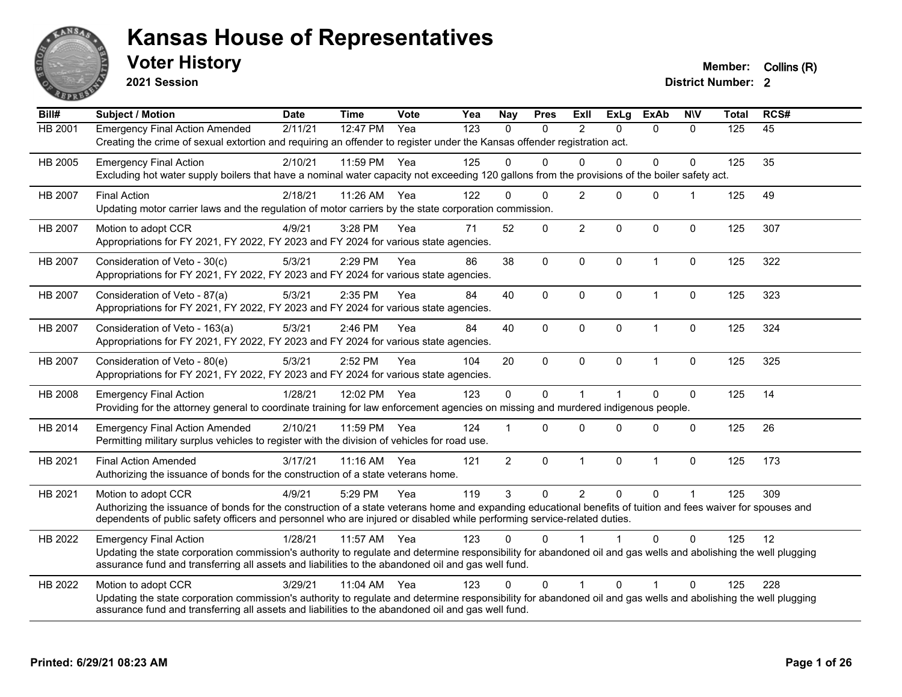

**2021 Session**

**Voter History Member:** Collins (R)

| Bill#          | Subject / Motion                                                                                                                                                                                                                                                      | <b>Date</b> | <b>Time</b> | <b>Vote</b> | Yea | <b>Nay</b>     | <b>Pres</b> | ExII                    | <b>ExLg</b>  | <b>ExAb</b>  | <b>N\V</b>     | <b>Total</b> | RCS# |
|----------------|-----------------------------------------------------------------------------------------------------------------------------------------------------------------------------------------------------------------------------------------------------------------------|-------------|-------------|-------------|-----|----------------|-------------|-------------------------|--------------|--------------|----------------|--------------|------|
| HB 2001        | <b>Emergency Final Action Amended</b>                                                                                                                                                                                                                                 | 2/11/21     | 12:47 PM    | Yea         | 123 | $\Omega$       | $\Omega$    | 2                       | $\Omega$     | $\mathbf{0}$ | $\Omega$       | 125          | 45   |
|                | Creating the crime of sexual extortion and requiring an offender to register under the Kansas offender registration act.                                                                                                                                              |             |             |             |     |                |             |                         |              |              |                |              |      |
| HB 2005        | <b>Emergency Final Action</b>                                                                                                                                                                                                                                         | 2/10/21     | 11:59 PM    | Yea         | 125 | 0              | $\Omega$    | 0                       | $\Omega$     | 0            | $\Omega$       | 125          | 35   |
|                | Excluding hot water supply boilers that have a nominal water capacity not exceeding 120 gallons from the provisions of the boiler safety act.                                                                                                                         |             |             |             |     |                |             |                         |              |              |                |              |      |
| HB 2007        | <b>Final Action</b>                                                                                                                                                                                                                                                   | 2/18/21     | 11:26 AM    | Yea         | 122 | 0              | $\Omega$    | $\overline{2}$          | $\Omega$     | 0            | $\overline{1}$ | 125          | 49   |
|                | Updating motor carrier laws and the regulation of motor carriers by the state corporation commission.                                                                                                                                                                 |             |             |             |     |                |             |                         |              |              |                |              |      |
| <b>HB 2007</b> | Motion to adopt CCR                                                                                                                                                                                                                                                   | 4/9/21      | 3:28 PM     | Yea         | 71  | 52             | $\mathbf 0$ | $\overline{2}$          | $\Omega$     | 0            | $\Omega$       | 125          | 307  |
|                | Appropriations for FY 2021, FY 2022, FY 2023 and FY 2024 for various state agencies.                                                                                                                                                                                  |             |             |             |     |                |             |                         |              |              |                |              |      |
| HB 2007        | Consideration of Veto - 30(c)                                                                                                                                                                                                                                         | 5/3/21      | 2:29 PM     | Yea         | 86  | 38             | $\mathbf 0$ | $\pmb{0}$               | $\mathbf 0$  | $\mathbf{1}$ | $\mathbf 0$    | 125          | 322  |
|                | Appropriations for FY 2021, FY 2022, FY 2023 and FY 2024 for various state agencies.                                                                                                                                                                                  |             |             |             |     |                |             |                         |              |              |                |              |      |
| <b>HB 2007</b> | Consideration of Veto - 87(a)                                                                                                                                                                                                                                         | 5/3/21      | 2:35 PM     | Yea         | 84  | 40             | $\Omega$    | $\Omega$                | $\Omega$     | $\mathbf{1}$ | $\mathbf 0$    | 125          | 323  |
|                | Appropriations for FY 2021, FY 2022, FY 2023 and FY 2024 for various state agencies.                                                                                                                                                                                  |             |             |             |     |                |             |                         |              |              |                |              |      |
| HB 2007        | Consideration of Veto - 163(a)                                                                                                                                                                                                                                        | 5/3/21      | 2:46 PM     | Yea         | 84  | 40             | 0           | $\mathbf 0$             | $\mathbf{0}$ | $\mathbf{1}$ | $\mathbf 0$    | 125          | 324  |
|                | Appropriations for FY 2021, FY 2022, FY 2023 and FY 2024 for various state agencies.                                                                                                                                                                                  |             |             |             |     |                |             |                         |              |              |                |              |      |
| HB 2007        | Consideration of Veto - 80(e)                                                                                                                                                                                                                                         | 5/3/21      | 2:52 PM     | Yea         | 104 | 20             | $\mathbf 0$ | $\pmb{0}$               | 0            | $\mathbf{1}$ | $\pmb{0}$      | 125          | 325  |
|                | Appropriations for FY 2021, FY 2022, FY 2023 and FY 2024 for various state agencies.                                                                                                                                                                                  |             |             |             |     |                |             |                         |              |              |                |              |      |
| HB 2008        | <b>Emergency Final Action</b>                                                                                                                                                                                                                                         | 1/28/21     | 12:02 PM    | Yea         | 123 | $\Omega$       | $\Omega$    | $\overline{\mathbf{1}}$ |              | $\Omega$     | $\mathbf 0$    | 125          | 14   |
|                | Providing for the attorney general to coordinate training for law enforcement agencies on missing and murdered indigenous people.                                                                                                                                     |             |             |             |     |                |             |                         |              |              |                |              |      |
| HB 2014        | <b>Emergency Final Action Amended</b>                                                                                                                                                                                                                                 | 2/10/21     | 11:59 PM    | Yea         | 124 |                | $\Omega$    | $\Omega$                | $\Omega$     | $\Omega$     | $\Omega$       | 125          | 26   |
|                | Permitting military surplus vehicles to register with the division of vehicles for road use.                                                                                                                                                                          |             |             |             |     |                |             |                         |              |              |                |              |      |
| HB 2021        | <b>Final Action Amended</b>                                                                                                                                                                                                                                           | 3/17/21     | 11:16 AM    | Yea         | 121 | $\overline{2}$ | $\mathbf 0$ | $\mathbf{1}$            | $\mathbf 0$  | $\mathbf{1}$ | $\mathbf 0$    | 125          | 173  |
|                | Authorizing the issuance of bonds for the construction of a state veterans home.                                                                                                                                                                                      |             |             |             |     |                |             |                         |              |              |                |              |      |
| HB 2021        | Motion to adopt CCR                                                                                                                                                                                                                                                   | 4/9/21      | 5:29 PM     | Yea         | 119 | 3              | $\Omega$    | $\overline{2}$          | $\Omega$     | $\Omega$     | $\mathbf 1$    | 125          | 309  |
|                | Authorizing the issuance of bonds for the construction of a state veterans home and expanding educational benefits of tuition and fees waiver for spouses and                                                                                                         |             |             |             |     |                |             |                         |              |              |                |              |      |
|                | dependents of public safety officers and personnel who are injured or disabled while performing service-related duties.                                                                                                                                               |             |             |             |     |                |             |                         |              |              |                |              |      |
| HB 2022        | <b>Emergency Final Action</b>                                                                                                                                                                                                                                         | 1/28/21     | 11:57 AM    | Yea         | 123 | $\Omega$       | $\Omega$    |                         |              | $\Omega$     | $\Omega$       | 125          | 12   |
|                | Updating the state corporation commission's authority to regulate and determine responsibility for abandoned oil and gas wells and abolishing the well plugging                                                                                                       |             |             |             |     |                |             |                         |              |              |                |              |      |
|                | assurance fund and transferring all assets and liabilities to the abandoned oil and gas well fund.                                                                                                                                                                    |             |             |             |     |                |             |                         |              |              |                |              |      |
| HB 2022        | Motion to adopt CCR                                                                                                                                                                                                                                                   | 3/29/21     | $11:04$ AM  | Yea         | 123 | $\Omega$       | $\Omega$    | $\blacktriangleleft$    | $\Omega$     | 1            | $\Omega$       | 125          | 228  |
|                | Updating the state corporation commission's authority to regulate and determine responsibility for abandoned oil and gas wells and abolishing the well plugging<br>assurance fund and transferring all assets and liabilities to the abandoned oil and gas well fund. |             |             |             |     |                |             |                         |              |              |                |              |      |
|                |                                                                                                                                                                                                                                                                       |             |             |             |     |                |             |                         |              |              |                |              |      |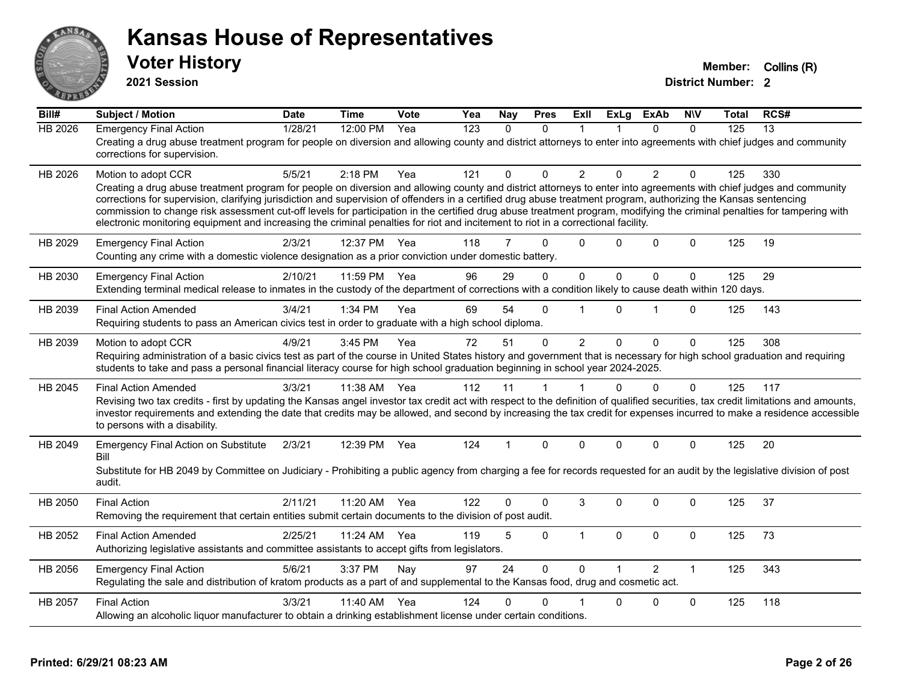

**2021 Session**

| Bill#          | <b>Subject / Motion</b>                                                                                                                                                                                                                                                                                                                                                                                                                                                                                                                                                                                                                                                         | <b>Date</b> | <b>Time</b>  | Vote | Yea | Nay            | <b>Pres</b> | ExII           | <b>ExLg</b> | <b>ExAb</b>    | <b>NIV</b>   | Total | RCS# |
|----------------|---------------------------------------------------------------------------------------------------------------------------------------------------------------------------------------------------------------------------------------------------------------------------------------------------------------------------------------------------------------------------------------------------------------------------------------------------------------------------------------------------------------------------------------------------------------------------------------------------------------------------------------------------------------------------------|-------------|--------------|------|-----|----------------|-------------|----------------|-------------|----------------|--------------|-------|------|
| <b>HB 2026</b> | <b>Emergency Final Action</b><br>Creating a drug abuse treatment program for people on diversion and allowing county and district attorneys to enter into agreements with chief judges and community<br>corrections for supervision.                                                                                                                                                                                                                                                                                                                                                                                                                                            | 1/28/21     | 12:00 PM     | Yea  | 123 | $\Omega$       | $\Omega$    | 1              |             | $\Omega$       | $\Omega$     | 125   | 13   |
| HB 2026        | Motion to adopt CCR<br>Creating a drug abuse treatment program for people on diversion and allowing county and district attorneys to enter into agreements with chief judges and community<br>corrections for supervision, clarifying jurisdiction and supervision of offenders in a certified drug abuse treatment program, authorizing the Kansas sentencing<br>commission to change risk assessment cut-off levels for participation in the certified drug abuse treatment program, modifying the criminal penalties for tampering with<br>electronic monitoring equipment and increasing the criminal penalties for riot and incitement to riot in a correctional facility. | 5/5/21      | 2:18 PM      | Yea  | 121 | 0              | $\Omega$    | $\overline{2}$ | $\Omega$    | $\overline{2}$ | $\Omega$     | 125   | 330  |
| HB 2029        | <b>Emergency Final Action</b><br>Counting any crime with a domestic violence designation as a prior conviction under domestic battery.                                                                                                                                                                                                                                                                                                                                                                                                                                                                                                                                          | 2/3/21      | 12:37 PM     | Yea  | 118 | 7              | $\Omega$    | $\Omega$       | 0           | $\Omega$       | $\mathbf{0}$ | 125   | 19   |
| HB 2030        | <b>Emergency Final Action</b><br>Extending terminal medical release to inmates in the custody of the department of corrections with a condition likely to cause death within 120 days.                                                                                                                                                                                                                                                                                                                                                                                                                                                                                          | 2/10/21     | 11:59 PM     | Yea  | 96  | 29             | 0           | $\mathbf 0$    | $\mathbf 0$ | 0              | $\mathbf 0$  | 125   | 29   |
| HB 2039        | <b>Final Action Amended</b><br>Requiring students to pass an American civics test in order to graduate with a high school diploma.                                                                                                                                                                                                                                                                                                                                                                                                                                                                                                                                              | 3/4/21      | 1:34 PM      | Yea  | 69  | 54             | $\Omega$    | 1              | 0           | 1              | $\Omega$     | 125   | 143  |
| HB 2039        | Motion to adopt CCR<br>Requiring administration of a basic civics test as part of the course in United States history and government that is necessary for high school graduation and requiring<br>students to take and pass a personal financial literacy course for high school graduation beginning in school year 2024-2025.                                                                                                                                                                                                                                                                                                                                                | 4/9/21      | 3:45 PM      | Yea  | 72  | 51             | $\Omega$    | $\overline{2}$ | $\Omega$    | $\Omega$       | $\Omega$     | 125   | 308  |
| HB 2045        | <b>Final Action Amended</b><br>Revising two tax credits - first by updating the Kansas angel investor tax credit act with respect to the definition of qualified securities, tax credit limitations and amounts,<br>investor requirements and extending the date that credits may be allowed, and second by increasing the tax credit for expenses incurred to make a residence accessible<br>to persons with a disability.                                                                                                                                                                                                                                                     | 3/3/21      | 11:38 AM     | Yea  | 112 | 11             | 1           |                | $\Omega$    | $\Omega$       | $\Omega$     | 125   | 117  |
| HB 2049        | <b>Emergency Final Action on Substitute</b><br>Bill<br>Substitute for HB 2049 by Committee on Judiciary - Prohibiting a public agency from charging a fee for records requested for an audit by the legislative division of post<br>audit.                                                                                                                                                                                                                                                                                                                                                                                                                                      | 2/3/21      | 12:39 PM Yea |      | 124 | $\overline{1}$ | $\Omega$    | $\Omega$       | $\Omega$    | $\Omega$       | $\Omega$     | 125   | 20   |
| HB 2050        | <b>Final Action</b><br>Removing the requirement that certain entities submit certain documents to the division of post audit.                                                                                                                                                                                                                                                                                                                                                                                                                                                                                                                                                   | 2/11/21     | 11:20 AM     | Yea  | 122 | 0              | $\Omega$    | 3              | 0           | $\Omega$       | $\Omega$     | 125   | 37   |
| HB 2052        | <b>Final Action Amended</b><br>Authorizing legislative assistants and committee assistants to accept gifts from legislators.                                                                                                                                                                                                                                                                                                                                                                                                                                                                                                                                                    | 2/25/21     | 11:24 AM     | Yea  | 119 | 5              | $\mathbf 0$ | $\mathbf{1}$   | 0           | 0              | $\mathbf 0$  | 125   | 73   |
| HB 2056        | <b>Emergency Final Action</b><br>Regulating the sale and distribution of kratom products as a part of and supplemental to the Kansas food, drug and cosmetic act.                                                                                                                                                                                                                                                                                                                                                                                                                                                                                                               | 5/6/21      | 3:37 PM      | Nay  | 97  | 24             | $\mathbf 0$ | $\Omega$       |             | $\overline{2}$ | $\mathbf{1}$ | 125   | 343  |
| HB 2057        | <b>Final Action</b><br>Allowing an alcoholic liquor manufacturer to obtain a drinking establishment license under certain conditions.                                                                                                                                                                                                                                                                                                                                                                                                                                                                                                                                           | 3/3/21      | 11:40 AM     | Yea  | 124 | 0              | $\Omega$    |                | 0           | $\Omega$       | $\mathbf{0}$ | 125   | 118  |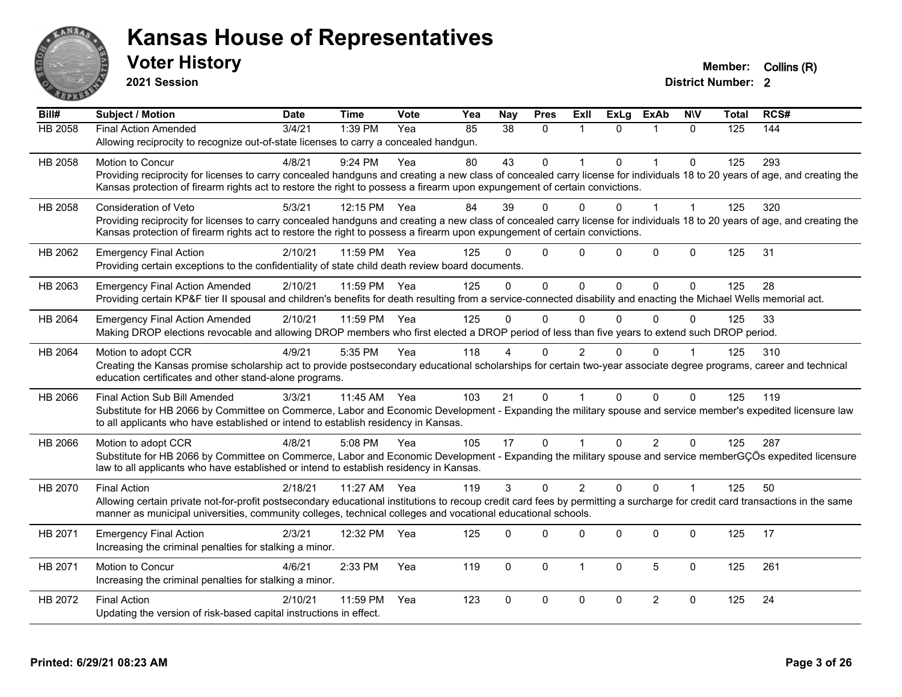

**2021 Session**

| Bill#          | <b>Subject / Motion</b>                                                                                                                                                      | <b>Date</b> | <b>Time</b> | <b>Vote</b> | Yea | <b>Nay</b> | <b>Pres</b>  | <b>Exll</b>    | <b>ExLg</b> | <b>ExAb</b>    | <b>NIV</b>   | Total | RCS# |
|----------------|------------------------------------------------------------------------------------------------------------------------------------------------------------------------------|-------------|-------------|-------------|-----|------------|--------------|----------------|-------------|----------------|--------------|-------|------|
| <b>HB 2058</b> | <b>Final Action Amended</b>                                                                                                                                                  | 3/4/21      | 1:39 PM     | Yea         | 85  | 38         | $\mathbf{0}$ | $\mathbf{1}$   | $\Omega$    | 1              | $\Omega$     | 125   | 144  |
|                | Allowing reciprocity to recognize out-of-state licenses to carry a concealed handgun.                                                                                        |             |             |             |     |            |              |                |             |                |              |       |      |
| HB 2058        | Motion to Concur                                                                                                                                                             | 4/8/21      | 9:24 PM     | Yea         | 80  | 43         | $\Omega$     | 1              | $\Omega$    |                | $\Omega$     | 125   | 293  |
|                | Providing reciprocity for licenses to carry concealed handguns and creating a new class of concealed carry license for individuals 18 to 20 years of age, and creating the   |             |             |             |     |            |              |                |             |                |              |       |      |
|                | Kansas protection of firearm rights act to restore the right to possess a firearm upon expungement of certain convictions.                                                   |             |             |             |     |            |              |                |             |                |              |       |      |
| HB 2058        | Consideration of Veto                                                                                                                                                        | 5/3/21      | 12:15 PM    | Yea         | 84  | 39         | $\Omega$     | 0              | $\Omega$    |                | $\mathbf 1$  | 125   | 320  |
|                | Providing reciprocity for licenses to carry concealed handguns and creating a new class of concealed carry license for individuals 18 to 20 years of age, and creating the   |             |             |             |     |            |              |                |             |                |              |       |      |
|                | Kansas protection of firearm rights act to restore the right to possess a firearm upon expungement of certain convictions.                                                   |             |             |             |     |            |              |                |             |                |              |       |      |
| HB 2062        | <b>Emergency Final Action</b>                                                                                                                                                | 2/10/21     | 11:59 PM    | Yea         | 125 | 0          | $\Omega$     | $\Omega$       | $\Omega$    | $\mathbf 0$    | $\Omega$     | 125   | 31   |
|                | Providing certain exceptions to the confidentiality of state child death review board documents.                                                                             |             |             |             |     |            |              |                |             |                |              |       |      |
| HB 2063        | <b>Emergency Final Action Amended</b>                                                                                                                                        | 2/10/21     | 11:59 PM    | Yea         | 125 | $\Omega$   | $\Omega$     | $\Omega$       | $\Omega$    | $\Omega$       | $\Omega$     | 125   | 28   |
|                | Providing certain KP&F tier II spousal and children's benefits for death resulting from a service-connected disability and enacting the Michael Wells memorial act.          |             |             |             |     |            |              |                |             |                |              |       |      |
| HB 2064        | <b>Emergency Final Action Amended</b>                                                                                                                                        | 2/10/21     | 11:59 PM    | Yea         | 125 | $\Omega$   | $\Omega$     | $\Omega$       | $\Omega$    | $\mathbf{0}$   | $\Omega$     | 125   | 33   |
|                | Making DROP elections revocable and allowing DROP members who first elected a DROP period of less than five years to extend such DROP period.                                |             |             |             |     |            |              |                |             |                |              |       |      |
| HB 2064        | Motion to adopt CCR                                                                                                                                                          | 4/9/21      | 5:35 PM     | Yea         | 118 |            | $\Omega$     | 2              |             | $\mathbf{0}$   |              | 125   | 310  |
|                | Creating the Kansas promise scholarship act to provide postsecondary educational scholarships for certain two-year associate degree programs, career and technical           |             |             |             |     |            |              |                |             |                |              |       |      |
|                | education certificates and other stand-alone programs.                                                                                                                       |             |             |             |     |            |              |                |             |                |              |       |      |
| HB 2066        | Final Action Sub Bill Amended                                                                                                                                                | 3/3/21      | 11:45 AM    | Yea         | 103 | 21         | $\Omega$     | $\overline{1}$ | $\Omega$    | $\Omega$       | $\Omega$     | 125   | 119  |
|                | Substitute for HB 2066 by Committee on Commerce, Labor and Economic Development - Expanding the military spouse and service member's expedited licensure law                 |             |             |             |     |            |              |                |             |                |              |       |      |
|                | to all applicants who have established or intend to establish residency in Kansas.                                                                                           |             |             |             |     |            |              |                |             |                |              |       |      |
| HB 2066        | Motion to adopt CCR                                                                                                                                                          | 4/8/21      | 5:08 PM     | Yea         | 105 | 17         | $\mathbf{0}$ | 1              | $\Omega$    | $\overline{2}$ | $\Omega$     | 125   | 287  |
|                | Substitute for HB 2066 by Committee on Commerce, Labor and Economic Development - Expanding the military spouse and service memberGÇÖs expedited licensure                   |             |             |             |     |            |              |                |             |                |              |       |      |
|                | law to all applicants who have established or intend to establish residency in Kansas.                                                                                       |             |             |             |     |            |              |                |             |                |              |       |      |
| HB 2070        | <b>Final Action</b>                                                                                                                                                          | 2/18/21     | 11:27 AM    | Yea         | 119 | 3          | $\mathbf 0$  | $\overline{2}$ | $\Omega$    | $\Omega$       | $\mathbf{1}$ | 125   | 50   |
|                | Allowing certain private not-for-profit postsecondary educational institutions to recoup credit card fees by permitting a surcharge for credit card transactions in the same |             |             |             |     |            |              |                |             |                |              |       |      |
|                | manner as municipal universities, community colleges, technical colleges and vocational educational schools.                                                                 |             |             |             |     |            |              |                |             |                |              |       |      |
| HB 2071        | <b>Emergency Final Action</b>                                                                                                                                                | 2/3/21      | 12:32 PM    | Yea         | 125 | $\Omega$   | $\Omega$     | 0              | $\Omega$    | $\mathbf 0$    | $\mathbf 0$  | 125   | 17   |
|                | Increasing the criminal penalties for stalking a minor.                                                                                                                      |             |             |             |     |            |              |                |             |                |              |       |      |
| HB 2071        | Motion to Concur                                                                                                                                                             | 4/6/21      | 2:33 PM     | Yea         | 119 | $\Omega$   | $\Omega$     | $\mathbf{1}$   | $\Omega$    | 5              | $\Omega$     | 125   | 261  |
|                | Increasing the criminal penalties for stalking a minor.                                                                                                                      |             |             |             |     |            |              |                |             |                |              |       |      |
| HB 2072        | <b>Final Action</b>                                                                                                                                                          | 2/10/21     | 11:59 PM    | Yea         | 123 | $\Omega$   | 0            | 0              | 0           | $\overline{c}$ | $\mathbf 0$  | 125   | 24   |
|                | Updating the version of risk-based capital instructions in effect.                                                                                                           |             |             |             |     |            |              |                |             |                |              |       |      |
|                |                                                                                                                                                                              |             |             |             |     |            |              |                |             |                |              |       |      |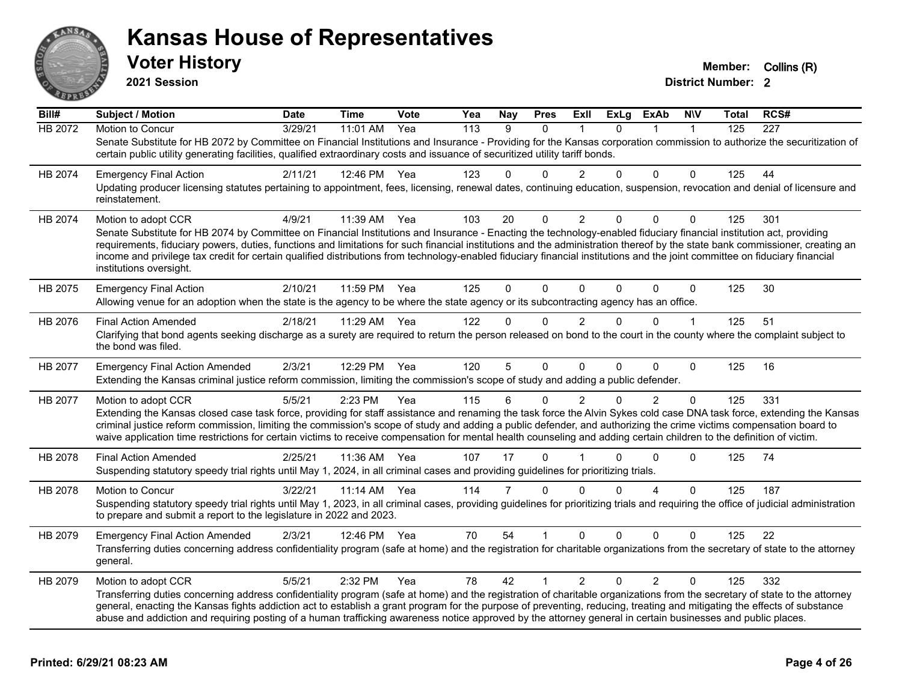

**2021 Session**

| Bill#          | <b>Subject / Motion</b>                                                                                                                                                                                                                                                                                                                                                                                                                                                                                               | <b>Date</b> | <b>Time</b> | Vote | Yea              | <b>Nay</b> | <b>Pres</b> | ExII           | <b>ExLg</b> | ExAb           | <b>NIV</b>   | Total | RCS# |
|----------------|-----------------------------------------------------------------------------------------------------------------------------------------------------------------------------------------------------------------------------------------------------------------------------------------------------------------------------------------------------------------------------------------------------------------------------------------------------------------------------------------------------------------------|-------------|-------------|------|------------------|------------|-------------|----------------|-------------|----------------|--------------|-------|------|
| <b>HB 2072</b> | Motion to Concur                                                                                                                                                                                                                                                                                                                                                                                                                                                                                                      | 3/29/21     | 11:01 AM    | Yea  | $\overline{113}$ | 9          | $\Omega$    |                | $\Omega$    |                | $\mathbf{1}$ | 125   | 227  |
|                | Senate Substitute for HB 2072 by Committee on Financial Institutions and Insurance - Providing for the Kansas corporation commission to authorize the securitization of<br>certain public utility generating facilities, qualified extraordinary costs and issuance of securitized utility tariff bonds.                                                                                                                                                                                                              |             |             |      |                  |            |             |                |             |                |              |       |      |
| HB 2074        | <b>Emergency Final Action</b>                                                                                                                                                                                                                                                                                                                                                                                                                                                                                         | 2/11/21     | 12:46 PM    | Yea  | 123              | 0          | $\Omega$    | $\overline{2}$ | $\Omega$    | 0              | $\Omega$     | 125   | 44   |
|                | Updating producer licensing statutes pertaining to appointment, fees, licensing, renewal dates, continuing education, suspension, revocation and denial of licensure and<br>reinstatement.                                                                                                                                                                                                                                                                                                                            |             |             |      |                  |            |             |                |             |                |              |       |      |
| HB 2074        | Motion to adopt CCR                                                                                                                                                                                                                                                                                                                                                                                                                                                                                                   | 4/9/21      | 11:39 AM    | Yea  | 103              | 20         | $\mathbf 0$ | $\overline{c}$ | 0           | $\Omega$       | $\mathbf 0$  | 125   | 301  |
|                | Senate Substitute for HB 2074 by Committee on Financial Institutions and Insurance - Enacting the technology-enabled fiduciary financial institution act, providing                                                                                                                                                                                                                                                                                                                                                   |             |             |      |                  |            |             |                |             |                |              |       |      |
|                | requirements, fiduciary powers, duties, functions and limitations for such financial institutions and the administration thereof by the state bank commissioner, creating an<br>income and privilege tax credit for certain qualified distributions from technology-enabled fiduciary financial institutions and the joint committee on fiduciary financial<br>institutions oversight.                                                                                                                                |             |             |      |                  |            |             |                |             |                |              |       |      |
| HB 2075        | <b>Emergency Final Action</b>                                                                                                                                                                                                                                                                                                                                                                                                                                                                                         | 2/10/21     | 11:59 PM    | Yea  | 125              | 0          | $\Omega$    | $\Omega$       | $\Omega$    | $\Omega$       | $\mathbf 0$  | 125   | 30   |
|                | Allowing venue for an adoption when the state is the agency to be where the state agency or its subcontracting agency has an office.                                                                                                                                                                                                                                                                                                                                                                                  |             |             |      |                  |            |             |                |             |                |              |       |      |
| HB 2076        | <b>Final Action Amended</b>                                                                                                                                                                                                                                                                                                                                                                                                                                                                                           | 2/18/21     | 11:29 AM    | Yea  | 122              | 0          | $\Omega$    | $\overline{2}$ | $\Omega$    | $\Omega$       | $\mathbf{1}$ | 125   | 51   |
|                | Clarifying that bond agents seeking discharge as a surety are required to return the person released on bond to the court in the county where the complaint subject to<br>the bond was filed.                                                                                                                                                                                                                                                                                                                         |             |             |      |                  |            |             |                |             |                |              |       |      |
| HB 2077        | <b>Emergency Final Action Amended</b>                                                                                                                                                                                                                                                                                                                                                                                                                                                                                 | 2/3/21      | 12:29 PM    | Yea  | 120              | 5          | $\Omega$    | $\Omega$       | $\Omega$    | 0              | $\Omega$     | 125   | 16   |
|                | Extending the Kansas criminal justice reform commission, limiting the commission's scope of study and adding a public defender.                                                                                                                                                                                                                                                                                                                                                                                       |             |             |      |                  |            |             |                |             |                |              |       |      |
| HB 2077        | Motion to adopt CCR                                                                                                                                                                                                                                                                                                                                                                                                                                                                                                   | 5/5/21      | 2:23 PM     | Yea  | 115              | 6          | $\Omega$    | 2              | $\Omega$    | $\overline{2}$ | $\mathbf{0}$ | 125   | 331  |
|                | Extending the Kansas closed case task force, providing for staff assistance and renaming the task force the Alvin Sykes cold case DNA task force, extending the Kansas<br>criminal justice reform commission, limiting the commission's scope of study and adding a public defender, and authorizing the crime victims compensation board to<br>waive application time restrictions for certain victims to receive compensation for mental health counseling and adding certain children to the definition of victim. |             |             |      |                  |            |             |                |             |                |              |       |      |
| HB 2078        | <b>Final Action Amended</b>                                                                                                                                                                                                                                                                                                                                                                                                                                                                                           | 2/25/21     | 11:36 AM    | Yea  | 107              | 17         | $\Omega$    |                | $\Omega$    | 0              | $\Omega$     | 125   | 74   |
|                | Suspending statutory speedy trial rights until May 1, 2024, in all criminal cases and providing guidelines for prioritizing trials.                                                                                                                                                                                                                                                                                                                                                                                   |             |             |      |                  |            |             |                |             |                |              |       |      |
| HB 2078        | Motion to Concur                                                                                                                                                                                                                                                                                                                                                                                                                                                                                                      | 3/22/21     | 11:14 AM    | Yea  | 114              | 7          | $\Omega$    | $\Omega$       | $\Omega$    | 4              | $\Omega$     | 125   | 187  |
|                | Suspending statutory speedy trial rights until May 1, 2023, in all criminal cases, providing guidelines for prioritizing trials and requiring the office of judicial administration<br>to prepare and submit a report to the legislature in 2022 and 2023.                                                                                                                                                                                                                                                            |             |             |      |                  |            |             |                |             |                |              |       |      |
| HB 2079        | <b>Emergency Final Action Amended</b>                                                                                                                                                                                                                                                                                                                                                                                                                                                                                 | 2/3/21      | 12:46 PM    | Yea  | 70               | 54         |             | $\Omega$       | $\Omega$    | 0              | 0            | 125   | 22   |
|                | Transferring duties concerning address confidentiality program (safe at home) and the registration for charitable organizations from the secretary of state to the attorney<br>general.                                                                                                                                                                                                                                                                                                                               |             |             |      |                  |            |             |                |             |                |              |       |      |
| HB 2079        | Motion to adopt CCR                                                                                                                                                                                                                                                                                                                                                                                                                                                                                                   | 5/5/21      | 2:32 PM     | Yea  | 78               | 42         | 1           | $\overline{2}$ | $\Omega$    | $\overline{2}$ | $\Omega$     | 125   | 332  |
|                | Transferring duties concerning address confidentiality program (safe at home) and the registration of charitable organizations from the secretary of state to the attorney                                                                                                                                                                                                                                                                                                                                            |             |             |      |                  |            |             |                |             |                |              |       |      |
|                | general, enacting the Kansas fights addiction act to establish a grant program for the purpose of preventing, reducing, treating and mitigating the effects of substance<br>abuse and addiction and requiring posting of a human trafficking awareness notice approved by the attorney general in certain businesses and public places.                                                                                                                                                                               |             |             |      |                  |            |             |                |             |                |              |       |      |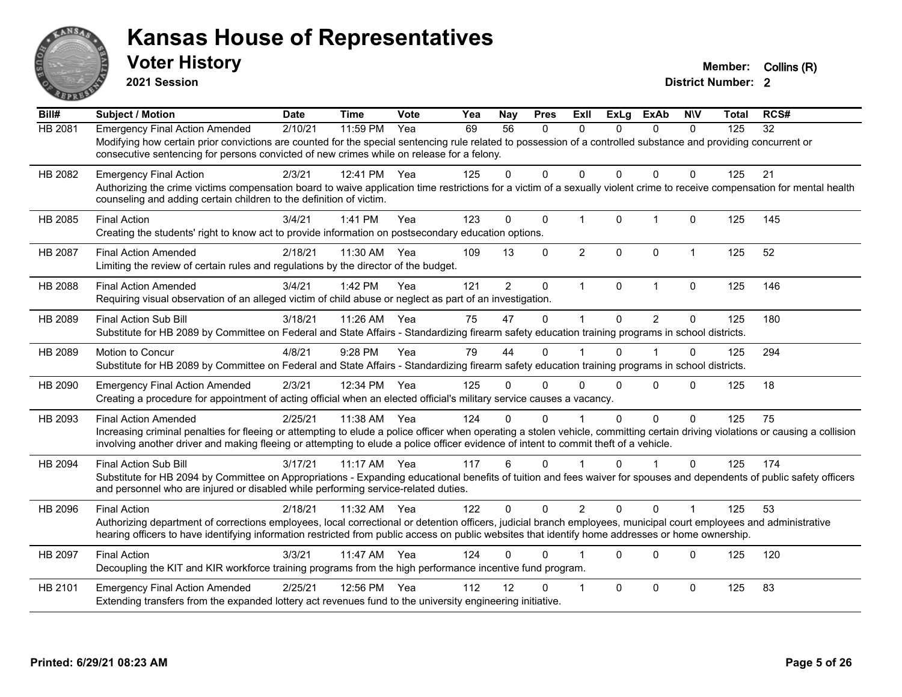

**2021 Session**

| Bill#          | <b>Subject / Motion</b>                                                                                                                                                                                                                                                                                                                                | <b>Date</b> | <b>Time</b> | Vote | Yea | Nay            | <b>Pres</b>  | ExIl           | <b>ExLg</b>  | <b>ExAb</b>    | <b>NIV</b>              | Total | RCS# |
|----------------|--------------------------------------------------------------------------------------------------------------------------------------------------------------------------------------------------------------------------------------------------------------------------------------------------------------------------------------------------------|-------------|-------------|------|-----|----------------|--------------|----------------|--------------|----------------|-------------------------|-------|------|
| <b>HB 2081</b> | <b>Emergency Final Action Amended</b><br>Modifying how certain prior convictions are counted for the special sentencing rule related to possession of a controlled substance and providing concurrent or<br>consecutive sentencing for persons convicted of new crimes while on release for a felony.                                                  | 2/10/21     | 11:59 PM    | Yea  | 69  | 56             | $\Omega$     | $\mathbf{0}$   | $\Omega$     | $\Omega$       | $\Omega$                | 125   | 32   |
| HB 2082        | <b>Emergency Final Action</b><br>Authorizing the crime victims compensation board to waive application time restrictions for a victim of a sexually violent crime to receive compensation for mental health<br>counseling and adding certain children to the definition of victim.                                                                     | 2/3/21      | 12:41 PM    | Yea  | 125 | $\Omega$       | $\Omega$     | $\Omega$       | 0            | $\Omega$       | $\Omega$                | 125   | 21   |
| HB 2085        | <b>Final Action</b><br>Creating the students' right to know act to provide information on postsecondary education options.                                                                                                                                                                                                                             | 3/4/21      | 1:41 PM     | Yea  | 123 | $\mathbf 0$    | $\mathbf 0$  | $\overline{1}$ | $\mathbf{0}$ | $\mathbf{1}$   | $\pmb{0}$               | 125   | 145  |
| <b>HB 2087</b> | <b>Final Action Amended</b><br>Limiting the review of certain rules and regulations by the director of the budget.                                                                                                                                                                                                                                     | 2/18/21     | 11:30 AM    | Yea  | 109 | 13             | $\Omega$     | $\overline{2}$ | $\Omega$     | $\Omega$       | $\mathbf{1}$            | 125   | 52   |
| HB 2088        | <b>Final Action Amended</b><br>Requiring visual observation of an alleged victim of child abuse or neglect as part of an investigation.                                                                                                                                                                                                                | 3/4/21      | 1:42 PM     | Yea  | 121 | $\overline{2}$ | $\mathbf{0}$ | $\mathbf{1}$   | $\mathbf{0}$ | $\mathbf{1}$   | $\mathbf{0}$            | 125   | 146  |
| HB 2089        | <b>Final Action Sub Bill</b><br>Substitute for HB 2089 by Committee on Federal and State Affairs - Standardizing firearm safety education training programs in school districts.                                                                                                                                                                       | 3/18/21     | 11:26 AM    | Yea  | 75  | 47             | $\Omega$     |                | 0            | $\overline{2}$ | $\Omega$                | 125   | 180  |
| HB 2089        | Motion to Concur<br>Substitute for HB 2089 by Committee on Federal and State Affairs - Standardizing firearm safety education training programs in school districts.                                                                                                                                                                                   | 4/8/21      | 9:28 PM     | Yea  | 79  | 44             | $\Omega$     |                | 0            |                | $\mathbf 0$             | 125   | 294  |
| HB 2090        | <b>Emergency Final Action Amended</b><br>Creating a procedure for appointment of acting official when an elected official's military service causes a vacancy.                                                                                                                                                                                         | 2/3/21      | 12:34 PM    | Yea  | 125 | 0              | 0            | 0              | 0            | $\Omega$       | $\Omega$                | 125   | 18   |
| HB 2093        | <b>Final Action Amended</b><br>Increasing criminal penalties for fleeing or attempting to elude a police officer when operating a stolen vehicle, committing certain driving violations or causing a collision<br>involving another driver and making fleeing or attempting to elude a police officer evidence of intent to commit theft of a vehicle. | 2/25/21     | 11:38 AM    | Yea  | 124 | 0              | $\Omega$     |                | 0            | 0              | $\Omega$                | 125   | 75   |
| HB 2094        | <b>Final Action Sub Bill</b><br>Substitute for HB 2094 by Committee on Appropriations - Expanding educational benefits of tuition and fees waiver for spouses and dependents of public safety officers<br>and personnel who are injured or disabled while performing service-related duties.                                                           | 3/17/21     | $11:17$ AM  | Yea  | 117 | 6              | $\Omega$     |                | 0            |                | $\Omega$                | 125   | 174  |
| HB 2096        | <b>Final Action</b><br>Authorizing department of corrections employees, local correctional or detention officers, judicial branch employees, municipal court employees and administrative<br>hearing officers to have identifying information restricted from public access on public websites that identify home addresses or home ownership.         | 2/18/21     | 11:32 AM    | Yea  | 122 | $\Omega$       | $\Omega$     | 2              | $\Omega$     | $\Omega$       | $\overline{\mathbf{1}}$ | 125   | 53   |
| HB 2097        | <b>Final Action</b><br>Decoupling the KIT and KIR workforce training programs from the high performance incentive fund program.                                                                                                                                                                                                                        | 3/3/21      | 11:47 AM    | Yea  | 124 | 0              | $\Omega$     |                | 0            | $\Omega$       | $\mathbf{0}$            | 125   | 120  |
| HB 2101        | <b>Emergency Final Action Amended</b><br>Extending transfers from the expanded lottery act revenues fund to the university engineering initiative.                                                                                                                                                                                                     | 2/25/21     | 12:56 PM    | Yea  | 112 | 12             | $\Omega$     |                | 0            | 0              | $\mathbf 0$             | 125   | 83   |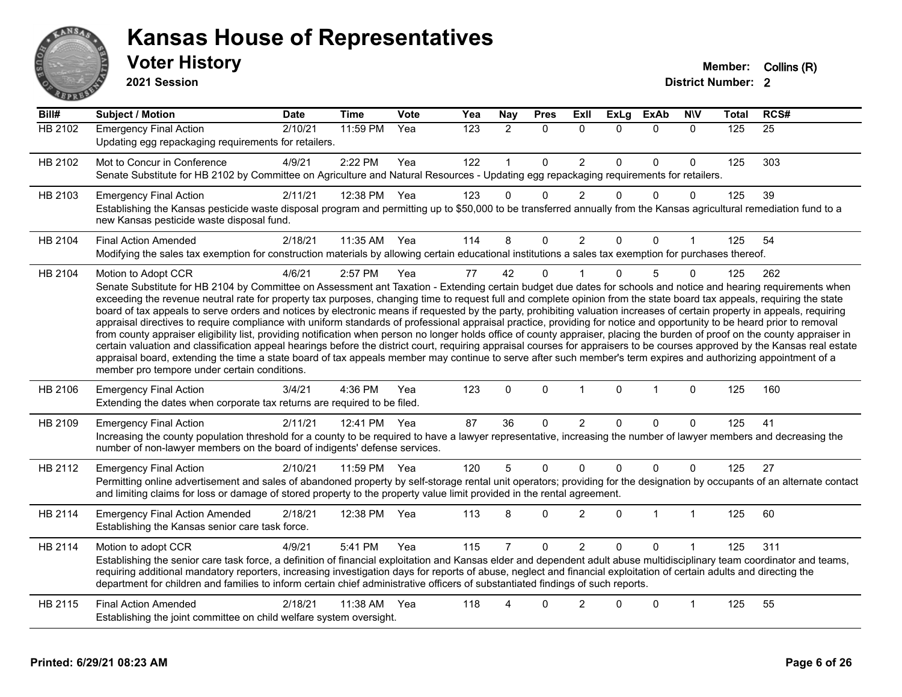

**2021 Session**

| Bill#          | Subject / Motion                                                                                                                                                                                                                                                                                                                                                                                                                                                                                                                                                                                                                                                                                                                                                                                                                                                                                                                                                                                                                                                                                                                                                                                                                                                                                            | <b>Date</b> | <b>Time</b> | <b>Vote</b> | Yea | Nay            | <b>Pres</b> | ExIl           | <b>ExLg</b>  | <b>ExAb</b>  | <b>NIV</b>   | <b>Total</b> | RCS# |
|----------------|-------------------------------------------------------------------------------------------------------------------------------------------------------------------------------------------------------------------------------------------------------------------------------------------------------------------------------------------------------------------------------------------------------------------------------------------------------------------------------------------------------------------------------------------------------------------------------------------------------------------------------------------------------------------------------------------------------------------------------------------------------------------------------------------------------------------------------------------------------------------------------------------------------------------------------------------------------------------------------------------------------------------------------------------------------------------------------------------------------------------------------------------------------------------------------------------------------------------------------------------------------------------------------------------------------------|-------------|-------------|-------------|-----|----------------|-------------|----------------|--------------|--------------|--------------|--------------|------|
| <b>HB 2102</b> | <b>Emergency Final Action</b><br>Updating egg repackaging requirements for retailers.                                                                                                                                                                                                                                                                                                                                                                                                                                                                                                                                                                                                                                                                                                                                                                                                                                                                                                                                                                                                                                                                                                                                                                                                                       | 2/10/21     | 11:59 PM    | Yea         | 123 | $\overline{2}$ | $\mathbf 0$ | $\Omega$       | $\Omega$     | $\mathbf{0}$ | $\mathbf{0}$ | 125          | 25   |
| HB 2102        | Mot to Concur in Conference<br>Senate Substitute for HB 2102 by Committee on Agriculture and Natural Resources - Updating egg repackaging requirements for retailers.                                                                                                                                                                                                                                                                                                                                                                                                                                                                                                                                                                                                                                                                                                                                                                                                                                                                                                                                                                                                                                                                                                                                       | 4/9/21      | 2:22 PM     | Yea         | 122 |                | 0           | $\overline{2}$ | $\Omega$     | $\mathbf 0$  | $\Omega$     | 125          | 303  |
| HB 2103        | <b>Emergency Final Action</b><br>Establishing the Kansas pesticide waste disposal program and permitting up to \$50,000 to be transferred annually from the Kansas agricultural remediation fund to a<br>new Kansas pesticide waste disposal fund.                                                                                                                                                                                                                                                                                                                                                                                                                                                                                                                                                                                                                                                                                                                                                                                                                                                                                                                                                                                                                                                          | 2/11/21     | 12:38 PM    | Yea         | 123 | $\Omega$       | $\Omega$    | $\overline{2}$ | $\Omega$     | $\mathbf 0$  | $\mathbf{0}$ | 125          | 39   |
| HB 2104        | <b>Final Action Amended</b><br>Modifying the sales tax exemption for construction materials by allowing certain educational institutions a sales tax exemption for purchases thereof.                                                                                                                                                                                                                                                                                                                                                                                                                                                                                                                                                                                                                                                                                                                                                                                                                                                                                                                                                                                                                                                                                                                       | 2/18/21     | 11:35 AM    | Yea         | 114 | 8              | 0           | $\overline{c}$ | 0            | 0            |              | 125          | 54   |
| HB 2104        | Motion to Adopt CCR<br>Senate Substitute for HB 2104 by Committee on Assessment ant Taxation - Extending certain budget due dates for schools and notice and hearing requirements when<br>exceeding the revenue neutral rate for property tax purposes, changing time to request full and complete opinion from the state board tax appeals, requiring the state<br>board of tax appeals to serve orders and notices by electronic means if requested by the party, prohibiting valuation increases of certain property in appeals, requiring<br>appraisal directives to require compliance with uniform standards of professional appraisal practice, providing for notice and opportunity to be heard prior to removal<br>from county appraiser eligibility list, providing notification when person no longer holds office of county appraiser, placing the burden of proof on the county appraiser in<br>certain valuation and classification appeal hearings before the district court, requiring appraisal courses for appraisers to be courses approved by the Kansas real estate<br>appraisal board, extending the time a state board of tax appeals member may continue to serve after such member's term expires and authorizing appointment of a<br>member pro tempore under certain conditions. | 4/6/21      | 2:57 PM     | Yea         | 77  | 42             | $\mathbf 0$ |                | 0            | 5            | $\Omega$     | 125          | 262  |
| HB 2106        | <b>Emergency Final Action</b><br>Extending the dates when corporate tax returns are required to be filed.                                                                                                                                                                                                                                                                                                                                                                                                                                                                                                                                                                                                                                                                                                                                                                                                                                                                                                                                                                                                                                                                                                                                                                                                   | 3/4/21      | 4:36 PM     | Yea         | 123 | $\Omega$       | $\mathbf 0$ | $\mathbf{1}$   | $\mathbf{0}$ | $\mathbf{1}$ | $\mathbf 0$  | 125          | 160  |
| HB 2109        | <b>Emergency Final Action</b><br>Increasing the county population threshold for a county to be required to have a lawyer representative, increasing the number of lawyer members and decreasing the<br>number of non-lawyer members on the board of indigents' defense services.                                                                                                                                                                                                                                                                                                                                                                                                                                                                                                                                                                                                                                                                                                                                                                                                                                                                                                                                                                                                                            | 2/11/21     | 12:41 PM    | Yea         | 87  | 36             | $\mathbf 0$ | $\overline{c}$ | $\Omega$     | $\mathbf{0}$ | $\Omega$     | 125          | 41   |
| HB 2112        | <b>Emergency Final Action</b><br>Permitting online advertisement and sales of abandoned property by self-storage rental unit operators; providing for the designation by occupants of an alternate contact<br>and limiting claims for loss or damage of stored property to the property value limit provided in the rental agreement.                                                                                                                                                                                                                                                                                                                                                                                                                                                                                                                                                                                                                                                                                                                                                                                                                                                                                                                                                                       | 2/10/21     | 11:59 PM    | Yea         | 120 | 5              | $\mathbf 0$ | 0              | $\Omega$     | $\mathbf 0$  | $\mathbf{0}$ | 125          | 27   |
| HB 2114        | <b>Emergency Final Action Amended</b><br>Establishing the Kansas senior care task force.                                                                                                                                                                                                                                                                                                                                                                                                                                                                                                                                                                                                                                                                                                                                                                                                                                                                                                                                                                                                                                                                                                                                                                                                                    | 2/18/21     | 12:38 PM    | Yea         | 113 | 8              | $\Omega$    | $\overline{2}$ | $\Omega$     | 1            | $\mathbf{1}$ | 125          | 60   |
| HB 2114        | Motion to adopt CCR<br>Establishing the senior care task force, a definition of financial exploitation and Kansas elder and dependent adult abuse multidisciplinary team coordinator and teams,<br>requiring additional mandatory reporters, increasing investigation days for reports of abuse, neglect and financial exploitation of certain adults and directing the<br>department for children and families to inform certain chief administrative officers of substantiated findings of such reports.                                                                                                                                                                                                                                                                                                                                                                                                                                                                                                                                                                                                                                                                                                                                                                                                  | 4/9/21      | 5:41 PM     | Yea         | 115 |                | $\Omega$    | $\overline{c}$ | 0            | $\mathbf{0}$ |              | 125          | 311  |
| HB 2115        | <b>Final Action Amended</b><br>Establishing the joint committee on child welfare system oversight.                                                                                                                                                                                                                                                                                                                                                                                                                                                                                                                                                                                                                                                                                                                                                                                                                                                                                                                                                                                                                                                                                                                                                                                                          | 2/18/21     | 11:38 AM    | Yea         | 118 |                | $\Omega$    | $\overline{2}$ | $\Omega$     | $\mathbf 0$  | 1            | 125          | 55   |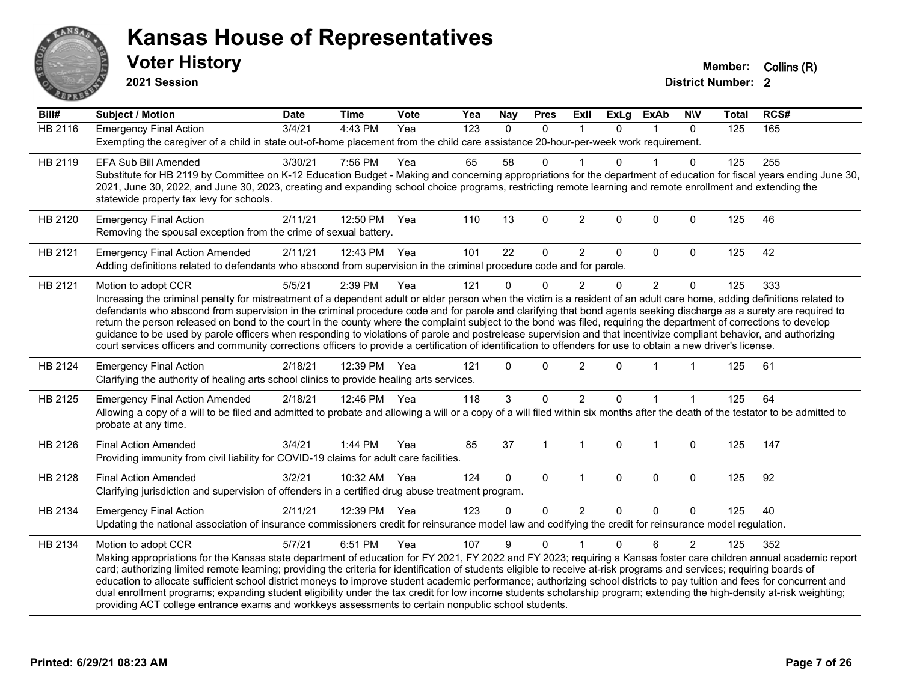

**2021 Session**

| Bill#          | <b>Subject / Motion</b>                                                                                                                                                                                                                                                                                                               | <b>Date</b> | <b>Time</b>  | <b>Vote</b> | Yea              | <b>Nay</b>   | <b>Pres</b>    | <b>ExII</b>    | <b>ExLg</b>  | <b>ExAb</b>    | <b>NIV</b>   | <b>Total</b> | RCS# |
|----------------|---------------------------------------------------------------------------------------------------------------------------------------------------------------------------------------------------------------------------------------------------------------------------------------------------------------------------------------|-------------|--------------|-------------|------------------|--------------|----------------|----------------|--------------|----------------|--------------|--------------|------|
| <b>HB 2116</b> | <b>Emergency Final Action</b>                                                                                                                                                                                                                                                                                                         | 3/4/21      | 4:43 PM      | Yea         | $\overline{123}$ | $\mathbf{0}$ | $\mathbf{0}$   | $\mathbf 1$    | $\Omega$     | 1              | $\mathbf{0}$ | 125          | 165  |
|                | Exempting the caregiver of a child in state out-of-home placement from the child care assistance 20-hour-per-week work requirement.                                                                                                                                                                                                   |             |              |             |                  |              |                |                |              |                |              |              |      |
| HB 2119        | <b>EFA Sub Bill Amended</b>                                                                                                                                                                                                                                                                                                           | 3/30/21     | 7:56 PM      | Yea         | 65               | 58           | $\Omega$       |                | <sup>n</sup> |                | $\mathbf{0}$ | 125          | 255  |
|                | Substitute for HB 2119 by Committee on K-12 Education Budget - Making and concerning appropriations for the department of education for fiscal years ending June 30,                                                                                                                                                                  |             |              |             |                  |              |                |                |              |                |              |              |      |
|                | 2021, June 30, 2022, and June 30, 2023, creating and expanding school choice programs, restricting remote learning and remote enrollment and extending the                                                                                                                                                                            |             |              |             |                  |              |                |                |              |                |              |              |      |
|                | statewide property tax levy for schools.                                                                                                                                                                                                                                                                                              |             |              |             |                  |              |                |                |              |                |              |              |      |
| HB 2120        | <b>Emergency Final Action</b>                                                                                                                                                                                                                                                                                                         | 2/11/21     | 12:50 PM     | Yea         | 110              | 13           | $\mathbf 0$    | $\overline{c}$ | $\mathbf 0$  | 0              | $\mathbf 0$  | 125          | 46   |
|                | Removing the spousal exception from the crime of sexual battery.                                                                                                                                                                                                                                                                      |             |              |             |                  |              |                |                |              |                |              |              |      |
| HB 2121        | <b>Emergency Final Action Amended</b>                                                                                                                                                                                                                                                                                                 | 2/11/21     | 12:43 PM     | Yea         | 101              | 22           | 0              | $\overline{2}$ | $\mathbf 0$  | 0              | $\mathbf 0$  | 125          | 42   |
|                | Adding definitions related to defendants who abscond from supervision in the criminal procedure code and for parole.                                                                                                                                                                                                                  |             |              |             |                  |              |                |                |              |                |              |              |      |
| HB 2121        | Motion to adopt CCR                                                                                                                                                                                                                                                                                                                   | 5/5/21      | 2:39 PM      | Yea         | 121              | $\Omega$     | $\Omega$       | $\overline{c}$ | $\Omega$     | $\overline{2}$ | $\mathbf 0$  | 125          | 333  |
|                | Increasing the criminal penalty for mistreatment of a dependent adult or elder person when the victim is a resident of an adult care home, adding definitions related to                                                                                                                                                              |             |              |             |                  |              |                |                |              |                |              |              |      |
|                | defendants who abscond from supervision in the criminal procedure code and for parole and clarifying that bond agents seeking discharge as a surety are required to                                                                                                                                                                   |             |              |             |                  |              |                |                |              |                |              |              |      |
|                | return the person released on bond to the court in the county where the complaint subject to the bond was filed, requiring the department of corrections to develop                                                                                                                                                                   |             |              |             |                  |              |                |                |              |                |              |              |      |
|                | guidance to be used by parole officers when responding to violations of parole and postrelease supervision and that incentivize compliant behavior, and authorizing<br>court services officers and community corrections officers to provide a certification of identification to offenders for use to obtain a new driver's license. |             |              |             |                  |              |                |                |              |                |              |              |      |
|                |                                                                                                                                                                                                                                                                                                                                       |             |              |             |                  |              |                |                |              |                |              |              |      |
| HB 2124        | <b>Emergency Final Action</b>                                                                                                                                                                                                                                                                                                         | 2/18/21     | 12:39 PM     | Yea         | 121              | $\Omega$     | $\Omega$       | $\overline{c}$ | $\Omega$     |                |              | 125          | 61   |
|                | Clarifying the authority of healing arts school clinics to provide healing arts services.                                                                                                                                                                                                                                             |             |              |             |                  |              |                |                |              |                |              |              |      |
| HB 2125        | <b>Emergency Final Action Amended</b>                                                                                                                                                                                                                                                                                                 | 2/18/21     | 12:46 PM Yea |             | 118              | 3            | $\mathbf{0}$   | $\overline{2}$ | 0            |                |              | 125          | 64   |
|                | Allowing a copy of a will to be filed and admitted to probate and allowing a will or a copy of a will filed within six months after the death of the testator to be admitted to                                                                                                                                                       |             |              |             |                  |              |                |                |              |                |              |              |      |
|                | probate at any time.                                                                                                                                                                                                                                                                                                                  |             |              |             |                  |              |                |                |              |                |              |              |      |
| HB 2126        | <b>Final Action Amended</b>                                                                                                                                                                                                                                                                                                           | 3/4/21      | 1:44 PM      | Yea         | 85               | 37           | $\overline{1}$ | $\mathbf{1}$   | $\mathbf 0$  | $\mathbf 1$    | $\mathbf 0$  | 125          | 147  |
|                | Providing immunity from civil liability for COVID-19 claims for adult care facilities.                                                                                                                                                                                                                                                |             |              |             |                  |              |                |                |              |                |              |              |      |
| HB 2128        | <b>Final Action Amended</b>                                                                                                                                                                                                                                                                                                           | 3/2/21      | 10:32 AM Yea |             | 124              | $\Omega$     | $\Omega$       | $\mathbf{1}$   | $\mathbf{0}$ | $\Omega$       | $\mathbf{0}$ | 125          | 92   |
|                | Clarifying jurisdiction and supervision of offenders in a certified drug abuse treatment program.                                                                                                                                                                                                                                     |             |              |             |                  |              |                |                |              |                |              |              |      |
| HB 2134        | <b>Emergency Final Action</b>                                                                                                                                                                                                                                                                                                         | 2/11/21     | 12:39 PM     | Yea         | 123              | 0            | $\mathbf 0$    | $\overline{2}$ | $\Omega$     | $\mathbf 0$    | $\Omega$     | 125          | 40   |
|                | Updating the national association of insurance commissioners credit for reinsurance model law and codifying the credit for reinsurance model regulation.                                                                                                                                                                              |             |              |             |                  |              |                |                |              |                |              |              |      |
| HB 2134        | Motion to adopt CCR                                                                                                                                                                                                                                                                                                                   | 5/7/21      | 6:51 PM      | Yea         | 107              | 9            | $\Omega$       |                | $\Omega$     | 6              | 2            | 125          | 352  |
|                | Making appropriations for the Kansas state department of education for FY 2021, FY 2022 and FY 2023; requiring a Kansas foster care children annual academic report                                                                                                                                                                   |             |              |             |                  |              |                |                |              |                |              |              |      |
|                | card; authorizing limited remote learning; providing the criteria for identification of students eligible to receive at-risk programs and services; requiring boards of                                                                                                                                                               |             |              |             |                  |              |                |                |              |                |              |              |      |
|                | education to allocate sufficient school district moneys to improve student academic performance; authorizing school districts to pay tuition and fees for concurrent and                                                                                                                                                              |             |              |             |                  |              |                |                |              |                |              |              |      |
|                | dual enrollment programs; expanding student eligibility under the tax credit for low income students scholarship program; extending the high-density at-risk weighting;                                                                                                                                                               |             |              |             |                  |              |                |                |              |                |              |              |      |
|                | providing ACT college entrance exams and workkeys assessments to certain nonpublic school students.                                                                                                                                                                                                                                   |             |              |             |                  |              |                |                |              |                |              |              |      |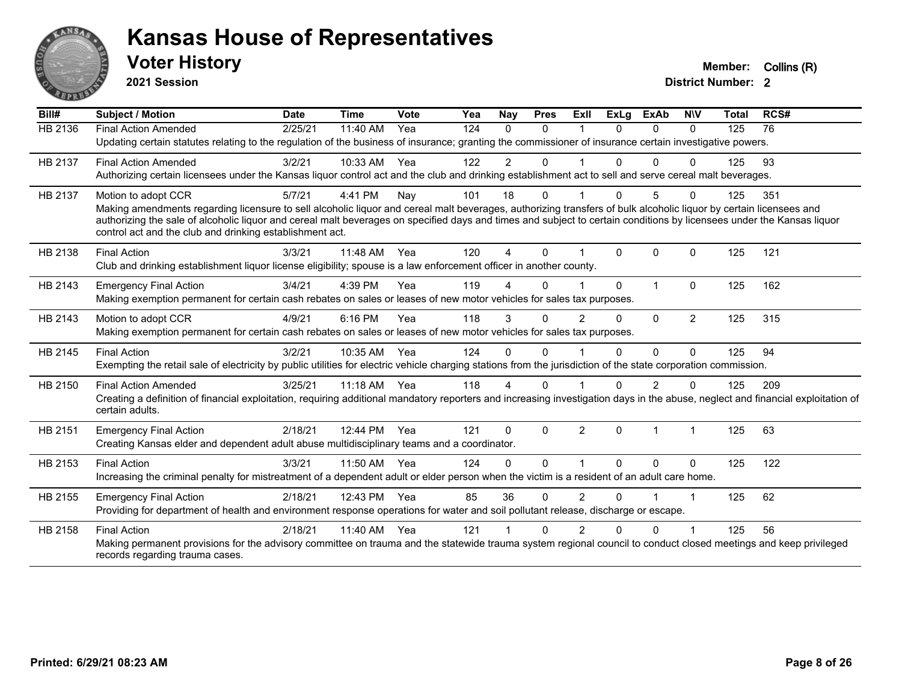

**2021 Session**

| Bill#          | <b>Subject / Motion</b>                                                                                                                                                                                                           | <b>Date</b> | <b>Time</b> | Vote | Yea | Nay      | <b>Pres</b> | ExIl           | <b>ExLg</b>  | <b>ExAb</b>  | <b>NIV</b>     | <b>Total</b> | RCS# |
|----------------|-----------------------------------------------------------------------------------------------------------------------------------------------------------------------------------------------------------------------------------|-------------|-------------|------|-----|----------|-------------|----------------|--------------|--------------|----------------|--------------|------|
| <b>HB 2136</b> | <b>Final Action Amended</b>                                                                                                                                                                                                       | 2/25/21     | 11:40 AM    | Yea  | 124 | $\Omega$ | $\Omega$    |                | <sup>n</sup> | $\Omega$     | $\Omega$       | 125          | 76   |
|                | Updating certain statutes relating to the regulation of the business of insurance; granting the commissioner of insurance certain investigative powers.                                                                           |             |             |      |     |          |             |                |              |              |                |              |      |
| HB 2137        | <b>Final Action Amended</b>                                                                                                                                                                                                       | 3/2/21      | 10:33 AM    | Yea  | 122 | 2        | $\Omega$    |                | U            | 0            | $\Omega$       | 125          | 93   |
|                | Authorizing certain licensees under the Kansas liquor control act and the club and drinking establishment act to sell and serve cereal malt beverages.                                                                            |             |             |      |     |          |             |                |              |              |                |              |      |
| HB 2137        | Motion to adopt CCR                                                                                                                                                                                                               | 5/7/21      | 4:41 PM     | Nay  | 101 | 18       | 0           |                | U            | 5            | $\Omega$       | 125          | 351  |
|                | Making amendments regarding licensure to sell alcoholic liquor and cereal malt beverages, authorizing transfers of bulk alcoholic liquor by certain licensees and                                                                 |             |             |      |     |          |             |                |              |              |                |              |      |
|                | authorizing the sale of alcoholic liquor and cereal malt beverages on specified days and times and subject to certain conditions by licensees under the Kansas liquor<br>control act and the club and drinking establishment act. |             |             |      |     |          |             |                |              |              |                |              |      |
|                |                                                                                                                                                                                                                                   |             |             |      |     |          |             |                |              |              |                |              |      |
| HB 2138        | <b>Final Action</b>                                                                                                                                                                                                               | 3/3/21      | 11:48 AM    | Yea  | 120 | 4        | $\Omega$    |                | $\Omega$     | $\Omega$     | $\Omega$       | 125          | 121  |
|                | Club and drinking establishment liquor license eligibility; spouse is a law enforcement officer in another county.                                                                                                                |             |             |      |     |          |             |                |              |              |                |              |      |
| HB 2143        | <b>Emergency Final Action</b>                                                                                                                                                                                                     | 3/4/21      | 4:39 PM     | Yea  | 119 | Δ        | $\Omega$    |                | $\Omega$     | $\mathbf{1}$ | $\Omega$       | 125          | 162  |
|                | Making exemption permanent for certain cash rebates on sales or leases of new motor vehicles for sales tax purposes.                                                                                                              |             |             |      |     |          |             |                |              |              |                |              |      |
| HB 2143        | Motion to adopt CCR                                                                                                                                                                                                               | 4/9/21      | 6:16 PM     | Yea  | 118 | 3        | 0           | $\overline{2}$ | 0            | 0            | $\overline{2}$ | 125          | 315  |
|                | Making exemption permanent for certain cash rebates on sales or leases of new motor vehicles for sales tax purposes.                                                                                                              |             |             |      |     |          |             |                |              |              |                |              |      |
| HB 2145        | <b>Final Action</b>                                                                                                                                                                                                               | 3/2/21      | 10:35 AM    | Yea  | 124 | $\Omega$ | $\Omega$    |                | 0            | $\Omega$     | $\Omega$       | 125          | 94   |
|                | Exempting the retail sale of electricity by public utilities for electric vehicle charging stations from the jurisdiction of the state corporation commission.                                                                    |             |             |      |     |          |             |                |              |              |                |              |      |
| HB 2150        | <b>Final Action Amended</b>                                                                                                                                                                                                       | 3/25/21     | 11:18 AM    | Yea  | 118 | 4        | 0           |                | n            | 2            | <sup>0</sup>   | 125          | 209  |
|                | Creating a definition of financial exploitation, requiring additional mandatory reporters and increasing investigation days in the abuse, neglect and financial exploitation of                                                   |             |             |      |     |          |             |                |              |              |                |              |      |
|                | certain adults.                                                                                                                                                                                                                   |             |             |      |     |          |             |                |              |              |                |              |      |
| HB 2151        | <b>Emergency Final Action</b>                                                                                                                                                                                                     | 2/18/21     | 12:44 PM    | Yea  | 121 | $\Omega$ | $\Omega$    | $\overline{2}$ | $\Omega$     | 1            |                | 125          | 63   |
|                | Creating Kansas elder and dependent adult abuse multidisciplinary teams and a coordinator.                                                                                                                                        |             |             |      |     |          |             |                |              |              |                |              |      |
| HB 2153        | <b>Final Action</b>                                                                                                                                                                                                               | 3/3/21      | 11:50 AM    | Yea  | 124 | $\Omega$ | 0           |                | $\Omega$     | 0            | $\mathbf{0}$   | 125          | 122  |
|                | Increasing the criminal penalty for mistreatment of a dependent adult or elder person when the victim is a resident of an adult care home.                                                                                        |             |             |      |     |          |             |                |              |              |                |              |      |
| HB 2155        | <b>Emergency Final Action</b>                                                                                                                                                                                                     | 2/18/21     | 12:43 PM    | Yea  | 85  | 36       | $\Omega$    | $\overline{2}$ | 0            |              |                | 125          | 62   |
|                | Providing for department of health and environment response operations for water and soil pollutant release, discharge or escape.                                                                                                 |             |             |      |     |          |             |                |              |              |                |              |      |
| HB 2158        | <b>Final Action</b>                                                                                                                                                                                                               | 2/18/21     | 11:40 AM    | Yea  | 121 |          | $\Omega$    | $\mathfrak{p}$ | 0            | 0            |                | 125          | 56   |
|                | Making permanent provisions for the advisory committee on trauma and the statewide trauma system regional council to conduct closed meetings and keep privileged                                                                  |             |             |      |     |          |             |                |              |              |                |              |      |
|                | records regarding trauma cases.                                                                                                                                                                                                   |             |             |      |     |          |             |                |              |              |                |              |      |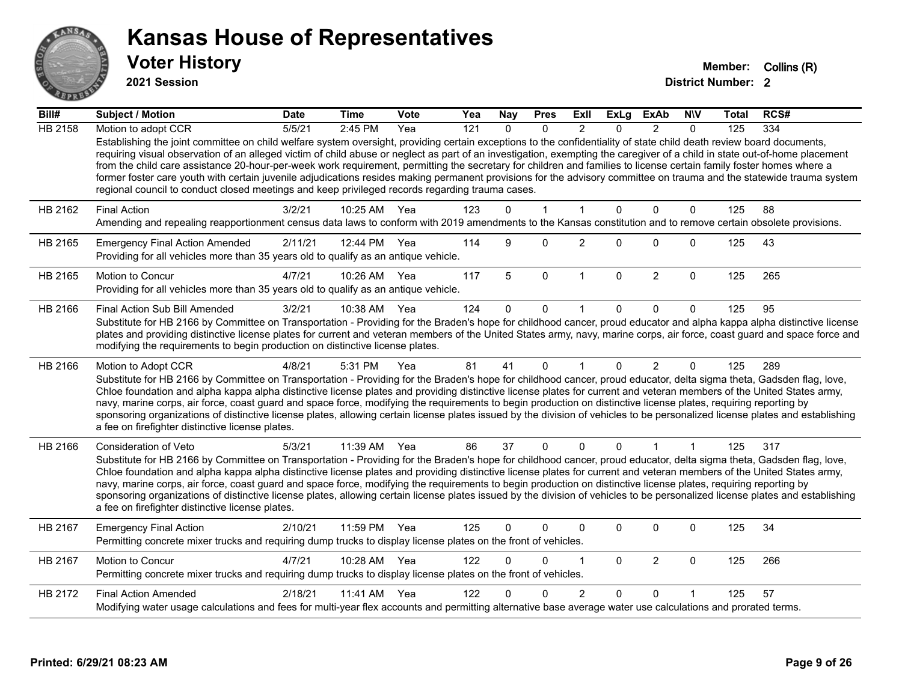

**2021 Session**

| $\overline{Bill#}$ | <b>Subject / Motion</b>                                                                                                                                                                                                                                                                                                                                                                                                                                                                                                                                                                                                                                                                                                                                                                               | <b>Date</b> | <b>Time</b>  | <b>Vote</b> | Yea | <b>Nay</b> | <b>Pres</b> | ExII           | ExLg         | <b>ExAb</b>    | <b>NIV</b>   | Total | RCS# |
|--------------------|-------------------------------------------------------------------------------------------------------------------------------------------------------------------------------------------------------------------------------------------------------------------------------------------------------------------------------------------------------------------------------------------------------------------------------------------------------------------------------------------------------------------------------------------------------------------------------------------------------------------------------------------------------------------------------------------------------------------------------------------------------------------------------------------------------|-------------|--------------|-------------|-----|------------|-------------|----------------|--------------|----------------|--------------|-------|------|
| <b>HB 2158</b>     | Motion to adopt CCR                                                                                                                                                                                                                                                                                                                                                                                                                                                                                                                                                                                                                                                                                                                                                                                   | 5/5/21      | 2:45 PM      | Yea         | 121 | $\Omega$   | $\Omega$    | $\mathcal{P}$  | $\Omega$     | $\mathcal{P}$  | $\Omega$     | 125   | 334  |
|                    | Establishing the joint committee on child welfare system oversight, providing certain exceptions to the confidentiality of state child death review board documents,<br>requiring visual observation of an alleged victim of child abuse or neglect as part of an investigation, exempting the caregiver of a child in state out-of-home placement<br>from the child care assistance 20-hour-per-week work requirement, permitting the secretary for children and families to license certain family foster homes where a<br>former foster care youth with certain juvenile adjudications resides making permanent provisions for the advisory committee on trauma and the statewide trauma system<br>regional council to conduct closed meetings and keep privileged records regarding trauma cases. |             |              |             |     |            |             |                |              |                |              |       |      |
| HB 2162            | <b>Final Action</b>                                                                                                                                                                                                                                                                                                                                                                                                                                                                                                                                                                                                                                                                                                                                                                                   | 3/2/21      | 10:25 AM     | Yea         | 123 | $\Omega$   | 1           | $\mathbf 1$    | $\Omega$     | $\mathbf{0}$   | $\mathbf{0}$ | 125   | 88   |
|                    | Amending and repealing reapportionment census data laws to conform with 2019 amendments to the Kansas constitution and to remove certain obsolete provisions.                                                                                                                                                                                                                                                                                                                                                                                                                                                                                                                                                                                                                                         |             |              |             |     |            |             |                |              |                |              |       |      |
| HB 2165            | <b>Emergency Final Action Amended</b><br>Providing for all vehicles more than 35 years old to qualify as an antique vehicle.                                                                                                                                                                                                                                                                                                                                                                                                                                                                                                                                                                                                                                                                          | 2/11/21     | 12:44 PM     | Yea         | 114 | 9          | $\Omega$    | $\overline{2}$ | $\Omega$     | $\Omega$       | $\mathbf 0$  | 125   | 43   |
| HB 2165            | <b>Motion to Concur</b><br>Providing for all vehicles more than 35 years old to qualify as an antique vehicle.                                                                                                                                                                                                                                                                                                                                                                                                                                                                                                                                                                                                                                                                                        | 4/7/21      | 10:26 AM     | Yea         | 117 | 5          | $\pmb{0}$   | $\mathbf{1}$   | $\mathbf 0$  | $\overline{2}$ | $\mathbf 0$  | 125   | 265  |
| HB 2166            | Final Action Sub Bill Amended                                                                                                                                                                                                                                                                                                                                                                                                                                                                                                                                                                                                                                                                                                                                                                         | 3/2/21      | 10:38 AM     | Yea         | 124 | 0          | 0           |                | 0            | $\Omega$       | $\Omega$     | 125   | 95   |
|                    | Substitute for HB 2166 by Committee on Transportation - Providing for the Braden's hope for childhood cancer, proud educator and alpha kappa alpha distinctive license<br>plates and providing distinctive license plates for current and veteran members of the United States army, navy, marine corps, air force, coast guard and space force and<br>modifying the requirements to begin production on distinctive license plates.                                                                                                                                                                                                                                                                                                                                                                  |             |              |             |     |            |             |                |              |                |              |       |      |
| HB 2166            | Motion to Adopt CCR                                                                                                                                                                                                                                                                                                                                                                                                                                                                                                                                                                                                                                                                                                                                                                                   | 4/8/21      | 5:31 PM      | Yea         | 81  | 41         | $\Omega$    |                | $\Omega$     | $\overline{2}$ | $\Omega$     | 125   | 289  |
|                    | Substitute for HB 2166 by Committee on Transportation - Providing for the Braden's hope for childhood cancer, proud educator, delta sigma theta, Gadsden flag, love,<br>Chloe foundation and alpha kappa alpha distinctive license plates and providing distinctive license plates for current and veteran members of the United States army,<br>navy, marine corps, air force, coast guard and space force, modifying the requirements to begin production on distinctive license plates, requiring reporting by<br>sponsoring organizations of distinctive license plates, allowing certain license plates issued by the division of vehicles to be personalized license plates and establishing<br>a fee on firefighter distinctive license plates.                                                |             |              |             |     |            |             |                |              |                |              |       |      |
| HB 2166            | Consideration of Veto                                                                                                                                                                                                                                                                                                                                                                                                                                                                                                                                                                                                                                                                                                                                                                                 | 5/3/21      | 11:39 AM     | Yea         | 86  | 37         | $\mathbf 0$ | $\mathbf{0}$   | $\Omega$     | $\mathbf 1$    | $\mathbf{1}$ | 125   | 317  |
|                    | Substitute for HB 2166 by Committee on Transportation - Providing for the Braden's hope for childhood cancer, proud educator, delta sigma theta, Gadsden flag, love,<br>Chloe foundation and alpha kappa alpha distinctive license plates and providing distinctive license plates for current and veteran members of the United States army,<br>navy, marine corps, air force, coast guard and space force, modifying the requirements to begin production on distinctive license plates, requiring reporting by<br>sponsoring organizations of distinctive license plates, allowing certain license plates issued by the division of vehicles to be personalized license plates and establishing<br>a fee on firefighter distinctive license plates.                                                |             |              |             |     |            |             |                |              |                |              |       |      |
| HB 2167            | <b>Emergency Final Action</b><br>Permitting concrete mixer trucks and requiring dump trucks to display license plates on the front of vehicles.                                                                                                                                                                                                                                                                                                                                                                                                                                                                                                                                                                                                                                                       | 2/10/21     | 11:59 PM     | Yea         | 125 | $\Omega$   | 0           | $\Omega$       | 0            | 0              | $\mathbf 0$  | 125   | 34   |
| HB 2167            | Motion to Concur<br>Permitting concrete mixer trucks and requiring dump trucks to display license plates on the front of vehicles.                                                                                                                                                                                                                                                                                                                                                                                                                                                                                                                                                                                                                                                                    | 4/7/21      | 10:28 AM     | Yea         | 122 | $\Omega$   | 0           | 1              | $\mathbf{0}$ | $\overline{2}$ | $\mathbf 0$  | 125   | 266  |
| HB 2172            | <b>Final Action Amended</b>                                                                                                                                                                                                                                                                                                                                                                                                                                                                                                                                                                                                                                                                                                                                                                           | 2/18/21     | 11:41 AM Yea |             | 122 | U          | 0           | $\overline{2}$ | $\Omega$     | $\Omega$       |              | 125   | 57   |
|                    | Modifying water usage calculations and fees for multi-year flex accounts and permitting alternative base average water use calculations and prorated terms.                                                                                                                                                                                                                                                                                                                                                                                                                                                                                                                                                                                                                                           |             |              |             |     |            |             |                |              |                |              |       |      |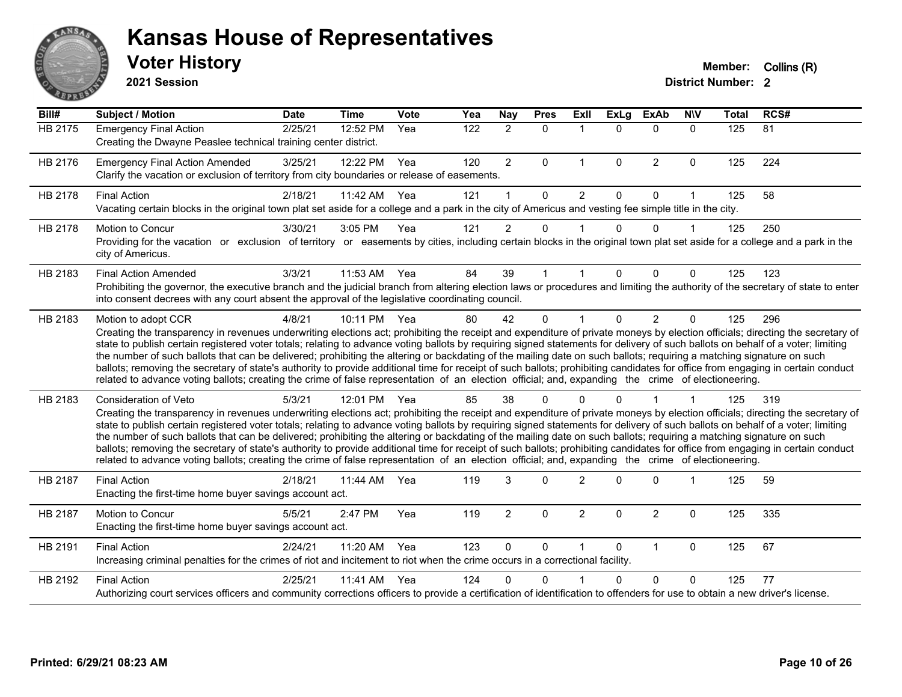

**2021 Session**

| Bill#   | <b>Subject / Motion</b>                                                                                                                                                                                                                                                                                                                                                                                                                                                                                                                                                                                                                                                                                                                                                                                                                                                                                    | <b>Date</b> | <b>Time</b> | <b>Vote</b> | Yea              | <b>Nay</b>     | <b>Pres</b> | ExIl           | <b>ExLg</b> | <b>ExAb</b>    | <b>NIV</b>   | <b>Total</b> | RCS# |
|---------|------------------------------------------------------------------------------------------------------------------------------------------------------------------------------------------------------------------------------------------------------------------------------------------------------------------------------------------------------------------------------------------------------------------------------------------------------------------------------------------------------------------------------------------------------------------------------------------------------------------------------------------------------------------------------------------------------------------------------------------------------------------------------------------------------------------------------------------------------------------------------------------------------------|-------------|-------------|-------------|------------------|----------------|-------------|----------------|-------------|----------------|--------------|--------------|------|
| HB 2175 | <b>Emergency Final Action</b><br>Creating the Dwayne Peaslee technical training center district.                                                                                                                                                                                                                                                                                                                                                                                                                                                                                                                                                                                                                                                                                                                                                                                                           | 2/25/21     | 12:52 PM    | Yea         | $\overline{122}$ | $\overline{2}$ | $\Omega$    | $\mathbf 1$    | $\Omega$    | $\Omega$       | $\Omega$     | 125          | 81   |
| HB 2176 | <b>Emergency Final Action Amended</b><br>Clarify the vacation or exclusion of territory from city boundaries or release of easements.                                                                                                                                                                                                                                                                                                                                                                                                                                                                                                                                                                                                                                                                                                                                                                      | 3/25/21     | 12:22 PM    | Yea         | 120              | $\overline{2}$ | 0           | $\mathbf{1}$   | $\mathbf 0$ | $\overline{2}$ | $\mathbf 0$  | 125          | 224  |
| HB 2178 | <b>Final Action</b><br>Vacating certain blocks in the original town plat set aside for a college and a park in the city of Americus and vesting fee simple title in the city.                                                                                                                                                                                                                                                                                                                                                                                                                                                                                                                                                                                                                                                                                                                              | 2/18/21     | 11:42 AM    | Yea         | 121              | 1              | $\Omega$    | $\overline{2}$ | $\Omega$    | $\Omega$       | $\mathbf{1}$ | 125          | 58   |
| HB 2178 | <b>Motion to Concur</b><br>Providing for the vacation or exclusion of territory or easements by cities, including certain blocks in the original town plat set aside for a college and a park in the<br>city of Americus.                                                                                                                                                                                                                                                                                                                                                                                                                                                                                                                                                                                                                                                                                  | 3/30/21     | 3:05 PM     | Yea         | 121              | $\overline{2}$ | 0           |                | $\Omega$    | $\Omega$       | $\mathbf 1$  | 125          | 250  |
| HB 2183 | <b>Final Action Amended</b><br>Prohibiting the governor, the executive branch and the judicial branch from altering election laws or procedures and limiting the authority of the secretary of state to enter<br>into consent decrees with any court absent the approval of the legislative coordinating council.                                                                                                                                                                                                                                                                                                                                                                                                                                                                                                                                                                                          | 3/3/21      | 11:53 AM    | Yea         | 84               | 39             |             |                | 0           | 0              | $\Omega$     | 125          | 123  |
| HB 2183 | Motion to adopt CCR<br>Creating the transparency in revenues underwriting elections act; prohibiting the receipt and expenditure of private moneys by election officials; directing the secretary of<br>state to publish certain registered voter totals; relating to advance voting ballots by requiring signed statements for delivery of such ballots on behalf of a voter; limiting<br>the number of such ballots that can be delivered; prohibiting the altering or backdating of the mailing date on such ballots; requiring a matching signature on such<br>ballots; removing the secretary of state's authority to provide additional time for receipt of such ballots; prohibiting candidates for office from engaging in certain conduct<br>related to advance voting ballots; creating the crime of false representation of an election official; and, expanding the crime of electioneering.   | 4/8/21      | 10:11 PM    | Yea         | 80               | 42             | $\Omega$    |                | $\Omega$    | $\overline{2}$ | $\mathbf{0}$ | 125          | 296  |
| HB 2183 | Consideration of Veto<br>Creating the transparency in revenues underwriting elections act; prohibiting the receipt and expenditure of private moneys by election officials; directing the secretary of<br>state to publish certain registered voter totals; relating to advance voting ballots by requiring signed statements for delivery of such ballots on behalf of a voter; limiting<br>the number of such ballots that can be delivered; prohibiting the altering or backdating of the mailing date on such ballots; requiring a matching signature on such<br>ballots; removing the secretary of state's authority to provide additional time for receipt of such ballots; prohibiting candidates for office from engaging in certain conduct<br>related to advance voting ballots; creating the crime of false representation of an election official; and, expanding the crime of electioneering. | 5/3/21      | 12:01 PM    | Yea         | 85               | 38             | O           |                |             |                |              | 125          | 319  |
| HB 2187 | <b>Final Action</b><br>Enacting the first-time home buyer savings account act.                                                                                                                                                                                                                                                                                                                                                                                                                                                                                                                                                                                                                                                                                                                                                                                                                             | 2/18/21     | 11:44 AM    | Yea         | 119              | 3              | $\Omega$    | $\overline{2}$ | $\Omega$    | $\Omega$       | 1            | 125          | 59   |
| HB 2187 | Motion to Concur<br>Enacting the first-time home buyer savings account act.                                                                                                                                                                                                                                                                                                                                                                                                                                                                                                                                                                                                                                                                                                                                                                                                                                | 5/5/21      | 2:47 PM     | Yea         | 119              | $\overline{a}$ | 0           | $\overline{2}$ | $\Omega$    | $\overline{2}$ | $\mathbf 0$  | 125          | 335  |
| HB 2191 | <b>Final Action</b><br>Increasing criminal penalties for the crimes of riot and incitement to riot when the crime occurs in a correctional facility.                                                                                                                                                                                                                                                                                                                                                                                                                                                                                                                                                                                                                                                                                                                                                       | 2/24/21     | 11:20 AM    | Yea         | 123              | $\Omega$       | 0           | 1              | $\Omega$    | $\mathbf{1}$   | $\mathbf 0$  | 125          | 67   |
| HB 2192 | <b>Final Action</b><br>Authorizing court services officers and community corrections officers to provide a certification of identification to offenders for use to obtain a new driver's license.                                                                                                                                                                                                                                                                                                                                                                                                                                                                                                                                                                                                                                                                                                          | 2/25/21     | 11:41 AM    | Yea         | 124              | 0              | U           |                | 0           | $\Omega$       | 0            | 125          | 77   |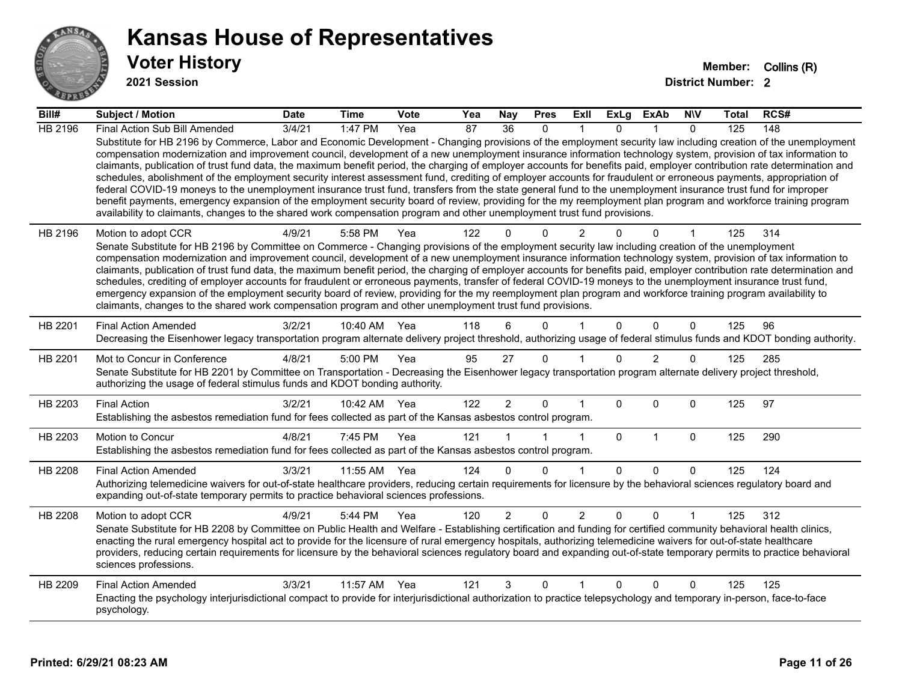

**2021 Session**

| Bill#          | <b>Subject / Motion</b>                                                                                                                                                                                                                                                                                                                                                                                                                                                                                                                                                                                                                                                                                                                                                                                                                                                                                                                                                                                                                                                                                                                           | <b>Date</b> | <b>Time</b>  | <b>Vote</b> | Yea             | Nay             | <b>Pres</b>  | ExII           | <b>ExLg</b>  | ExAb           | <b>NIV</b>   | Total | RCS# |
|----------------|---------------------------------------------------------------------------------------------------------------------------------------------------------------------------------------------------------------------------------------------------------------------------------------------------------------------------------------------------------------------------------------------------------------------------------------------------------------------------------------------------------------------------------------------------------------------------------------------------------------------------------------------------------------------------------------------------------------------------------------------------------------------------------------------------------------------------------------------------------------------------------------------------------------------------------------------------------------------------------------------------------------------------------------------------------------------------------------------------------------------------------------------------|-------------|--------------|-------------|-----------------|-----------------|--------------|----------------|--------------|----------------|--------------|-------|------|
| HB 2196        | Final Action Sub Bill Amended                                                                                                                                                                                                                                                                                                                                                                                                                                                                                                                                                                                                                                                                                                                                                                                                                                                                                                                                                                                                                                                                                                                     | 3/4/21      | 1:47 PM      | Yea         | $\overline{87}$ | $\overline{36}$ | $\Omega$     |                | $\Omega$     |                | $\Omega$     | 125   | 148  |
|                | Substitute for HB 2196 by Commerce, Labor and Economic Development - Changing provisions of the employment security law including creation of the unemployment<br>compensation modernization and improvement council, development of a new unemployment insurance information technology system, provision of tax information to<br>claimants, publication of trust fund data, the maximum benefit period, the charging of employer accounts for benefits paid, employer contribution rate determination and<br>schedules, abolishment of the employment security interest assessment fund, crediting of employer accounts for fraudulent or erroneous payments, appropriation of<br>federal COVID-19 moneys to the unemployment insurance trust fund, transfers from the state general fund to the unemployment insurance trust fund for improper<br>benefit payments, emergency expansion of the employment security board of review, providing for the my reemployment plan program and workforce training program<br>availability to claimants, changes to the shared work compensation program and other unemployment trust fund provisions. |             |              |             |                 |                 |              |                |              |                |              |       |      |
| HB 2196        | Motion to adopt CCR                                                                                                                                                                                                                                                                                                                                                                                                                                                                                                                                                                                                                                                                                                                                                                                                                                                                                                                                                                                                                                                                                                                               | 4/9/21      | 5:58 PM      | Yea         | 122             |                 | $\Omega$     | 2              |              | 0              |              | 125   | 314  |
|                | Senate Substitute for HB 2196 by Committee on Commerce - Changing provisions of the employment security law including creation of the unemployment<br>compensation modernization and improvement council, development of a new unemployment insurance information technology system, provision of tax information to                                                                                                                                                                                                                                                                                                                                                                                                                                                                                                                                                                                                                                                                                                                                                                                                                              |             |              |             |                 |                 |              |                |              |                |              |       |      |
|                | claimants, publication of trust fund data, the maximum benefit period, the charging of employer accounts for benefits paid, employer contribution rate determination and                                                                                                                                                                                                                                                                                                                                                                                                                                                                                                                                                                                                                                                                                                                                                                                                                                                                                                                                                                          |             |              |             |                 |                 |              |                |              |                |              |       |      |
|                | schedules, crediting of employer accounts for fraudulent or erroneous payments, transfer of federal COVID-19 moneys to the unemployment insurance trust fund,                                                                                                                                                                                                                                                                                                                                                                                                                                                                                                                                                                                                                                                                                                                                                                                                                                                                                                                                                                                     |             |              |             |                 |                 |              |                |              |                |              |       |      |
|                | emergency expansion of the employment security board of review, providing for the my reemployment plan program and workforce training program availability to<br>claimants, changes to the shared work compensation program and other unemployment trust fund provisions.                                                                                                                                                                                                                                                                                                                                                                                                                                                                                                                                                                                                                                                                                                                                                                                                                                                                         |             |              |             |                 |                 |              |                |              |                |              |       |      |
|                |                                                                                                                                                                                                                                                                                                                                                                                                                                                                                                                                                                                                                                                                                                                                                                                                                                                                                                                                                                                                                                                                                                                                                   |             |              |             |                 |                 |              |                |              |                |              |       |      |
| HB 2201        | <b>Final Action Amended</b><br>Decreasing the Eisenhower legacy transportation program alternate delivery project threshold, authorizing usage of federal stimulus funds and KDOT bonding authority.                                                                                                                                                                                                                                                                                                                                                                                                                                                                                                                                                                                                                                                                                                                                                                                                                                                                                                                                              | 3/2/21      | 10:40 AM     | Yea         | 118             | 6               | $\Omega$     |                | $\Omega$     | $\Omega$       | $\mathbf{0}$ | 125   | 96   |
|                |                                                                                                                                                                                                                                                                                                                                                                                                                                                                                                                                                                                                                                                                                                                                                                                                                                                                                                                                                                                                                                                                                                                                                   |             |              |             |                 |                 |              |                |              |                |              |       |      |
| HB 2201        | Mot to Concur in Conference<br>Senate Substitute for HB 2201 by Committee on Transportation - Decreasing the Eisenhower legacy transportation program alternate delivery project threshold,                                                                                                                                                                                                                                                                                                                                                                                                                                                                                                                                                                                                                                                                                                                                                                                                                                                                                                                                                       | 4/8/21      | 5:00 PM      | Yea         | 95              | 27              | $\mathbf{0}$ |                | $\Omega$     | $\overline{2}$ | 0            | 125   | 285  |
|                | authorizing the usage of federal stimulus funds and KDOT bonding authority.                                                                                                                                                                                                                                                                                                                                                                                                                                                                                                                                                                                                                                                                                                                                                                                                                                                                                                                                                                                                                                                                       |             |              |             |                 |                 |              |                |              |                |              |       |      |
| HB 2203        | <b>Final Action</b>                                                                                                                                                                                                                                                                                                                                                                                                                                                                                                                                                                                                                                                                                                                                                                                                                                                                                                                                                                                                                                                                                                                               | 3/2/21      | 10:42 AM Yea |             | 122             | $\overline{2}$  | $\mathbf 0$  |                | $\Omega$     | $\Omega$       | $\mathbf{0}$ | 125   | 97   |
|                | Establishing the asbestos remediation fund for fees collected as part of the Kansas asbestos control program.                                                                                                                                                                                                                                                                                                                                                                                                                                                                                                                                                                                                                                                                                                                                                                                                                                                                                                                                                                                                                                     |             |              |             |                 |                 |              |                |              |                |              |       |      |
| HB 2203        | Motion to Concur                                                                                                                                                                                                                                                                                                                                                                                                                                                                                                                                                                                                                                                                                                                                                                                                                                                                                                                                                                                                                                                                                                                                  | 4/8/21      | 7:45 PM      | Yea         | 121             |                 |              | 1              | $\mathbf{0}$ | $\mathbf{1}$   | $\mathbf 0$  | 125   | 290  |
|                | Establishing the asbestos remediation fund for fees collected as part of the Kansas asbestos control program.                                                                                                                                                                                                                                                                                                                                                                                                                                                                                                                                                                                                                                                                                                                                                                                                                                                                                                                                                                                                                                     |             |              |             |                 |                 |              |                |              |                |              |       |      |
| HB 2208        | <b>Final Action Amended</b>                                                                                                                                                                                                                                                                                                                                                                                                                                                                                                                                                                                                                                                                                                                                                                                                                                                                                                                                                                                                                                                                                                                       | 3/3/21      | 11:55 AM     | Yea         | 124             | $\Omega$        | $\Omega$     | 1              | $\Omega$     | $\Omega$       | $\Omega$     | 125   | 124  |
|                | Authorizing telemedicine waivers for out-of-state healthcare providers, reducing certain requirements for licensure by the behavioral sciences regulatory board and                                                                                                                                                                                                                                                                                                                                                                                                                                                                                                                                                                                                                                                                                                                                                                                                                                                                                                                                                                               |             |              |             |                 |                 |              |                |              |                |              |       |      |
|                | expanding out-of-state temporary permits to practice behavioral sciences professions.                                                                                                                                                                                                                                                                                                                                                                                                                                                                                                                                                                                                                                                                                                                                                                                                                                                                                                                                                                                                                                                             |             |              |             |                 |                 |              |                |              |                |              |       |      |
| <b>HB 2208</b> | Motion to adopt CCR                                                                                                                                                                                                                                                                                                                                                                                                                                                                                                                                                                                                                                                                                                                                                                                                                                                                                                                                                                                                                                                                                                                               | 4/9/21      | 5:44 PM      | Yea         | 120             | $\overline{2}$  | $\mathbf 0$  | $\overline{2}$ | $\Omega$     | $\Omega$       |              | 125   | 312  |
|                | Senate Substitute for HB 2208 by Committee on Public Health and Welfare - Establishing certification and funding for certified community behavioral health clinics,<br>enacting the rural emergency hospital act to provide for the licensure of rural emergency hospitals, authorizing telemedicine waivers for out-of-state healthcare                                                                                                                                                                                                                                                                                                                                                                                                                                                                                                                                                                                                                                                                                                                                                                                                          |             |              |             |                 |                 |              |                |              |                |              |       |      |
|                | providers, reducing certain requirements for licensure by the behavioral sciences regulatory board and expanding out-of-state temporary permits to practice behavioral                                                                                                                                                                                                                                                                                                                                                                                                                                                                                                                                                                                                                                                                                                                                                                                                                                                                                                                                                                            |             |              |             |                 |                 |              |                |              |                |              |       |      |
|                | sciences professions.                                                                                                                                                                                                                                                                                                                                                                                                                                                                                                                                                                                                                                                                                                                                                                                                                                                                                                                                                                                                                                                                                                                             |             |              |             |                 |                 |              |                |              |                |              |       |      |
| HB 2209        | <b>Final Action Amended</b>                                                                                                                                                                                                                                                                                                                                                                                                                                                                                                                                                                                                                                                                                                                                                                                                                                                                                                                                                                                                                                                                                                                       | 3/3/21      | 11:57 AM     | Yea         | 121             | 3               | $\mathbf{0}$ | 1              | $\Omega$     | $\Omega$       | $\mathbf{0}$ | 125   | 125  |
|                | Enacting the psychology interjurisdictional compact to provide for interjurisdictional authorization to practice telepsychology and temporary in-person, face-to-face<br>psychology.                                                                                                                                                                                                                                                                                                                                                                                                                                                                                                                                                                                                                                                                                                                                                                                                                                                                                                                                                              |             |              |             |                 |                 |              |                |              |                |              |       |      |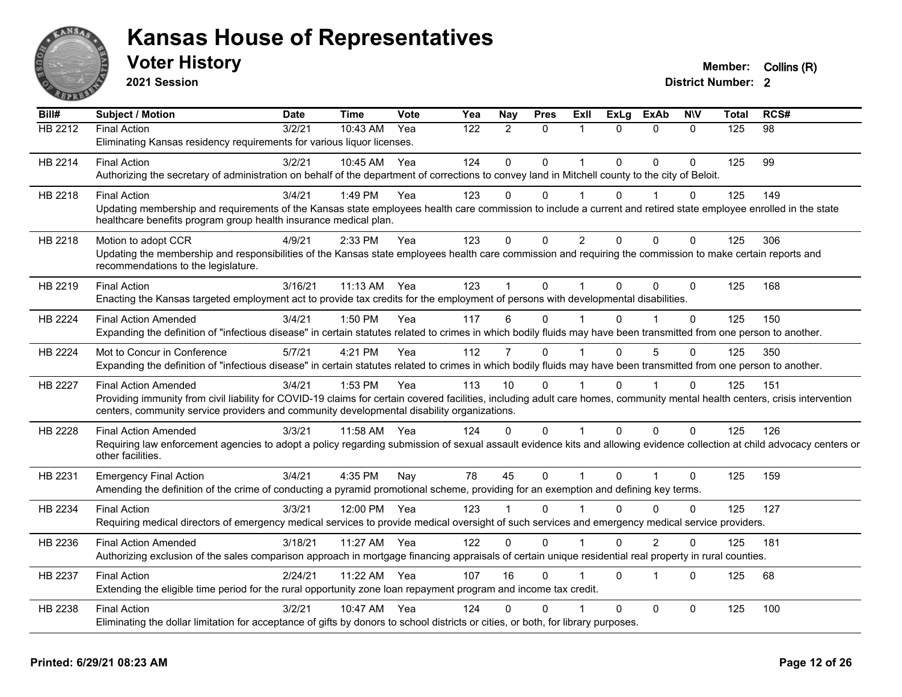

**2021 Session**

| Bill#          | <b>Subject / Motion</b>                                                                                                                                                      | <b>Date</b> | <b>Time</b> | <b>Vote</b> | Yea | Nay            | <b>Pres</b>  | Exll           | <b>ExLg</b> | <b>ExAb</b>    | <b>NIV</b>   | Total | RCS# |
|----------------|------------------------------------------------------------------------------------------------------------------------------------------------------------------------------|-------------|-------------|-------------|-----|----------------|--------------|----------------|-------------|----------------|--------------|-------|------|
| HB 2212        | <b>Final Action</b>                                                                                                                                                          | 3/2/21      | 10:43 AM    | Yea         | 122 | $\overline{2}$ | $\mathbf{0}$ | 1              | $\Omega$    | $\Omega$       | $\Omega$     | 125   | 98   |
|                | Eliminating Kansas residency requirements for various liquor licenses.                                                                                                       |             |             |             |     |                |              |                |             |                |              |       |      |
| HB 2214        | <b>Final Action</b>                                                                                                                                                          | 3/2/21      | 10:45 AM    | Yea         | 124 | $\Omega$       | $\Omega$     | 1              | $\Omega$    | $\Omega$       | $\Omega$     | 125   | 99   |
|                | Authorizing the secretary of administration on behalf of the department of corrections to convey land in Mitchell county to the city of Beloit.                              |             |             |             |     |                |              |                |             |                |              |       |      |
| HB 2218        | <b>Final Action</b>                                                                                                                                                          | 3/4/21      | 1:49 PM     | Yea         | 123 | 0              | $\Omega$     |                | $\Omega$    |                | 0            | 125   | 149  |
|                | Updating membership and requirements of the Kansas state employees health care commission to include a current and retired state employee enrolled in the state              |             |             |             |     |                |              |                |             |                |              |       |      |
|                | healthcare benefits program group health insurance medical plan.                                                                                                             |             |             |             |     |                |              |                |             |                |              |       |      |
| HB 2218        | Motion to adopt CCR                                                                                                                                                          | 4/9/21      | 2:33 PM     | Yea         | 123 | $\pmb{0}$      | $\mathbf 0$  | $\overline{2}$ | $\Omega$    | $\mathbf 0$    | 0            | 125   | 306  |
|                | Updating the membership and responsibilities of the Kansas state employees health care commission and requiring the commission to make certain reports and                   |             |             |             |     |                |              |                |             |                |              |       |      |
|                | recommendations to the legislature.                                                                                                                                          |             |             |             |     |                |              |                |             |                |              |       |      |
| HB 2219        | <b>Final Action</b>                                                                                                                                                          | 3/16/21     | 11:13 AM    | Yea         | 123 |                | $\mathbf 0$  |                | $\Omega$    | $\Omega$       | $\Omega$     | 125   | 168  |
|                | Enacting the Kansas targeted employment act to provide tax credits for the employment of persons with developmental disabilities.                                            |             |             |             |     |                |              |                |             |                |              |       |      |
| HB 2224        | <b>Final Action Amended</b>                                                                                                                                                  | 3/4/21      | 1:50 PM     | Yea         | 117 | 6              | $\Omega$     |                | U           |                | $\Omega$     | 125   | 150  |
|                | Expanding the definition of "infectious disease" in certain statutes related to crimes in which bodily fluids may have been transmitted from one person to another.          |             |             |             |     |                |              |                |             |                |              |       |      |
| <b>HB 2224</b> | Mot to Concur in Conference                                                                                                                                                  | 5/7/21      | 4:21 PM     | Yea         | 112 | 7              | $\Omega$     |                | $\Omega$    | 5              | $\Omega$     | 125   | 350  |
|                | Expanding the definition of "infectious disease" in certain statutes related to crimes in which bodily fluids may have been transmitted from one person to another.          |             |             |             |     |                |              |                |             |                |              |       |      |
| <b>HB 2227</b> | <b>Final Action Amended</b>                                                                                                                                                  | 3/4/21      | 1:53 PM     | Yea         | 113 | 10             | $\Omega$     |                | $\Omega$    |                | $\Omega$     | 125   | 151  |
|                | Providing immunity from civil liability for COVID-19 claims for certain covered facilities, including adult care homes, community mental health centers, crisis intervention |             |             |             |     |                |              |                |             |                |              |       |      |
|                | centers, community service providers and community developmental disability organizations.                                                                                   |             |             |             |     |                |              |                |             |                |              |       |      |
| <b>HB 2228</b> | <b>Final Action Amended</b>                                                                                                                                                  | 3/3/21      | 11:58 AM    | Yea         | 124 | $\Omega$       | $\mathbf{0}$ | 1              | $\Omega$    | $\mathbf{0}$   | $\Omega$     | 125   | 126  |
|                | Requiring law enforcement agencies to adopt a policy regarding submission of sexual assault evidence kits and allowing evidence collection at child advocacy centers or      |             |             |             |     |                |              |                |             |                |              |       |      |
|                | other facilities.                                                                                                                                                            |             |             |             |     |                |              |                |             |                |              |       |      |
| HB 2231        | <b>Emergency Final Action</b>                                                                                                                                                | 3/4/21      | 4:35 PM     | Nay         | 78  | 45             | $\mathbf{0}$ | 1              | $\Omega$    | $\overline{1}$ | $\mathbf{0}$ | 125   | 159  |
|                | Amending the definition of the crime of conducting a pyramid promotional scheme, providing for an exemption and defining key terms.                                          |             |             |             |     |                |              |                |             |                |              |       |      |
| HB 2234        | <b>Final Action</b>                                                                                                                                                          | 3/3/21      | 12:00 PM    | Yea         | 123 |                | $\Omega$     |                | $\Omega$    | $\Omega$       | $\Omega$     | 125   | 127  |
|                | Requiring medical directors of emergency medical services to provide medical oversight of such services and emergency medical service providers.                             |             |             |             |     |                |              |                |             |                |              |       |      |
| HB 2236        | <b>Final Action Amended</b>                                                                                                                                                  | 3/18/21     | 11:27 AM    | Yea         | 122 | $\mathbf 0$    | 0            |                | $\Omega$    | $\overline{2}$ | 0            | 125   | 181  |
|                | Authorizing exclusion of the sales comparison approach in mortgage financing appraisals of certain unique residential real property in rural counties.                       |             |             |             |     |                |              |                |             |                |              |       |      |
|                | <b>Final Action</b>                                                                                                                                                          | 2/24/21     | 11:22 AM    |             | 107 | 16             | $\Omega$     |                | $\Omega$    | 1              | $\Omega$     | 125   | 68   |
| HB 2237        | Extending the eligible time period for the rural opportunity zone loan repayment program and income tax credit.                                                              |             |             | Yea         |     |                |              |                |             |                |              |       |      |
|                |                                                                                                                                                                              |             |             |             |     |                |              |                |             |                |              |       |      |
| HB 2238        | <b>Final Action</b>                                                                                                                                                          | 3/2/21      | 10:47 AM    | Yea         | 124 | U              | 0            |                | $\Omega$    | $\mathbf{0}$   | $\Omega$     | 125   | 100  |
|                | Eliminating the dollar limitation for acceptance of gifts by donors to school districts or cities, or both, for library purposes.                                            |             |             |             |     |                |              |                |             |                |              |       |      |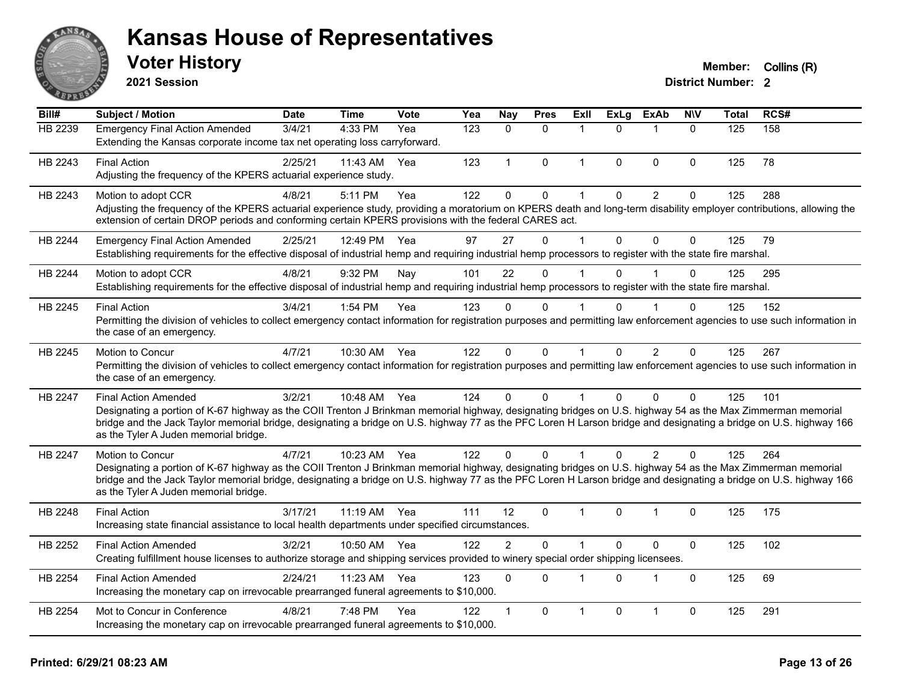

**2021 Session**

#### **Voter History Member:** Collins (R)

| Bill#   | Subject / Motion                                                                                                                                                                                                                                                                                                                                                                                         | <b>Date</b> | <b>Time</b>  | <b>Vote</b> | Yea | <b>Nay</b>     | <b>Pres</b>  | <b>Exll</b>  | <b>ExLg</b>  | <b>ExAb</b>    | <b>N\V</b>   | <b>Total</b> | RCS# |
|---------|----------------------------------------------------------------------------------------------------------------------------------------------------------------------------------------------------------------------------------------------------------------------------------------------------------------------------------------------------------------------------------------------------------|-------------|--------------|-------------|-----|----------------|--------------|--------------|--------------|----------------|--------------|--------------|------|
| HB 2239 | <b>Emergency Final Action Amended</b><br>Extending the Kansas corporate income tax net operating loss carryforward.                                                                                                                                                                                                                                                                                      | 3/4/21      | 4:33 PM      | Yea         | 123 | $\mathbf{0}$   | $\mathbf{0}$ | 1            | $\Omega$     | $\mathbf{1}$   | $\mathbf{0}$ | 125          | 158  |
| HB 2243 | <b>Final Action</b><br>Adjusting the frequency of the KPERS actuarial experience study.                                                                                                                                                                                                                                                                                                                  | 2/25/21     | $11:43$ AM   | Yea         | 123 | $\overline{1}$ | $\Omega$     | $\mathbf{1}$ | $\Omega$     | $\mathbf{0}$   | $\Omega$     | 125          | 78   |
| HB 2243 | Motion to adopt CCR<br>Adjusting the frequency of the KPERS actuarial experience study, providing a moratorium on KPERS death and long-term disability employer contributions, allowing the<br>extension of certain DROP periods and conforming certain KPERS provisions with the federal CARES act.                                                                                                     | 4/8/21      | 5:11 PM      | Yea         | 122 | $\mathbf 0$    | 0            | 1            | $\mathbf 0$  | $\overline{2}$ | $\mathbf 0$  | 125          | 288  |
| HB 2244 | <b>Emergency Final Action Amended</b><br>Establishing requirements for the effective disposal of industrial hemp and requiring industrial hemp processors to register with the state fire marshal.                                                                                                                                                                                                       | 2/25/21     | 12:49 PM     | Yea         | 97  | 27             | $\mathbf 0$  | 1            | $\mathbf{0}$ | $\mathbf{0}$   | $\mathbf 0$  | 125          | 79   |
| HB 2244 | Motion to adopt CCR<br>Establishing requirements for the effective disposal of industrial hemp and requiring industrial hemp processors to register with the state fire marshal.                                                                                                                                                                                                                         | 4/8/21      | 9:32 PM      | Nay         | 101 | 22             | $\Omega$     | 1            | $\Omega$     |                | $\Omega$     | 125          | 295  |
| HB 2245 | <b>Final Action</b><br>Permitting the division of vehicles to collect emergency contact information for registration purposes and permitting law enforcement agencies to use such information in<br>the case of an emergency.                                                                                                                                                                            | 3/4/21      | 1:54 PM      | Yea         | 123 | $\Omega$       | 0            |              | $\Omega$     |                | $\Omega$     | 125          | 152  |
| HB 2245 | Motion to Concur<br>Permitting the division of vehicles to collect emergency contact information for registration purposes and permitting law enforcement agencies to use such information in<br>the case of an emergency.                                                                                                                                                                               | 4/7/21      | 10:30 AM     | Yea         | 122 | $\Omega$       | $\mathbf 0$  | $\mathbf{1}$ | $\mathbf{0}$ | $\overline{2}$ | 0            | 125          | 267  |
| HB 2247 | <b>Final Action Amended</b><br>Designating a portion of K-67 highway as the COII Trenton J Brinkman memorial highway, designating bridges on U.S. highway 54 as the Max Zimmerman memorial<br>bridge and the Jack Taylor memorial bridge, designating a bridge on U.S. highway 77 as the PFC Loren H Larson bridge and designating a bridge on U.S. highway 166<br>as the Tyler A Juden memorial bridge. | 3/2/21      | 10:48 AM Yea |             | 124 | $\Omega$       | $\Omega$     | 1            | $\Omega$     | $\Omega$       | $\mathbf{0}$ | 125          | 101  |
| HB 2247 | Motion to Concur<br>Designating a portion of K-67 highway as the COII Trenton J Brinkman memorial highway, designating bridges on U.S. highway 54 as the Max Zimmerman memorial<br>bridge and the Jack Taylor memorial bridge, designating a bridge on U.S. highway 77 as the PFC Loren H Larson bridge and designating a bridge on U.S. highway 166<br>as the Tyler A Juden memorial bridge.            | 4/7/21      | 10:23 AM Yea |             | 122 | $\Omega$       | $\Omega$     |              | $\Omega$     | 2              | $\Omega$     | 125          | 264  |
| HB 2248 | <b>Final Action</b><br>Increasing state financial assistance to local health departments under specified circumstances.                                                                                                                                                                                                                                                                                  | 3/17/21     | 11:19 AM Yea |             | 111 | 12             | $\Omega$     | $\mathbf{1}$ | $\Omega$     | $\overline{1}$ | 0            | 125          | 175  |
| HB 2252 | <b>Final Action Amended</b><br>Creating fulfillment house licenses to authorize storage and shipping services provided to winery special order shipping licensees.                                                                                                                                                                                                                                       | 3/2/21      | 10:50 AM     | Yea         | 122 | $\overline{2}$ | $\Omega$     | 1            | 0            | $\Omega$       | $\mathbf 0$  | 125          | 102  |
| HB 2254 | <b>Final Action Amended</b><br>Increasing the monetary cap on irrevocable prearranged funeral agreements to \$10,000.                                                                                                                                                                                                                                                                                    | 2/24/21     | 11:23 AM     | Yea         | 123 | $\Omega$       | $\Omega$     | $\mathbf{1}$ | $\mathbf{0}$ | $\mathbf{1}$   | $\Omega$     | 125          | 69   |
| HB 2254 | Mot to Concur in Conference<br>Increasing the monetary cap on irrevocable prearranged funeral agreements to \$10,000.                                                                                                                                                                                                                                                                                    | 4/8/21      | 7:48 PM      | Yea         | 122 |                | $\Omega$     | 1            | 0            | 1              | $\mathbf 0$  | 125          | 291  |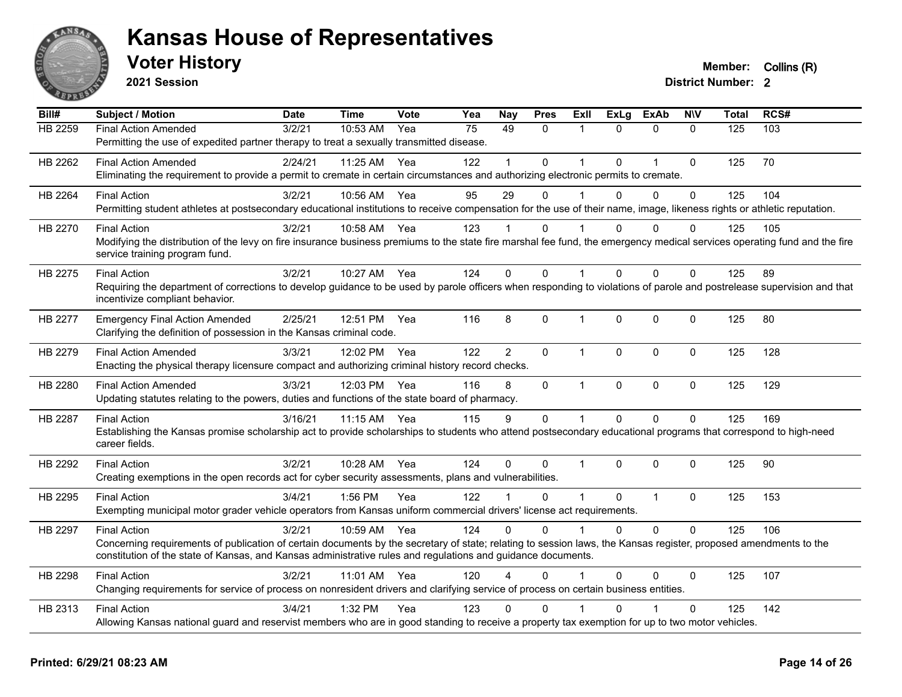

**2021 Session**

| Bill#          | <b>Subject / Motion</b>                                                                                                                                                                                     | <b>Date</b> | <b>Time</b>  | Vote | Yea | Nay            | <b>Pres</b>  | ExII           | <b>ExLg</b> | <b>ExAb</b>    | <b>NIV</b>   | <b>Total</b> | RCS# |
|----------------|-------------------------------------------------------------------------------------------------------------------------------------------------------------------------------------------------------------|-------------|--------------|------|-----|----------------|--------------|----------------|-------------|----------------|--------------|--------------|------|
| <b>HB 2259</b> | <b>Final Action Amended</b>                                                                                                                                                                                 | 3/2/21      | 10:53 AM     | Yea  | 75  | 49             | 0            | 1              | $\Omega$    | $\mathbf{0}$   | $\mathbf{0}$ | 125          | 103  |
|                | Permitting the use of expedited partner therapy to treat a sexually transmitted disease.                                                                                                                    |             |              |      |     |                |              |                |             |                |              |              |      |
| HB 2262        | <b>Final Action Amended</b>                                                                                                                                                                                 | 2/24/21     | 11:25 AM     | Yea  | 122 |                | 0            |                | $\Omega$    | 1              | $\mathbf 0$  | 125          | 70   |
|                | Eliminating the requirement to provide a permit to cremate in certain circumstances and authorizing electronic permits to cremate.                                                                          |             |              |      |     |                |              |                |             |                |              |              |      |
| HB 2264        | <b>Final Action</b>                                                                                                                                                                                         | 3/2/21      | 10:56 AM     | Yea  | 95  | 29             | $\Omega$     |                | $\Omega$    | $\Omega$       | $\Omega$     | 125          | 104  |
|                | Permitting student athletes at postsecondary educational institutions to receive compensation for the use of their name, image, likeness rights or athletic reputation.                                     |             |              |      |     |                |              |                |             |                |              |              |      |
| HB 2270        | <b>Final Action</b>                                                                                                                                                                                         | 3/2/21      | 10:58 AM     | Yea  | 123 |                | $\Omega$     |                | $\Omega$    | $\Omega$       | $\Omega$     | 125          | 105  |
|                | Modifying the distribution of the levy on fire insurance business premiums to the state fire marshal fee fund, the emergency medical services operating fund and the fire<br>service training program fund. |             |              |      |     |                |              |                |             |                |              |              |      |
| HB 2275        | <b>Final Action</b>                                                                                                                                                                                         | 3/2/21      | 10:27 AM     | Yea  | 124 | $\Omega$       | $\Omega$     | $\overline{1}$ | $\Omega$    | $\Omega$       | $\mathbf{0}$ | 125          | 89   |
|                | Requiring the department of corrections to develop guidance to be used by parole officers when responding to violations of parole and postrelease supervision and that                                      |             |              |      |     |                |              |                |             |                |              |              |      |
|                | incentivize compliant behavior.                                                                                                                                                                             |             |              |      |     |                |              |                |             |                |              |              |      |
| HB 2277        | <b>Emergency Final Action Amended</b>                                                                                                                                                                       | 2/25/21     | 12:51 PM     | Yea  | 116 | 8              | 0            | $\mathbf{1}$   | 0           | $\mathbf{0}$   | $\mathbf 0$  | 125          | 80   |
|                | Clarifying the definition of possession in the Kansas criminal code.                                                                                                                                        |             |              |      |     |                |              |                |             |                |              |              |      |
| HB 2279        | <b>Final Action Amended</b>                                                                                                                                                                                 | 3/3/21      | 12:02 PM     | Yea  | 122 | $\overline{2}$ | $\Omega$     | $\mathbf{1}$   | $\Omega$    | $\mathbf{0}$   | $\Omega$     | 125          | 128  |
|                | Enacting the physical therapy licensure compact and authorizing criminal history record checks.                                                                                                             |             |              |      |     |                |              |                |             |                |              |              |      |
| HB 2280        | <b>Final Action Amended</b>                                                                                                                                                                                 | 3/3/21      | 12:03 PM Yea |      | 116 | 8              | $\mathbf 0$  | $\mathbf{1}$   | 0           | $\mathbf 0$    | $\mathbf 0$  | 125          | 129  |
|                | Updating statutes relating to the powers, duties and functions of the state board of pharmacy.                                                                                                              |             |              |      |     |                |              |                |             |                |              |              |      |
| HB 2287        | <b>Final Action</b>                                                                                                                                                                                         | 3/16/21     | 11:15 AM     | Yea  | 115 | 9              | 0            | $\mathbf{1}$   | $\Omega$    | $\Omega$       | $\mathbf 0$  | 125          | 169  |
|                | Establishing the Kansas promise scholarship act to provide scholarships to students who attend postsecondary educational programs that correspond to high-need                                              |             |              |      |     |                |              |                |             |                |              |              |      |
|                | career fields.                                                                                                                                                                                              |             |              |      |     |                |              |                |             |                |              |              |      |
| HB 2292        | <b>Final Action</b>                                                                                                                                                                                         | 3/2/21      | 10:28 AM     | Yea  | 124 | $\Omega$       | $\mathbf{0}$ | -1             | $\Omega$    | $\Omega$       | $\mathbf{0}$ | 125          | 90   |
|                | Creating exemptions in the open records act for cyber security assessments, plans and vulnerabilities.                                                                                                      |             |              |      |     |                |              |                |             |                |              |              |      |
| HB 2295        | <b>Final Action</b>                                                                                                                                                                                         | 3/4/21      | 1:56 PM      | Yea  | 122 |                | 0            | $\overline{1}$ | $\mathbf 0$ | $\overline{1}$ | $\mathbf 0$  | 125          | 153  |
|                | Exempting municipal motor grader vehicle operators from Kansas uniform commercial drivers' license act requirements.                                                                                        |             |              |      |     |                |              |                |             |                |              |              |      |
| HB 2297        | <b>Final Action</b>                                                                                                                                                                                         | 3/2/21      | 10:59 AM     | Yea  | 124 | $\Omega$       | $\Omega$     | $\mathbf 1$    | $\Omega$    | $\Omega$       | $\mathbf 0$  | 125          | 106  |
|                | Concerning requirements of publication of certain documents by the secretary of state; relating to session laws, the Kansas register, proposed amendments to the                                            |             |              |      |     |                |              |                |             |                |              |              |      |
|                | constitution of the state of Kansas, and Kansas administrative rules and regulations and guidance documents.                                                                                                |             |              |      |     |                |              |                |             |                |              |              |      |
| <b>HB 2298</b> | <b>Final Action</b>                                                                                                                                                                                         | 3/2/21      | 11:01 AM     | Yea  | 120 |                | $\Omega$     |                | $\Omega$    | $\Omega$       | $\mathbf{0}$ | 125          | 107  |
|                | Changing requirements for service of process on nonresident drivers and clarifying service of process on certain business entities.                                                                         |             |              |      |     |                |              |                |             |                |              |              |      |
| HB 2313        | <b>Final Action</b>                                                                                                                                                                                         | 3/4/21      | 1:32 PM      | Yea  | 123 | 0              | $\mathbf{0}$ |                | ი           |                | $\mathbf{0}$ | 125          | 142  |
|                | Allowing Kansas national guard and reservist members who are in good standing to receive a property tax exemption for up to two motor vehicles.                                                             |             |              |      |     |                |              |                |             |                |              |              |      |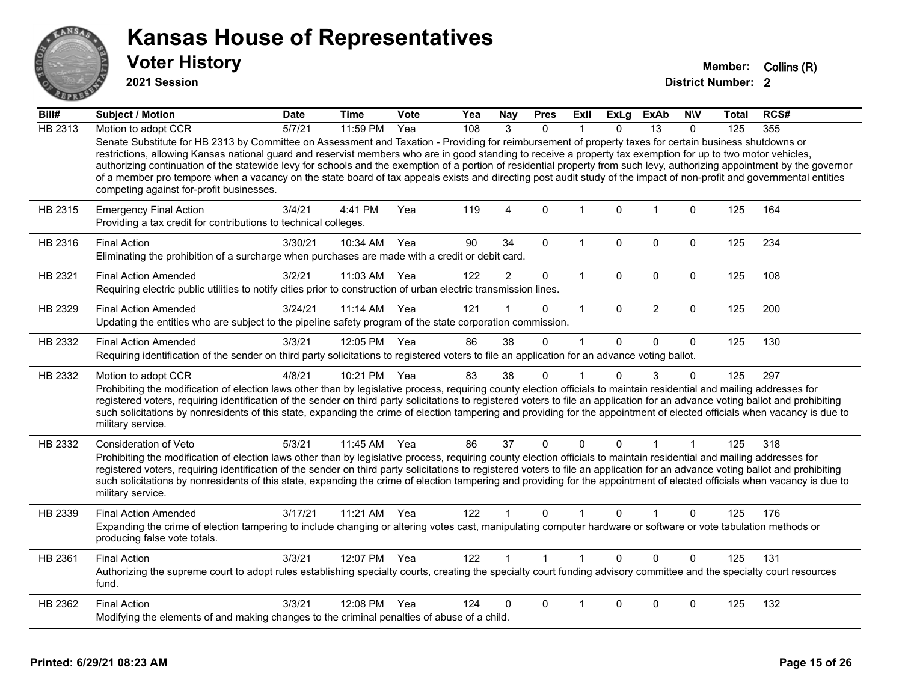

**2021 Session**

| Bill#          | <b>Subject / Motion</b>                                                                                                                                                                                                                                                                                                                                                                                                                                                                                                                                                                                                                                                                                                   | <b>Date</b> | <b>Time</b>  | Vote | Yea | <b>Nay</b>     | <b>Pres</b>  | Exll         | <b>ExLg</b> | <b>ExAb</b>    | <b>NIV</b>   | Total | RCS# |
|----------------|---------------------------------------------------------------------------------------------------------------------------------------------------------------------------------------------------------------------------------------------------------------------------------------------------------------------------------------------------------------------------------------------------------------------------------------------------------------------------------------------------------------------------------------------------------------------------------------------------------------------------------------------------------------------------------------------------------------------------|-------------|--------------|------|-----|----------------|--------------|--------------|-------------|----------------|--------------|-------|------|
| <b>HB 2313</b> | Motion to adopt CCR                                                                                                                                                                                                                                                                                                                                                                                                                                                                                                                                                                                                                                                                                                       | 5/7/21      | 11:59 PM     | Yea  | 108 | 3              | $\Omega$     |              | 0           | 13             | $\mathbf{0}$ | 125   | 355  |
|                | Senate Substitute for HB 2313 by Committee on Assessment and Taxation - Providing for reimbursement of property taxes for certain business shutdowns or<br>restrictions, allowing Kansas national guard and reservist members who are in good standing to receive a property tax exemption for up to two motor vehicles,<br>authorizing continuation of the statewide levy for schools and the exemption of a portion of residential property from such levy, authorizing appointment by the governor<br>of a member pro tempore when a vacancy on the state board of tax appeals exists and directing post audit study of the impact of non-profit and governmental entities<br>competing against for-profit businesses. |             |              |      |     |                |              |              |             |                |              |       |      |
| HB 2315        | <b>Emergency Final Action</b><br>Providing a tax credit for contributions to technical colleges.                                                                                                                                                                                                                                                                                                                                                                                                                                                                                                                                                                                                                          | 3/4/21      | 4:41 PM      | Yea  | 119 | 4              | $\Omega$     | $\mathbf{1}$ | $\mathbf 0$ | $\mathbf{1}$   | $\mathbf 0$  | 125   | 164  |
| HB 2316        | <b>Final Action</b><br>Eliminating the prohibition of a surcharge when purchases are made with a credit or debit card.                                                                                                                                                                                                                                                                                                                                                                                                                                                                                                                                                                                                    | 3/30/21     | 10:34 AM     | Yea  | 90  | 34             | $\Omega$     | $\mathbf{1}$ | 0           | $\Omega$       | $\Omega$     | 125   | 234  |
| HB 2321        | <b>Final Action Amended</b><br>Requiring electric public utilities to notify cities prior to construction of urban electric transmission lines.                                                                                                                                                                                                                                                                                                                                                                                                                                                                                                                                                                           | 3/2/21      | 11:03 AM     | Yea  | 122 | $\overline{2}$ | 0            | $\mathbf{1}$ | 0           | $\mathbf 0$    | $\mathbf 0$  | 125   | 108  |
| HB 2329        | <b>Final Action Amended</b><br>Updating the entities who are subject to the pipeline safety program of the state corporation commission.                                                                                                                                                                                                                                                                                                                                                                                                                                                                                                                                                                                  | 3/24/21     | $11:14$ AM   | Yea  | 121 |                | $\Omega$     | $\mathbf{1}$ | $\Omega$    | $\overline{2}$ | $\mathbf 0$  | 125   | 200  |
| HB 2332        | <b>Final Action Amended</b><br>Requiring identification of the sender on third party solicitations to registered voters to file an application for an advance voting ballot.                                                                                                                                                                                                                                                                                                                                                                                                                                                                                                                                              | 3/3/21      | 12:05 PM Yea |      | 86  | 38             | 0            | 1            | $\Omega$    | $\mathbf 0$    | $\mathbf 0$  | 125   | 130  |
| HB 2332        | Motion to adopt CCR<br>Prohibiting the modification of election laws other than by legislative process, requiring county election officials to maintain residential and mailing addresses for<br>registered voters, requiring identification of the sender on third party solicitations to registered voters to file an application for an advance voting ballot and prohibiting<br>such solicitations by nonresidents of this state, expanding the crime of election tampering and providing for the appointment of elected officials when vacancy is due to<br>military service.                                                                                                                                        | 4/8/21      | 10:21 PM Yea |      | 83  | 38             | 0            | 1            | $\Omega$    | 3              | 0            | 125   | 297  |
| HB 2332        | Consideration of Veto<br>Prohibiting the modification of election laws other than by legislative process, requiring county election officials to maintain residential and mailing addresses for<br>registered voters, requiring identification of the sender on third party solicitations to registered voters to file an application for an advance voting ballot and prohibiting<br>such solicitations by nonresidents of this state, expanding the crime of election tampering and providing for the appointment of elected officials when vacancy is due to<br>military service.                                                                                                                                      | 5/3/21      | 11:45 AM     | Yea  | 86  | 37             | 0            | 0            | 0           | 1              | 1            | 125   | 318  |
| HB 2339        | <b>Final Action Amended</b><br>Expanding the crime of election tampering to include changing or altering votes cast, manipulating computer hardware or software or vote tabulation methods or<br>producing false vote totals.                                                                                                                                                                                                                                                                                                                                                                                                                                                                                             | 3/17/21     | 11:21 AM     | Yea  | 122 |                | 0            |              | 0           |                | $\Omega$     | 125   | 176  |
| HB 2361        | <b>Final Action</b><br>Authorizing the supreme court to adopt rules establishing specialty courts, creating the specialty court funding advisory committee and the specialty court resources<br>fund.                                                                                                                                                                                                                                                                                                                                                                                                                                                                                                                     | 3/3/21      | 12:07 PM Yea |      | 122 |                | $\mathbf{1}$ | $\mathbf 1$  | $\Omega$    | $\Omega$       | $\Omega$     | 125   | 131  |
| HB 2362        | <b>Final Action</b><br>Modifying the elements of and making changes to the criminal penalties of abuse of a child.                                                                                                                                                                                                                                                                                                                                                                                                                                                                                                                                                                                                        | 3/3/21      | 12:08 PM     | Yea  | 124 | 0              | $\Omega$     |              | $\Omega$    | 0              | 0            | 125   | 132  |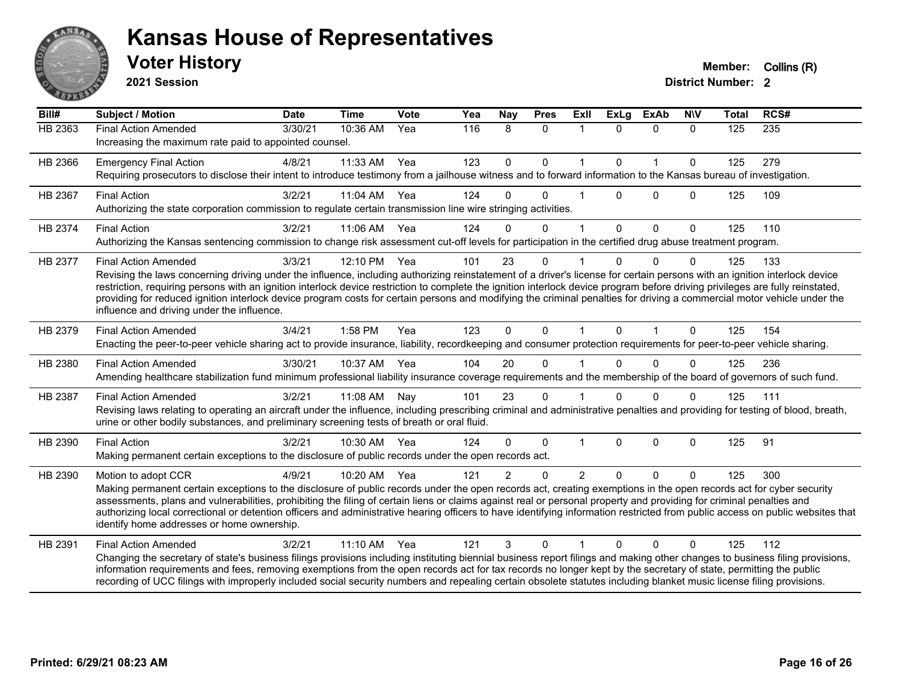

**2021 Session**

| Bill#   | <b>Subject / Motion</b>                                                                                                                                                                                                                                                                                                                                                                                                                                                                                                                                                                                             | <b>Date</b> | <b>Time</b>  | Vote  | Yea | Nay            | <b>Pres</b>  | ExII         | <b>ExLg</b>  | <b>ExAb</b>  | <b>NIV</b>   | Total | RCS# |
|---------|---------------------------------------------------------------------------------------------------------------------------------------------------------------------------------------------------------------------------------------------------------------------------------------------------------------------------------------------------------------------------------------------------------------------------------------------------------------------------------------------------------------------------------------------------------------------------------------------------------------------|-------------|--------------|-------|-----|----------------|--------------|--------------|--------------|--------------|--------------|-------|------|
| HB 2363 | <b>Final Action Amended</b><br>Increasing the maximum rate paid to appointed counsel.                                                                                                                                                                                                                                                                                                                                                                                                                                                                                                                               | 3/30/21     | 10:36 AM     | Yea   | 116 | 8              | $\Omega$     | $\mathbf 1$  | $\Omega$     | $\Omega$     | $\Omega$     | 125   | 235  |
| HB 2366 | <b>Emergency Final Action</b><br>Requiring prosecutors to disclose their intent to introduce testimony from a jailhouse witness and to forward information to the Kansas bureau of investigation.                                                                                                                                                                                                                                                                                                                                                                                                                   | 4/8/21      | 11:33 AM     | Yea   | 123 | $\mathbf 0$    | $\mathbf 0$  | $\mathbf{1}$ | $\mathbf 0$  | $\mathbf{1}$ | $\mathbf{0}$ | 125   | 279  |
| HB 2367 | <b>Final Action</b><br>Authorizing the state corporation commission to regulate certain transmission line wire stringing activities.                                                                                                                                                                                                                                                                                                                                                                                                                                                                                | 3/2/21      | 11:04 AM Yea |       | 124 | $\Omega$       | $\Omega$     |              | $\Omega$     | $\Omega$     | $\Omega$     | 125   | 109  |
| HB 2374 | <b>Final Action</b><br>Authorizing the Kansas sentencing commission to change risk assessment cut-off levels for participation in the certified drug abuse treatment program.                                                                                                                                                                                                                                                                                                                                                                                                                                       | 3/2/21      | 11:06 AM     | Yea   | 124 | $\Omega$       | $\mathbf{0}$ | 1            | $\mathbf{0}$ | $\mathbf 0$  | $\mathbf{0}$ | 125   | 110  |
| HB 2377 | <b>Final Action Amended</b><br>Revising the laws concerning driving under the influence, including authorizing reinstatement of a driver's license for certain persons with an ignition interlock device<br>restriction, requiring persons with an ignition interlock device restriction to complete the ignition interlock device program before driving privileges are fully reinstated,<br>providing for reduced ignition interlock device program costs for certain persons and modifying the criminal penalties for driving a commercial motor vehicle under the<br>influence and driving under the influence. | 3/3/21      | 12:10 PM Yea |       | 101 | 23             | $\Omega$     |              |              | $\Omega$     | $\Omega$     | 125   | 133  |
| HB 2379 | <b>Final Action Amended</b><br>Enacting the peer-to-peer vehicle sharing act to provide insurance, liability, recordkeeping and consumer protection requirements for peer-to-peer vehicle sharing.                                                                                                                                                                                                                                                                                                                                                                                                                  | 3/4/21      | 1:58 PM      | Yea   | 123 | $\mathbf{0}$   | $\Omega$     | 1            | $\Omega$     | 1            | $\Omega$     | 125   | 154  |
| HB 2380 | <b>Final Action Amended</b><br>Amending healthcare stabilization fund minimum professional liability insurance coverage requirements and the membership of the board of governors of such fund.                                                                                                                                                                                                                                                                                                                                                                                                                     | 3/30/21     | 10:37 AM     | Yea   | 104 | 20             | $\Omega$     |              | <sup>n</sup> | $\Omega$     | $\Omega$     | 125   | 236  |
| HB 2387 | <b>Final Action Amended</b><br>Revising laws relating to operating an aircraft under the influence, including prescribing criminal and administrative penalties and providing for testing of blood, breath,<br>urine or other bodily substances, and preliminary screening tests of breath or oral fluid.                                                                                                                                                                                                                                                                                                           | 3/2/21      | 11:08 AM     | Nay   | 101 | 23             | $\mathbf{0}$ |              | $\Omega$     | $\Omega$     | $\Omega$     | 125   | 111  |
| HB 2390 | <b>Final Action</b><br>Making permanent certain exceptions to the disclosure of public records under the open records act.                                                                                                                                                                                                                                                                                                                                                                                                                                                                                          | 3/2/21      | 10:30 AM     | - Yea | 124 | $\Omega$       | $\Omega$     |              | $\Omega$     | $\mathbf{0}$ | $\Omega$     | 125   | 91   |
| HB 2390 | Motion to adopt CCR<br>Making permanent certain exceptions to the disclosure of public records under the open records act, creating exemptions in the open records act for cyber security<br>assessments, plans and vulnerabilities, prohibiting the filing of certain liens or claims against real or personal property and providing for criminal penalties and<br>authorizing local correctional or detention officers and administrative hearing officers to have identifying information restricted from public access on public websites that<br>identify home addresses or home ownership.                   | 4/9/21      | 10:20 AM     | Yea   | 121 | $\overline{2}$ | $\mathbf{0}$ | 2            | $\Omega$     | $\Omega$     | $\mathbf{0}$ | 125   | 300  |
| HB 2391 | <b>Final Action Amended</b><br>Changing the secretary of state's business filings provisions including instituting biennial business report filings and making other changes to business filing provisions,<br>information requirements and fees, removing exemptions from the open records act for tax records no longer kept by the secretary of state, permitting the public<br>recording of UCC filings with improperly included social security numbers and repealing certain obsolete statutes including blanket music license filing provisions.                                                             | 3/2/21      | 11:10 AM     | Yea   | 121 | 3              | $\Omega$     |              | $\Omega$     | $\Omega$     | 0            | 125   | 112  |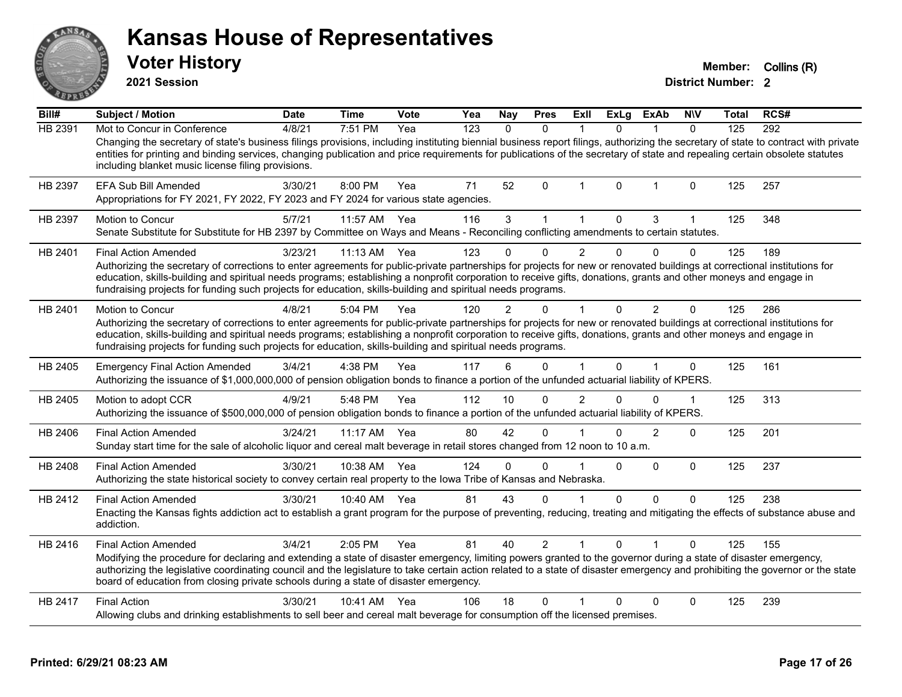**2021 Session**

**Voter History Member:** Collins (R)

| Bill#   | <b>Subject / Motion</b>                                                                                                                                                                                                                                                                                                                                                                                                                                      | <b>Date</b> | <b>Time</b> | <b>Vote</b> | Yea              | <b>Nay</b>   | <b>Pres</b>    | Exll           | ExLg         | ExAb           | <b>NIV</b>  | <b>Total</b> | RCS# |
|---------|--------------------------------------------------------------------------------------------------------------------------------------------------------------------------------------------------------------------------------------------------------------------------------------------------------------------------------------------------------------------------------------------------------------------------------------------------------------|-------------|-------------|-------------|------------------|--------------|----------------|----------------|--------------|----------------|-------------|--------------|------|
| HB 2391 | Mot to Concur in Conference                                                                                                                                                                                                                                                                                                                                                                                                                                  | 4/8/21      | 7:51 PM     | Yea         | $\overline{123}$ | $\Omega$     | $\Omega$       | 1              | $\Omega$     |                | $\Omega$    | 125          | 292  |
|         | Changing the secretary of state's business filings provisions, including instituting biennial business report filings, authorizing the secretary of state to contract with private<br>entities for printing and binding services, changing publication and price requirements for publications of the secretary of state and repealing certain obsolete statutes<br>including blanket music license filing provisions.                                       |             |             |             |                  |              |                |                |              |                |             |              |      |
| HB 2397 | EFA Sub Bill Amended<br>Appropriations for FY 2021, FY 2022, FY 2023 and FY 2024 for various state agencies.                                                                                                                                                                                                                                                                                                                                                 | 3/30/21     | 8:00 PM     | Yea         | 71               | 52           | $\Omega$       | 1              | $\Omega$     | $\mathbf{1}$   | $\mathbf 0$ | 125          | 257  |
| HB 2397 | Motion to Concur<br>Senate Substitute for Substitute for HB 2397 by Committee on Ways and Means - Reconciling conflicting amendments to certain statutes.                                                                                                                                                                                                                                                                                                    | 5/7/21      | 11:57 AM    | Yea         | 116              | 3            | $\mathbf{1}$   | $\mathbf 1$    | 0            | 3              | 1           | 125          | 348  |
| HB 2401 | <b>Final Action Amended</b>                                                                                                                                                                                                                                                                                                                                                                                                                                  | 3/23/21     | 11:13 AM    | Yea         | 123              |              | $\Omega$       | $\overline{2}$ | $\Omega$     | $\Omega$       | $\mathbf 0$ | 125          | 189  |
|         | Authorizing the secretary of corrections to enter agreements for public-private partnerships for projects for new or renovated buildings at correctional institutions for<br>education, skills-building and spiritual needs programs; establishing a nonprofit corporation to receive gifts, donations, grants and other moneys and engage in<br>fundraising projects for funding such projects for education, skills-building and spiritual needs programs. |             |             |             |                  |              |                |                |              |                |             |              |      |
| HB 2401 | Motion to Concur                                                                                                                                                                                                                                                                                                                                                                                                                                             | 4/8/21      | $5:04$ PM   | Yea         | 120              | 2            | 0              |                | <sup>0</sup> | $\overline{2}$ | $\Omega$    | 125          | 286  |
|         | Authorizing the secretary of corrections to enter agreements for public-private partnerships for projects for new or renovated buildings at correctional institutions for<br>education, skills-building and spiritual needs programs; establishing a nonprofit corporation to receive gifts, donations, grants and other moneys and engage in<br>fundraising projects for funding such projects for education, skills-building and spiritual needs programs. |             |             |             |                  |              |                |                |              |                |             |              |      |
| HB 2405 | <b>Emergency Final Action Amended</b><br>Authorizing the issuance of \$1,000,000,000 of pension obligation bonds to finance a portion of the unfunded actuarial liability of KPERS.                                                                                                                                                                                                                                                                          | 3/4/21      | 4:38 PM     | Yea         | 117              | 6            | $\Omega$       |                | 0            | 1              | 0           | 125          | 161  |
| HB 2405 | Motion to adopt CCR<br>Authorizing the issuance of \$500,000,000 of pension obligation bonds to finance a portion of the unfunded actuarial liability of KPERS.                                                                                                                                                                                                                                                                                              | 4/9/21      | 5:48 PM     | Yea         | 112              | 10           | $\Omega$       | $\overline{2}$ | $\Omega$     | 0              | 1           | 125          | 313  |
| HB 2406 | <b>Final Action Amended</b><br>Sunday start time for the sale of alcoholic liquor and cereal malt beverage in retail stores changed from 12 noon to 10 a.m.                                                                                                                                                                                                                                                                                                  | 3/24/21     | 11:17 AM    | Yea         | 80               | 42           | $\Omega$       |                | <sup>0</sup> | $\overline{2}$ | $\Omega$    | 125          | 201  |
| HB 2408 | <b>Final Action Amended</b><br>Authorizing the state historical society to convey certain real property to the lowa Tribe of Kansas and Nebraska.                                                                                                                                                                                                                                                                                                            | 3/30/21     | 10:38 AM    | Yea         | 124              | $\mathbf{0}$ | $\Omega$       |                | $\mathbf{0}$ | $\Omega$       | $\mathbf 0$ | 125          | 237  |
| HB 2412 | <b>Final Action Amended</b>                                                                                                                                                                                                                                                                                                                                                                                                                                  | 3/30/21     | 10:40 AM    | Yea         | 81               | 43           | $\Omega$       | 1              | $\Omega$     | $\Omega$       | $\Omega$    | 125          | 238  |
|         | Enacting the Kansas fights addiction act to establish a grant program for the purpose of preventing, reducing, treating and mitigating the effects of substance abuse and<br>addiction.                                                                                                                                                                                                                                                                      |             |             |             |                  |              |                |                |              |                |             |              |      |
| HB 2416 | <b>Final Action Amended</b>                                                                                                                                                                                                                                                                                                                                                                                                                                  | 3/4/21      | 2:05 PM     | Yea         | 81               | 40           | $\overline{2}$ |                | $\Omega$     |                | $\Omega$    | 125          | 155  |
|         | Modifying the procedure for declaring and extending a state of disaster emergency, limiting powers granted to the governor during a state of disaster emergency,<br>authorizing the legislative coordinating council and the legislature to take certain action related to a state of disaster emergency and prohibiting the governor or the state<br>board of education from closing private schools during a state of disaster emergency.                  |             |             |             |                  |              |                |                |              |                |             |              |      |
| HB 2417 | <b>Final Action</b>                                                                                                                                                                                                                                                                                                                                                                                                                                          | 3/30/21     | 10:41 AM    | Yea         | 106              | 18           | $\Omega$       | 1              | $\Omega$     | $\Omega$       | 0           | 125          | 239  |
|         | Allowing clubs and drinking establishments to sell beer and cereal malt beverage for consumption off the licensed premises.                                                                                                                                                                                                                                                                                                                                  |             |             |             |                  |              |                |                |              |                |             |              |      |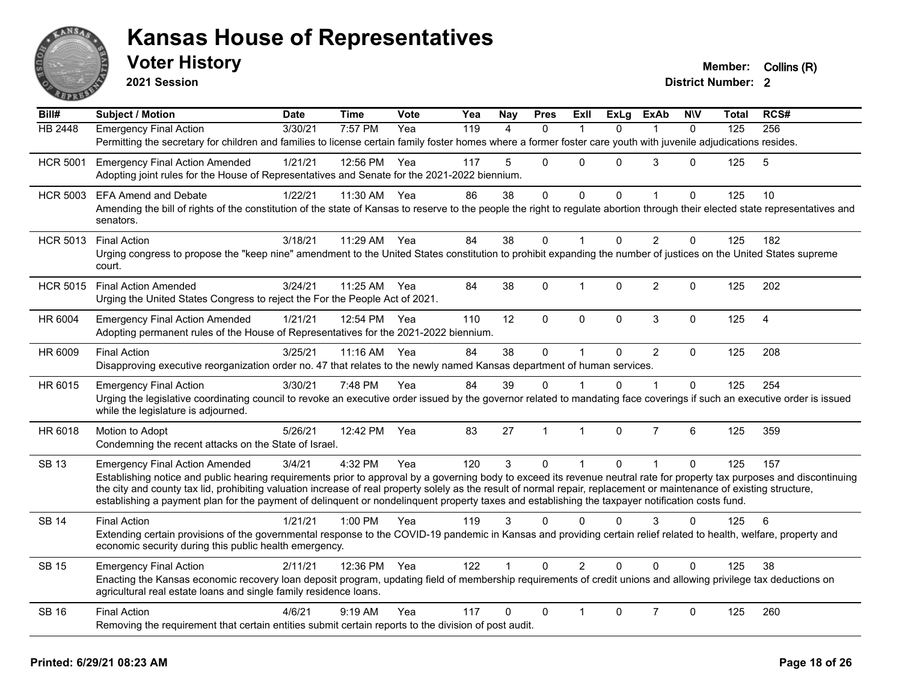

**2021 Session**

| Bill#           | <b>Subject / Motion</b>                                                                                                                                                                                                                                                                                                   | <b>Date</b> | <b>Time</b>  | Vote | Yea              | Nay               | <b>Pres</b>  | Exll           | ExLg     | <b>ExAb</b>    | <b>NIV</b>  | Total | RCS# |
|-----------------|---------------------------------------------------------------------------------------------------------------------------------------------------------------------------------------------------------------------------------------------------------------------------------------------------------------------------|-------------|--------------|------|------------------|-------------------|--------------|----------------|----------|----------------|-------------|-------|------|
| <b>HB 2448</b>  | <b>Emergency Final Action</b>                                                                                                                                                                                                                                                                                             | 3/30/21     | 7:57 PM      | Yea  | $\overline{119}$ | $\mathbf{\Delta}$ | $\Omega$     |                | $\Omega$ |                | $\Omega$    | 125   | 256  |
|                 | Permitting the secretary for children and families to license certain family foster homes where a former foster care youth with juvenile adjudications resides.                                                                                                                                                           |             |              |      |                  |                   |              |                |          |                |             |       |      |
| <b>HCR 5001</b> | <b>Emergency Final Action Amended</b>                                                                                                                                                                                                                                                                                     | 1/21/21     | 12:56 PM     | Yea  | 117              | 5                 | $\Omega$     | $\mathbf{0}$   | 0        | 3              | 0           | 125   | 5    |
|                 | Adopting joint rules for the House of Representatives and Senate for the 2021-2022 biennium.                                                                                                                                                                                                                              |             |              |      |                  |                   |              |                |          |                |             |       |      |
| <b>HCR 5003</b> | <b>EFA Amend and Debate</b>                                                                                                                                                                                                                                                                                               | 1/22/21     | 11:30 AM     | Yea  | 86               | 38                | 0            | 0              | 0        | 1              | 0           | 125   | 10   |
|                 | Amending the bill of rights of the constitution of the state of Kansas to reserve to the people the right to regulate abortion through their elected state representatives and<br>senators.                                                                                                                               |             |              |      |                  |                   |              |                |          |                |             |       |      |
| <b>HCR 5013</b> | <b>Final Action</b>                                                                                                                                                                                                                                                                                                       | 3/18/21     | 11:29 AM     | Yea  | 84               | 38                | $\mathbf 0$  | $\mathbf{1}$   | $\Omega$ | 2              | $\mathbf 0$ | 125   | 182  |
|                 | Urging congress to propose the "keep nine" amendment to the United States constitution to prohibit expanding the number of justices on the United States supreme<br>court.                                                                                                                                                |             |              |      |                  |                   |              |                |          |                |             |       |      |
| <b>HCR 5015</b> | <b>Final Action Amended</b>                                                                                                                                                                                                                                                                                               | 3/24/21     | 11:25 AM Yea |      | 84               | 38                | $\Omega$     | $\mathbf{1}$   | $\Omega$ | $\overline{2}$ | 0           | 125   | 202  |
|                 | Urging the United States Congress to reject the For the People Act of 2021.                                                                                                                                                                                                                                               |             |              |      |                  |                   |              |                |          |                |             |       |      |
| HR 6004         | <b>Emergency Final Action Amended</b>                                                                                                                                                                                                                                                                                     | 1/21/21     | 12:54 PM     | Yea  | 110              | 12                | $\mathbf 0$  | $\mathbf 0$    | 0        | 3              | $\pmb{0}$   | 125   | 4    |
|                 | Adopting permanent rules of the House of Representatives for the 2021-2022 biennium.                                                                                                                                                                                                                                      |             |              |      |                  |                   |              |                |          |                |             |       |      |
| HR 6009         | <b>Final Action</b>                                                                                                                                                                                                                                                                                                       | 3/25/21     | 11:16 AM     | Yea  | 84               | 38                | $\mathbf 0$  | $\mathbf{1}$   | $\Omega$ | 2              | $\Omega$    | 125   | 208  |
|                 | Disapproving executive reorganization order no. 47 that relates to the newly named Kansas department of human services.                                                                                                                                                                                                   |             |              |      |                  |                   |              |                |          |                |             |       |      |
| HR 6015         | <b>Emergency Final Action</b>                                                                                                                                                                                                                                                                                             | 3/30/21     | 7:48 PM      | Yea  | 84               | 39                | 0            |                | $\Omega$ |                | 0           | 125   | 254  |
|                 | Urging the legislative coordinating council to revoke an executive order issued by the governor related to mandating face coverings if such an executive order is issued<br>while the legislature is adjourned.                                                                                                           |             |              |      |                  |                   |              |                |          |                |             |       |      |
| HR 6018         | Motion to Adopt                                                                                                                                                                                                                                                                                                           | 5/26/21     | 12:42 PM     | Yea  | 83               | 27                | $\mathbf{1}$ | $\mathbf{1}$   | $\Omega$ | $\overline{7}$ | 6           | 125   | 359  |
|                 | Condemning the recent attacks on the State of Israel.                                                                                                                                                                                                                                                                     |             |              |      |                  |                   |              |                |          |                |             |       |      |
| <b>SB 13</b>    | <b>Emergency Final Action Amended</b>                                                                                                                                                                                                                                                                                     | 3/4/21      | 4:32 PM      | Yea  | 120              | 3                 | $\Omega$     | $\mathbf{1}$   | $\Omega$ | $\mathbf{1}$   | 0           | 125   | 157  |
|                 | Establishing notice and public hearing requirements prior to approval by a governing body to exceed its revenue neutral rate for property tax purposes and discontinuing                                                                                                                                                  |             |              |      |                  |                   |              |                |          |                |             |       |      |
|                 | the city and county tax lid, prohibiting valuation increase of real property solely as the result of normal repair, replacement or maintenance of existing structure,<br>establishing a payment plan for the payment of delinquent or nondelinquent property taxes and establishing the taxpayer notification costs fund. |             |              |      |                  |                   |              |                |          |                |             |       |      |
|                 |                                                                                                                                                                                                                                                                                                                           |             |              |      |                  |                   |              |                |          |                |             |       |      |
| <b>SB 14</b>    | <b>Final Action</b>                                                                                                                                                                                                                                                                                                       | 1/21/21     | 1:00 PM      | Yea  | 119              | 3                 | $\Omega$     | $\Omega$       | $\Omega$ | 3              | 0           | 125   | 6    |
|                 | Extending certain provisions of the governmental response to the COVID-19 pandemic in Kansas and providing certain relief related to health, welfare, property and<br>economic security during this public health emergency.                                                                                              |             |              |      |                  |                   |              |                |          |                |             |       |      |
| <b>SB 15</b>    | <b>Emergency Final Action</b>                                                                                                                                                                                                                                                                                             | 2/11/21     | 12:36 PM Yea |      | 122              | $\mathbf{1}$      | $\Omega$     | $\overline{2}$ | $\Omega$ | $\Omega$       | $\Omega$    | 125   | 38   |
|                 | Enacting the Kansas economic recovery loan deposit program, updating field of membership requirements of credit unions and allowing privilege tax deductions on<br>agricultural real estate loans and single family residence loans.                                                                                      |             |              |      |                  |                   |              |                |          |                |             |       |      |
| <b>SB 16</b>    | <b>Final Action</b>                                                                                                                                                                                                                                                                                                       | 4/6/21      | $9:19$ AM    | Yea  | 117              | 0                 | $\mathbf{0}$ |                | $\Omega$ | $\overline{7}$ | 0           | 125   | 260  |
|                 | Removing the requirement that certain entities submit certain reports to the division of post audit.                                                                                                                                                                                                                      |             |              |      |                  |                   |              |                |          |                |             |       |      |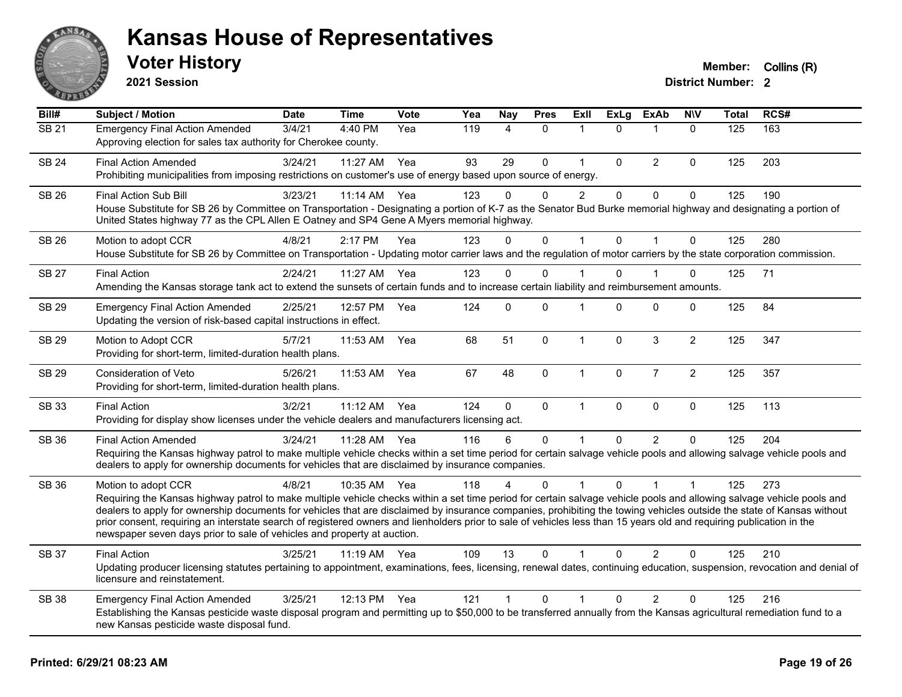

**2021 Session**

| Bill#        | Subject / Motion                                                                                                                                                                                                                                                                                                                                                                                                                                                                                                                                                                                                         | <b>Date</b> | <b>Time</b>  | <b>Vote</b> | Yea | <b>Nay</b>   | <b>Pres</b> | Exll           | <b>ExLg</b>  | <b>ExAb</b>    | <b>NIV</b>     | <b>Total</b> | RCS# |
|--------------|--------------------------------------------------------------------------------------------------------------------------------------------------------------------------------------------------------------------------------------------------------------------------------------------------------------------------------------------------------------------------------------------------------------------------------------------------------------------------------------------------------------------------------------------------------------------------------------------------------------------------|-------------|--------------|-------------|-----|--------------|-------------|----------------|--------------|----------------|----------------|--------------|------|
| <b>SB 21</b> | <b>Emergency Final Action Amended</b><br>Approving election for sales tax authority for Cherokee county.                                                                                                                                                                                                                                                                                                                                                                                                                                                                                                                 | 3/4/21      | 4:40 PM      | Yea         | 119 | 4            | $\Omega$    | $\mathbf{1}$   | $\Omega$     | $\mathbf{1}$   | $\mathbf{0}$   | 125          | 163  |
| <b>SB 24</b> | <b>Final Action Amended</b><br>Prohibiting municipalities from imposing restrictions on customer's use of energy based upon source of energy.                                                                                                                                                                                                                                                                                                                                                                                                                                                                            | 3/24/21     | 11:27 AM     | Yea         | 93  | 29           | 0           | $\mathbf{1}$   | 0            | 2              | $\mathbf 0$    | 125          | 203  |
| SB 26        | <b>Final Action Sub Bill</b><br>House Substitute for SB 26 by Committee on Transportation - Designating a portion of K-7 as the Senator Bud Burke memorial highway and designating a portion of<br>United States highway 77 as the CPL Allen E Oatney and SP4 Gene A Myers memorial highway.                                                                                                                                                                                                                                                                                                                             | 3/23/21     | 11:14 AM     | Yea         | 123 | $\Omega$     | $\Omega$    | $\overline{c}$ | $\Omega$     | $\mathbf{0}$   | $\mathbf 0$    | 125          | 190  |
| <b>SB 26</b> | Motion to adopt CCR<br>House Substitute for SB 26 by Committee on Transportation - Updating motor carrier laws and the regulation of motor carriers by the state corporation commission.                                                                                                                                                                                                                                                                                                                                                                                                                                 | 4/8/21      | 2:17 PM      | Yea         | 123 | $\Omega$     | 0           | 1              | $\Omega$     | $\overline{1}$ | $\mathbf{0}$   | 125          | 280  |
| <b>SB 27</b> | <b>Final Action</b><br>Amending the Kansas storage tank act to extend the sunsets of certain funds and to increase certain liability and reimbursement amounts.                                                                                                                                                                                                                                                                                                                                                                                                                                                          | 2/24/21     | 11:27 AM     | Yea         | 123 | $\Omega$     | $\Omega$    |                | $\Omega$     |                | 0              | 125          | 71   |
| SB 29        | <b>Emergency Final Action Amended</b><br>Updating the version of risk-based capital instructions in effect.                                                                                                                                                                                                                                                                                                                                                                                                                                                                                                              | 2/25/21     | 12:57 PM     | Yea         | 124 | 0            | 0           | 1              | $\mathbf{0}$ | $\Omega$       | 0              | 125          | 84   |
| <b>SB 29</b> | Motion to Adopt CCR<br>Providing for short-term, limited-duration health plans.                                                                                                                                                                                                                                                                                                                                                                                                                                                                                                                                          | 5/7/21      | 11:53 AM     | Yea         | 68  | 51           | 0           | $\mathbf{1}$   | $\mathbf{0}$ | $\mathbf{3}$   | $\overline{c}$ | 125          | 347  |
| SB 29        | Consideration of Veto<br>Providing for short-term, limited-duration health plans.                                                                                                                                                                                                                                                                                                                                                                                                                                                                                                                                        | 5/26/21     | 11:53 AM     | Yea         | 67  | 48           | 0           | $\mathbf{1}$   | $\pmb{0}$    | $\overline{7}$ | $\overline{2}$ | 125          | 357  |
| SB 33        | <b>Final Action</b><br>Providing for display show licenses under the vehicle dealers and manufacturers licensing act.                                                                                                                                                                                                                                                                                                                                                                                                                                                                                                    | 3/2/21      | $11:12$ AM   | Yea         | 124 | $\mathbf{0}$ | $\Omega$    | $\mathbf{1}$   | $\mathbf{0}$ | $\mathbf{0}$   | $\mathbf 0$    | 125          | 113  |
| SB 36        | <b>Final Action Amended</b><br>Requiring the Kansas highway patrol to make multiple vehicle checks within a set time period for certain salvage vehicle pools and allowing salvage vehicle pools and<br>dealers to apply for ownership documents for vehicles that are disclaimed by insurance companies.                                                                                                                                                                                                                                                                                                                | 3/24/21     | 11:28 AM     | Yea         | 116 | 6            | $\mathbf 0$ | 1              | $\Omega$     | $\mathcal{P}$  | $\Omega$       | 125          | 204  |
| <b>SB 36</b> | Motion to adopt CCR<br>Requiring the Kansas highway patrol to make multiple vehicle checks within a set time period for certain salvage vehicle pools and allowing salvage vehicle pools and<br>dealers to apply for ownership documents for vehicles that are disclaimed by insurance companies, prohibiting the towing vehicles outside the state of Kansas without<br>prior consent, requiring an interstate search of registered owners and lienholders prior to sale of vehicles less than 15 years old and requiring publication in the<br>newspaper seven days prior to sale of vehicles and property at auction. | 4/8/21      | 10:35 AM     | Yea         | 118 | 4            | $\Omega$    | 1              | $\Omega$     | $\overline{1}$ | $\mathbf 1$    | 125          | 273  |
| <b>SB 37</b> | <b>Final Action</b><br>Updating producer licensing statutes pertaining to appointment, examinations, fees, licensing, renewal dates, continuing education, suspension, revocation and denial of<br>licensure and reinstatement.                                                                                                                                                                                                                                                                                                                                                                                          | 3/25/21     | 11:19 AM Yea |             | 109 | 13           | $\Omega$    | 1              | $\Omega$     | $\overline{2}$ | $\Omega$       | 125          | 210  |
| <b>SB 38</b> | <b>Emergency Final Action Amended</b><br>Establishing the Kansas pesticide waste disposal program and permitting up to \$50,000 to be transferred annually from the Kansas agricultural remediation fund to a<br>new Kansas pesticide waste disposal fund.                                                                                                                                                                                                                                                                                                                                                               | 3/25/21     | 12:13 PM     | Yea         | 121 | $\mathbf{1}$ | 0           | 1              | 0            | $\overline{2}$ | 0              | 125          | 216  |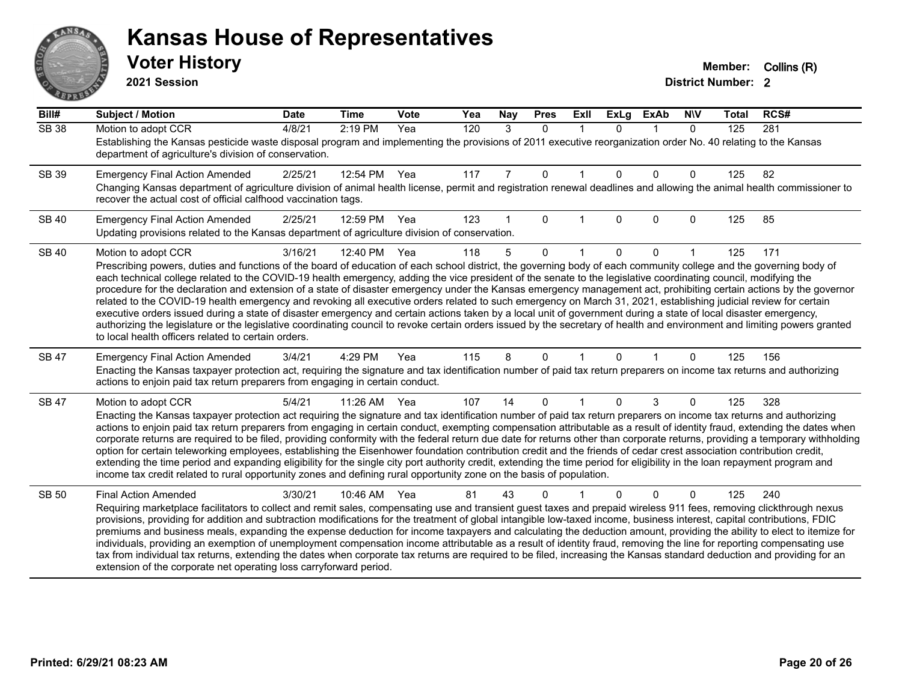# ANS Ě

#### **Kansas House of Representatives**

**2021 Session**

| Bill#        | <b>Subject / Motion</b>                                                                                                                                                                                                                                                                                                                                                                                                                                                                                                                                                                                                                                                                                                                                                                                                                                                                                                                                                                                                                                                                                          | <b>Date</b> | <b>Time</b> | Vote | Yea | Nay | <b>Pres</b>  | ExII         | <b>ExLg</b>  | <b>ExAb</b>  | <b>N\V</b>   | <b>Total</b> | RCS# |
|--------------|------------------------------------------------------------------------------------------------------------------------------------------------------------------------------------------------------------------------------------------------------------------------------------------------------------------------------------------------------------------------------------------------------------------------------------------------------------------------------------------------------------------------------------------------------------------------------------------------------------------------------------------------------------------------------------------------------------------------------------------------------------------------------------------------------------------------------------------------------------------------------------------------------------------------------------------------------------------------------------------------------------------------------------------------------------------------------------------------------------------|-------------|-------------|------|-----|-----|--------------|--------------|--------------|--------------|--------------|--------------|------|
| <b>SB 38</b> | Motion to adopt CCR<br>Establishing the Kansas pesticide waste disposal program and implementing the provisions of 2011 executive reorganization order No. 40 relating to the Kansas<br>department of agriculture's division of conservation.                                                                                                                                                                                                                                                                                                                                                                                                                                                                                                                                                                                                                                                                                                                                                                                                                                                                    | 4/8/21      | 2:19 PM     | Yea  | 120 | 3   | $\mathbf{0}$ | $\mathbf{1}$ | $\Omega$     | $\mathbf 1$  | $\mathbf{0}$ | 125          | 281  |
| SB 39        | <b>Emergency Final Action Amended</b><br>Changing Kansas department of agriculture division of animal health license, permit and registration renewal deadlines and allowing the animal health commissioner to<br>recover the actual cost of official calfhood vaccination tags.                                                                                                                                                                                                                                                                                                                                                                                                                                                                                                                                                                                                                                                                                                                                                                                                                                 | 2/25/21     | 12:54 PM    | Yea  | 117 | 7   | $\mathbf 0$  | $\mathbf 1$  | $\mathbf{0}$ | $\mathbf{0}$ | 0            | 125          | 82   |
| <b>SB 40</b> | <b>Emergency Final Action Amended</b><br>Updating provisions related to the Kansas department of agriculture division of conservation.                                                                                                                                                                                                                                                                                                                                                                                                                                                                                                                                                                                                                                                                                                                                                                                                                                                                                                                                                                           | 2/25/21     | 12:59 PM    | Yea  | 123 |     | $\Omega$     | 1            | $\Omega$     | $\mathbf{0}$ | $\Omega$     | 125          | 85   |
| <b>SB 40</b> | Motion to adopt CCR<br>Prescribing powers, duties and functions of the board of education of each school district, the governing body of each community college and the governing body of<br>each technical college related to the COVID-19 health emergency, adding the vice president of the senate to the legislative coordinating council, modifying the<br>procedure for the declaration and extension of a state of disaster emergency under the Kansas emergency management act, prohibiting certain actions by the governor<br>related to the COVID-19 health emergency and revoking all executive orders related to such emergency on March 31, 2021, establishing judicial review for certain<br>executive orders issued during a state of disaster emergency and certain actions taken by a local unit of government during a state of local disaster emergency,<br>authorizing the legislature or the legislative coordinating council to revoke certain orders issued by the secretary of health and environment and limiting powers granted<br>to local health officers related to certain orders. | 3/16/21     | 12:40 PM    | Yea  | 118 | 5   | $\Omega$     |              | 0            | $\Omega$     |              | 125          | 171  |
| SB 47        | <b>Emergency Final Action Amended</b><br>Enacting the Kansas taxpayer protection act, requiring the signature and tax identification number of paid tax return preparers on income tax returns and authorizing<br>actions to enjoin paid tax return preparers from engaging in certain conduct.                                                                                                                                                                                                                                                                                                                                                                                                                                                                                                                                                                                                                                                                                                                                                                                                                  | 3/4/21      | 4:29 PM     | Yea  | 115 | 8   | $\Omega$     |              | $\Omega$     |              | $\Omega$     | 125          | 156  |
| SB 47        | Motion to adopt CCR<br>Enacting the Kansas taxpayer protection act requiring the signature and tax identification number of paid tax return preparers on income tax returns and authorizing<br>actions to enjoin paid tax return preparers from engaging in certain conduct, exempting compensation attributable as a result of identity fraud, extending the dates when<br>corporate returns are required to be filed, providing conformity with the federal return due date for returns other than corporate returns, providing a temporary withholding<br>option for certain teleworking employees, establishing the Eisenhower foundation contribution credit and the friends of cedar crest association contribution credit,<br>extending the time period and expanding eligibility for the single city port authority credit, extending the time period for eligibility in the loan repayment program and<br>income tax credit related to rural opportunity zones and defining rural opportunity zone on the basis of population.                                                                          | 5/4/21      | 11:26 AM    | Yea  | 107 | 14  | 0            |              | $\Omega$     | 3            | 0            | 125          | 328  |
| <b>SB 50</b> | <b>Final Action Amended</b><br>Requiring marketplace facilitators to collect and remit sales, compensating use and transient guest taxes and prepaid wireless 911 fees, removing clickthrough nexus<br>provisions, providing for addition and subtraction modifications for the treatment of global intangible low-taxed income, business interest, capital contributions, FDIC<br>premiums and business meals, expanding the expense deduction for income taxpayers and calculating the deduction amount, providing the ability to elect to itemize for<br>individuals, providing an exemption of unemployment compensation income attributable as a result of identity fraud, removing the line for reporting compensating use<br>tax from individual tax returns, extending the dates when corporate tax returns are required to be filed, increasing the Kansas standard deduction and providing for an<br>extension of the corporate net operating loss carryforward period.                                                                                                                                | 3/30/21     | 10:46 AM    | Yea  | 81  | 43  | 0            |              |              | $\Omega$     | $\Omega$     | 125          | 240  |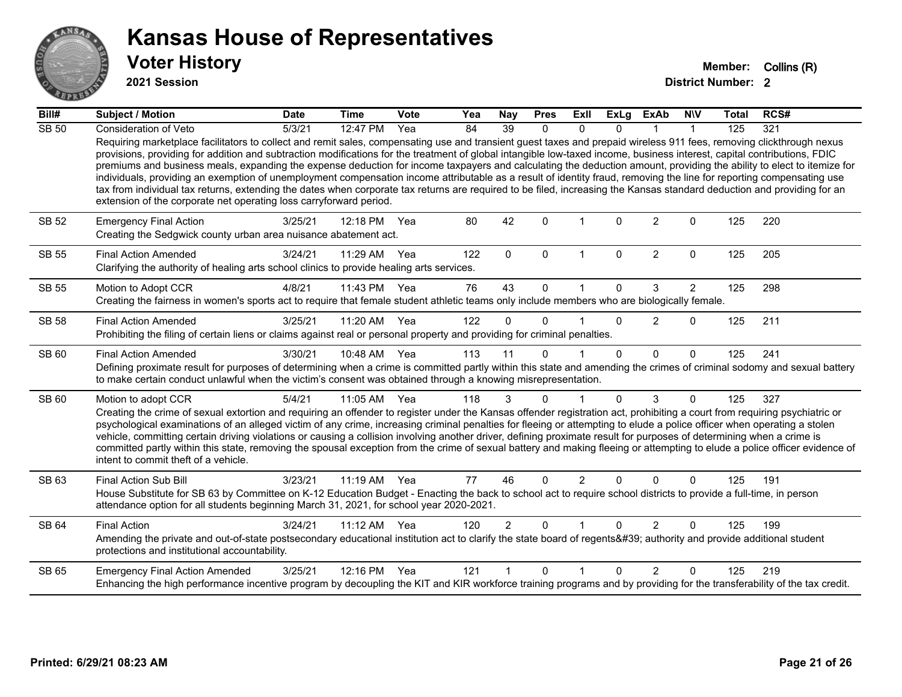

**2021 Session**

| Bill#        | <b>Subject / Motion</b>                                                                                                                                                                                                                                                                                                                                                                                                                                                                                                                                                                                                                                                                                                                                                                                                                                                                                                                            | <b>Date</b> | <b>Time</b> | Vote | Yea | Nay            | <b>Pres</b> | ExII                 | <b>ExLg</b> | <b>ExAb</b>    | <b>NIV</b>     | <b>Total</b> | RCS# |
|--------------|----------------------------------------------------------------------------------------------------------------------------------------------------------------------------------------------------------------------------------------------------------------------------------------------------------------------------------------------------------------------------------------------------------------------------------------------------------------------------------------------------------------------------------------------------------------------------------------------------------------------------------------------------------------------------------------------------------------------------------------------------------------------------------------------------------------------------------------------------------------------------------------------------------------------------------------------------|-------------|-------------|------|-----|----------------|-------------|----------------------|-------------|----------------|----------------|--------------|------|
| <b>SB 50</b> | <b>Consideration of Veto</b>                                                                                                                                                                                                                                                                                                                                                                                                                                                                                                                                                                                                                                                                                                                                                                                                                                                                                                                       | 5/3/21      | 12:47 PM    | Yea  | 84  | 39             | 0           | $\mathbf{0}$         | $\Omega$    |                | 1              | 125          | 321  |
|              | Requiring marketplace facilitators to collect and remit sales, compensating use and transient guest taxes and prepaid wireless 911 fees, removing clickthrough nexus<br>provisions, providing for addition and subtraction modifications for the treatment of global intangible low-taxed income, business interest, capital contributions, FDIC<br>premiums and business meals, expanding the expense deduction for income taxpayers and calculating the deduction amount, providing the ability to elect to itemize for<br>individuals, providing an exemption of unemployment compensation income attributable as a result of identity fraud, removing the line for reporting compensating use<br>tax from individual tax returns, extending the dates when corporate tax returns are required to be filed, increasing the Kansas standard deduction and providing for an<br>extension of the corporate net operating loss carryforward period. |             |             |      |     |                |             |                      |             |                |                |              |      |
| SB 52        | <b>Emergency Final Action</b><br>Creating the Sedgwick county urban area nuisance abatement act.                                                                                                                                                                                                                                                                                                                                                                                                                                                                                                                                                                                                                                                                                                                                                                                                                                                   | 3/25/21     | 12:18 PM    | Yea  | 80  | 42             | $\Omega$    | $\mathbf 1$          | $\Omega$    | $\overline{c}$ | 0              | 125          | 220  |
| <b>SB 55</b> | <b>Final Action Amended</b><br>Clarifying the authority of healing arts school clinics to provide healing arts services.                                                                                                                                                                                                                                                                                                                                                                                                                                                                                                                                                                                                                                                                                                                                                                                                                           | 3/24/21     | 11:29 AM    | Yea  | 122 | $\Omega$       | $\Omega$    | $\mathbf{1}$         | $\mathbf 0$ | 2              | $\mathbf 0$    | 125          | 205  |
| <b>SB 55</b> | Motion to Adopt CCR                                                                                                                                                                                                                                                                                                                                                                                                                                                                                                                                                                                                                                                                                                                                                                                                                                                                                                                                | 4/8/21      | 11:43 PM    | Yea  | 76  | 43             | $\Omega$    |                      | $\Omega$    | 3              | $\overline{2}$ | 125          | 298  |
|              | Creating the fairness in women's sports act to require that female student athletic teams only include members who are biologically female.                                                                                                                                                                                                                                                                                                                                                                                                                                                                                                                                                                                                                                                                                                                                                                                                        |             |             |      |     |                |             |                      |             |                |                |              |      |
| <b>SB 58</b> | <b>Final Action Amended</b>                                                                                                                                                                                                                                                                                                                                                                                                                                                                                                                                                                                                                                                                                                                                                                                                                                                                                                                        | 3/25/21     | 11:20 AM    | Yea  | 122 | $\Omega$       | $\Omega$    | 1                    | $\Omega$    | 2              | $\Omega$       | 125          | 211  |
|              | Prohibiting the filing of certain liens or claims against real or personal property and providing for criminal penalties.                                                                                                                                                                                                                                                                                                                                                                                                                                                                                                                                                                                                                                                                                                                                                                                                                          |             |             |      |     |                |             |                      |             |                |                |              |      |
| SB 60        | <b>Final Action Amended</b>                                                                                                                                                                                                                                                                                                                                                                                                                                                                                                                                                                                                                                                                                                                                                                                                                                                                                                                        | 3/30/21     | 10:48 AM    | Yea  | 113 | 11             | $\Omega$    |                      | $\Omega$    | $\Omega$       | $\mathbf{0}$   | 125          | 241  |
|              | Defining proximate result for purposes of determining when a crime is committed partly within this state and amending the crimes of criminal sodomy and sexual battery<br>to make certain conduct unlawful when the victim's consent was obtained through a knowing misrepresentation.                                                                                                                                                                                                                                                                                                                                                                                                                                                                                                                                                                                                                                                             |             |             |      |     |                |             |                      |             |                |                |              |      |
| SB 60        | Motion to adopt CCR                                                                                                                                                                                                                                                                                                                                                                                                                                                                                                                                                                                                                                                                                                                                                                                                                                                                                                                                | 5/4/21      | 11:05 AM    | Yea  | 118 | 3              | $\Omega$    | 1                    | $\Omega$    | 3              | $\Omega$       | 125          | 327  |
|              | Creating the crime of sexual extortion and requiring an offender to register under the Kansas offender registration act, prohibiting a court from requiring psychiatric or<br>psychological examinations of an alleged victim of any crime, increasing criminal penalties for fleeing or attempting to elude a police officer when operating a stolen<br>vehicle, committing certain driving violations or causing a collision involving another driver, defining proximate result for purposes of determining when a crime is<br>committed partly within this state, removing the spousal exception from the crime of sexual battery and making fleeing or attempting to elude a police officer evidence of<br>intent to commit theft of a vehicle.                                                                                                                                                                                               |             |             |      |     |                |             |                      |             |                |                |              |      |
| SB 63        | Final Action Sub Bill                                                                                                                                                                                                                                                                                                                                                                                                                                                                                                                                                                                                                                                                                                                                                                                                                                                                                                                              | 3/23/21     | 11:19 AM    | Yea  | 77  | 46             | $\Omega$    | $\overline{2}$       | 0           | $\Omega$       | $\Omega$       | 125          | 191  |
|              | House Substitute for SB 63 by Committee on K-12 Education Budget - Enacting the back to school act to require school districts to provide a full-time, in person<br>attendance option for all students beginning March 31, 2021, for school year 2020-2021.                                                                                                                                                                                                                                                                                                                                                                                                                                                                                                                                                                                                                                                                                        |             |             |      |     |                |             |                      |             |                |                |              |      |
| SB 64        | <b>Final Action</b>                                                                                                                                                                                                                                                                                                                                                                                                                                                                                                                                                                                                                                                                                                                                                                                                                                                                                                                                | 3/24/21     | $11:12$ AM  | Yea  | 120 | $\overline{2}$ | $\Omega$    | $\blacktriangleleft$ | $\Omega$    | $\overline{2}$ | $\Omega$       | 125          | 199  |
|              | Amending the private and out-of-state postsecondary educational institution act to clarify the state board of regents' authority and provide additional student<br>protections and institutional accountability.                                                                                                                                                                                                                                                                                                                                                                                                                                                                                                                                                                                                                                                                                                                                   |             |             |      |     |                |             |                      |             |                |                |              |      |
| SB 65        | <b>Emergency Final Action Amended</b>                                                                                                                                                                                                                                                                                                                                                                                                                                                                                                                                                                                                                                                                                                                                                                                                                                                                                                              | 3/25/21     | 12:16 PM    | Yea  | 121 |                | $\Omega$    | 1                    | $\Omega$    | $\mathfrak{p}$ | $\Omega$       | 125          | 219  |
|              | Enhancing the high performance incentive program by decoupling the KIT and KIR workforce training programs and by providing for the transferability of the tax credit.                                                                                                                                                                                                                                                                                                                                                                                                                                                                                                                                                                                                                                                                                                                                                                             |             |             |      |     |                |             |                      |             |                |                |              |      |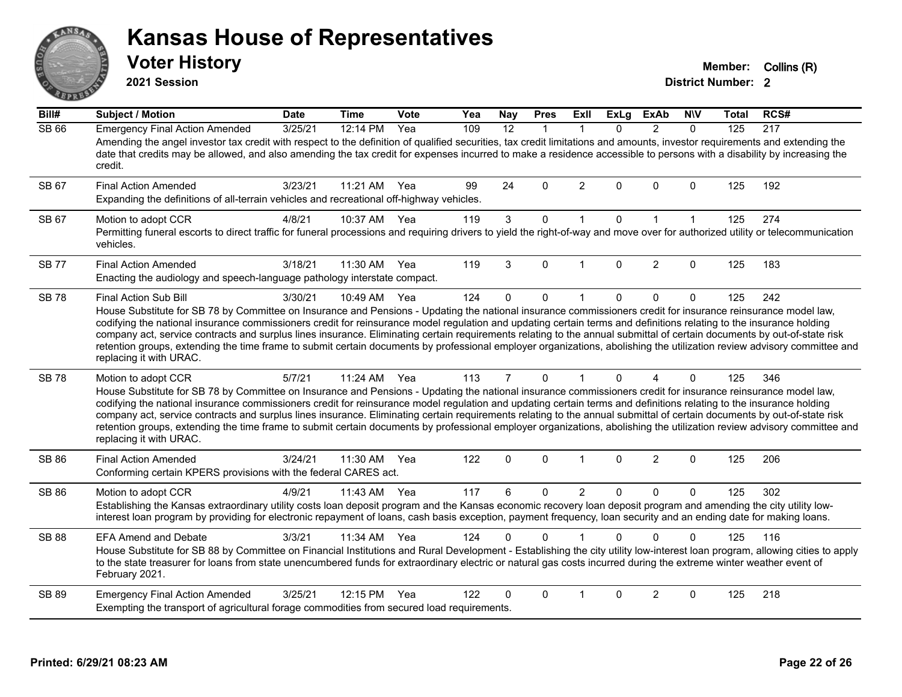# ANS Erry

#### **Kansas House of Representatives**

**2021 Session**

**Voter History Member:** Collins (R)

| Bill#        | <b>Subject / Motion</b>                                                                                                                                                                                                                                                                                                                                                                                                                                                                                                                                                                                                                                                                                                                        | <b>Date</b> | <b>Time</b> | Vote | Yea | <b>Nay</b>     | <b>Pres</b>  | ExII           | <b>ExLg</b>  | <b>ExAb</b>    | <b>NIV</b>   | <b>Total</b> | RCS# |
|--------------|------------------------------------------------------------------------------------------------------------------------------------------------------------------------------------------------------------------------------------------------------------------------------------------------------------------------------------------------------------------------------------------------------------------------------------------------------------------------------------------------------------------------------------------------------------------------------------------------------------------------------------------------------------------------------------------------------------------------------------------------|-------------|-------------|------|-----|----------------|--------------|----------------|--------------|----------------|--------------|--------------|------|
| <b>SB 66</b> | <b>Emergency Final Action Amended</b><br>Amending the angel investor tax credit with respect to the definition of qualified securities, tax credit limitations and amounts, investor requirements and extending the<br>date that credits may be allowed, and also amending the tax credit for expenses incurred to make a residence accessible to persons with a disability by increasing the<br>credit.                                                                                                                                                                                                                                                                                                                                       | 3/25/21     | 12:14 PM    | Yea  | 109 | 12             | 1            | 1              | 0            | $\overline{2}$ | $\mathbf{0}$ | 125          | 217  |
| SB 67        | <b>Final Action Amended</b><br>Expanding the definitions of all-terrain vehicles and recreational off-highway vehicles.                                                                                                                                                                                                                                                                                                                                                                                                                                                                                                                                                                                                                        | 3/23/21     | 11:21 AM    | Yea  | 99  | 24             | $\Omega$     | $\overline{2}$ | $\Omega$     | $\Omega$       | $\Omega$     | 125          | 192  |
| SB 67        | Motion to adopt CCR<br>Permitting funeral escorts to direct traffic for funeral processions and requiring drivers to yield the right-of-way and move over for authorized utility or telecommunication<br>vehicles.                                                                                                                                                                                                                                                                                                                                                                                                                                                                                                                             | 4/8/21      | 10:37 AM    | Yea  | 119 | 3              | $\mathbf 0$  | $\mathbf{1}$   | $\mathbf{0}$ | $\mathbf{1}$   | $\mathbf{1}$ | 125          | 274  |
| <b>SB77</b>  | <b>Final Action Amended</b><br>Enacting the audiology and speech-language pathology interstate compact.                                                                                                                                                                                                                                                                                                                                                                                                                                                                                                                                                                                                                                        | 3/18/21     | 11:30 AM    | Yea  | 119 | 3              | $\mathbf{0}$ | $\overline{1}$ | $\Omega$     | $\overline{2}$ | $\Omega$     | 125          | 183  |
| <b>SB78</b>  | Final Action Sub Bill<br>House Substitute for SB 78 by Committee on Insurance and Pensions - Updating the national insurance commissioners credit for insurance reinsurance model law,<br>codifying the national insurance commissioners credit for reinsurance model regulation and updating certain terms and definitions relating to the insurance holding<br>company act, service contracts and surplus lines insurance. Eliminating certain requirements relating to the annual submittal of certain documents by out-of-state risk<br>retention groups, extending the time frame to submit certain documents by professional employer organizations, abolishing the utilization review advisory committee and<br>replacing it with URAC. | 3/30/21     | 10:49 AM    | Yea  | 124 | 0              | $\mathbf 0$  | $\mathbf 1$    | $\Omega$     | $\Omega$       | $\mathbf 0$  | 125          | 242  |
| <b>SB 78</b> | Motion to adopt CCR<br>House Substitute for SB 78 by Committee on Insurance and Pensions - Updating the national insurance commissioners credit for insurance reinsurance model law,<br>codifying the national insurance commissioners credit for reinsurance model regulation and updating certain terms and definitions relating to the insurance holding<br>company act, service contracts and surplus lines insurance. Eliminating certain requirements relating to the annual submittal of certain documents by out-of-state risk<br>retention groups, extending the time frame to submit certain documents by professional employer organizations, abolishing the utilization review advisory committee and<br>replacing it with URAC.   | 5/7/21      | 11:24 AM    | Yea  | 113 | $\overline{7}$ | $\mathbf{0}$ | $\mathbf{1}$   | $\Omega$     | 4              | $\mathbf{0}$ | 125          | 346  |
| SB 86        | <b>Final Action Amended</b><br>Conforming certain KPERS provisions with the federal CARES act.                                                                                                                                                                                                                                                                                                                                                                                                                                                                                                                                                                                                                                                 | 3/24/21     | 11:30 AM    | Yea  | 122 | 0              | 0            | $\mathbf{1}$   | 0            | $\overline{2}$ | 0            | 125          | 206  |
| SB 86        | Motion to adopt CCR<br>Establishing the Kansas extraordinary utility costs loan deposit program and the Kansas economic recovery loan deposit program and amending the city utility low-<br>interest loan program by providing for electronic repayment of loans, cash basis exception, payment frequency, loan security and an ending date for making loans.                                                                                                                                                                                                                                                                                                                                                                                  | 4/9/21      | 11:43 AM    | Yea  | 117 | 6              | 0            | $\overline{2}$ | $\Omega$     | $\mathbf{0}$   | $\Omega$     | 125          | 302  |
| <b>SB 88</b> | <b>EFA Amend and Debate</b><br>House Substitute for SB 88 by Committee on Financial Institutions and Rural Development - Establishing the city utility low-interest loan program, allowing cities to apply<br>to the state treasurer for loans from state unencumbered funds for extraordinary electric or natural gas costs incurred during the extreme winter weather event of<br>February 2021.                                                                                                                                                                                                                                                                                                                                             | 3/3/21      | 11:34 AM    | Yea  | 124 | 0              | $\Omega$     |                | $\Omega$     | $\Omega$       | $\Omega$     | 125          | 116  |
| SB 89        | <b>Emergency Final Action Amended</b><br>Exempting the transport of agricultural forage commodities from secured load requirements.                                                                                                                                                                                                                                                                                                                                                                                                                                                                                                                                                                                                            | 3/25/21     | 12:15 PM    | Yea  | 122 | 0              | $\Omega$     |                | $\Omega$     | $\overline{2}$ | $\Omega$     | 125          | 218  |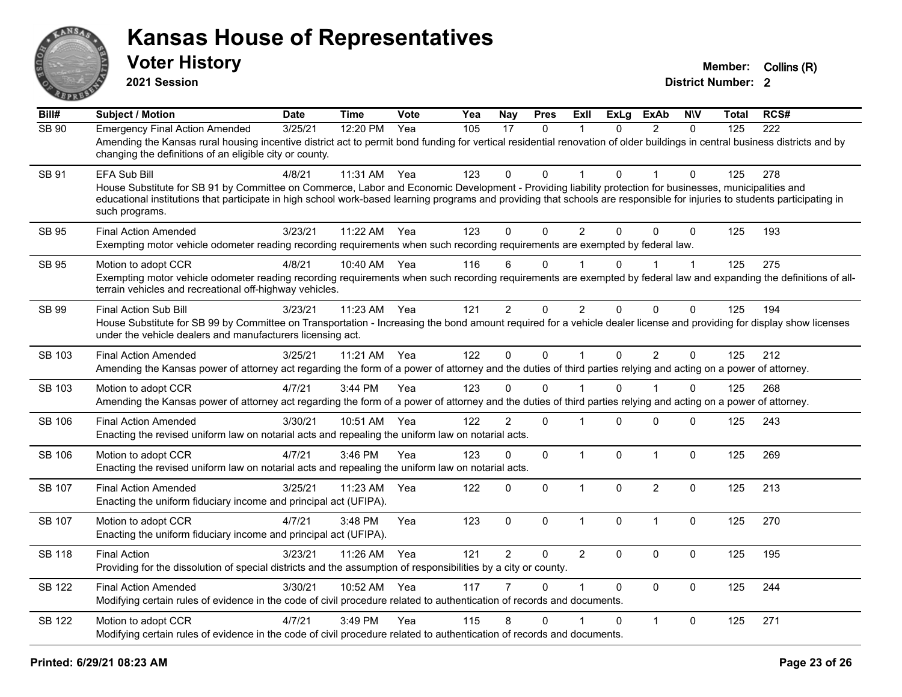

**2021 Session**

| Bill#         | <b>Subject / Motion</b>                                                                                                                                                                                                                                                                                                                                                 | <b>Date</b> | Time         | Vote | Yea | <b>Nay</b>     | <b>Pres</b>  | Exll           | <b>ExLg</b>  | <b>ExAb</b>    | <b>N\V</b>   | <b>Total</b> | RCS# |
|---------------|-------------------------------------------------------------------------------------------------------------------------------------------------------------------------------------------------------------------------------------------------------------------------------------------------------------------------------------------------------------------------|-------------|--------------|------|-----|----------------|--------------|----------------|--------------|----------------|--------------|--------------|------|
| SB 90         | <b>Emergency Final Action Amended</b><br>Amending the Kansas rural housing incentive district act to permit bond funding for vertical residential renovation of older buildings in central business districts and by<br>changing the definitions of an eligible city or county.                                                                                         | 3/25/21     | 12:20 PM     | Yea  | 105 | 17             | $\Omega$     |                | $\Omega$     | $\mathcal{P}$  | $\Omega$     | 125          | 222  |
| SB 91         | EFA Sub Bill<br>House Substitute for SB 91 by Committee on Commerce, Labor and Economic Development - Providing liability protection for businesses, municipalities and<br>educational institutions that participate in high school work-based learning programs and providing that schools are responsible for injuries to students participating in<br>such programs. | 4/8/21      | 11:31 AM     | Yea  | 123 | $\Omega$       | 0            |                | $\Omega$     |                | 0            | 125          | 278  |
| <b>SB 95</b>  | <b>Final Action Amended</b><br>Exempting motor vehicle odometer reading recording requirements when such recording requirements are exempted by federal law.                                                                                                                                                                                                            | 3/23/21     | 11:22 AM Yea |      | 123 | $\Omega$       | $\Omega$     | $\overline{2}$ | $\Omega$     | $\Omega$       | $\Omega$     | 125          | 193  |
| <b>SB 95</b>  | Motion to adopt CCR<br>Exempting motor vehicle odometer reading recording requirements when such recording requirements are exempted by federal law and expanding the definitions of all-<br>terrain vehicles and recreational off-highway vehicles.                                                                                                                    | 4/8/21      | 10:40 AM Yea |      | 116 | 6              | $\mathbf{0}$ |                | <sup>n</sup> |                | $\mathbf{1}$ | 125          | 275  |
| SB 99         | Final Action Sub Bill<br>House Substitute for SB 99 by Committee on Transportation - Increasing the bond amount required for a vehicle dealer license and providing for display show licenses<br>under the vehicle dealers and manufacturers licensing act.                                                                                                             | 3/23/21     | 11:23 AM     | Yea  | 121 | $\overline{2}$ | $\mathbf 0$  | $\overline{2}$ | $\Omega$     | $\mathbf 0$    | 0            | 125          | 194  |
| SB 103        | <b>Final Action Amended</b><br>Amending the Kansas power of attorney act regarding the form of a power of attorney and the duties of third parties relying and acting on a power of attorney.                                                                                                                                                                           | 3/25/21     | 11:21 AM     | Yea  | 122 | $\mathbf{0}$   | $\pmb{0}$    | $\mathbf{1}$   | $\Omega$     | $\overline{2}$ | 0            | 125          | 212  |
| SB 103        | Motion to adopt CCR<br>Amending the Kansas power of attorney act regarding the form of a power of attorney and the duties of third parties relying and acting on a power of attorney.                                                                                                                                                                                   | 4/7/21      | $3:44$ PM    | Yea  | 123 | 0              | $\Omega$     |                | $\Omega$     |                | $\Omega$     | 125          | 268  |
| <b>SB 106</b> | <b>Final Action Amended</b><br>Enacting the revised uniform law on notarial acts and repealing the uniform law on notarial acts.                                                                                                                                                                                                                                        | 3/30/21     | 10:51 AM     | Yea  | 122 | $\overline{2}$ | $\mathbf 0$  |                | $\Omega$     | $\mathbf 0$    | $\Omega$     | 125          | 243  |
| SB 106        | Motion to adopt CCR<br>Enacting the revised uniform law on notarial acts and repealing the uniform law on notarial acts.                                                                                                                                                                                                                                                | 4/7/21      | 3:46 PM      | Yea  | 123 | 0              | $\pmb{0}$    | $\mathbf{1}$   | $\Omega$     | $\mathbf{1}$   | $\Omega$     | 125          | 269  |
| SB 107        | <b>Final Action Amended</b><br>Enacting the uniform fiduciary income and principal act (UFIPA).                                                                                                                                                                                                                                                                         | 3/25/21     | 11:23 AM     | Yea  | 122 | 0              | $\mathbf 0$  | $\mathbf{1}$   | $\Omega$     | $\overline{2}$ | $\mathbf 0$  | 125          | 213  |
| SB 107        | Motion to adopt CCR<br>Enacting the uniform fiduciary income and principal act (UFIPA).                                                                                                                                                                                                                                                                                 | 4/7/21      | 3:48 PM      | Yea  | 123 | $\mathbf 0$    | $\mathbf 0$  | $\mathbf{1}$   | $\Omega$     | $\mathbf{1}$   | $\mathbf 0$  | 125          | 270  |
| <b>SB 118</b> | <b>Final Action</b><br>Providing for the dissolution of special districts and the assumption of responsibilities by a city or county.                                                                                                                                                                                                                                   | 3/23/21     | 11:26 AM     | Yea  | 121 | $\overline{2}$ | $\mathbf 0$  | $\overline{2}$ | $\mathbf{0}$ | $\pmb{0}$      | $\mathbf 0$  | 125          | 195  |
| <b>SB 122</b> | <b>Final Action Amended</b><br>Modifying certain rules of evidence in the code of civil procedure related to authentication of records and documents.                                                                                                                                                                                                                   | 3/30/21     | 10:52 AM     | Yea  | 117 |                | $\Omega$     | 1              | $\Omega$     | $\mathbf{0}$   | 0            | 125          | 244  |
| <b>SB 122</b> | Motion to adopt CCR<br>Modifying certain rules of evidence in the code of civil procedure related to authentication of records and documents.                                                                                                                                                                                                                           | 4/7/21      | 3:49 PM      | Yea  | 115 | 8              | $\Omega$     |                | $\Omega$     | $\mathbf{1}$   | $\Omega$     | 125          | 271  |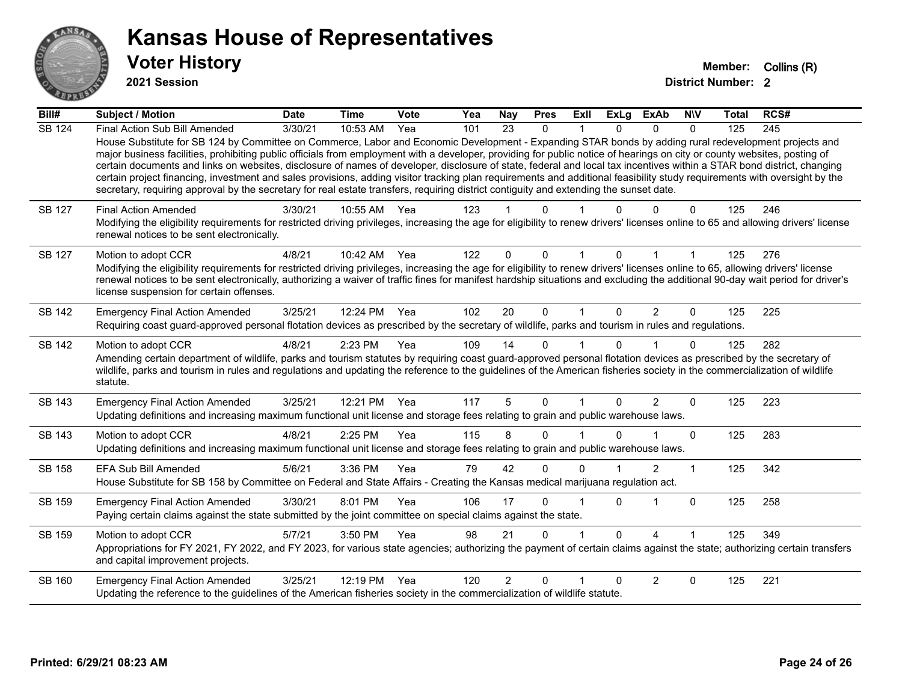

**2021 Session**

| Bill#         | Subject / Motion                                                                                                                                                                                                                                                                                                                                                                                                                                                                                                                                                                                                                                                          | <b>Date</b> | <b>Time</b>  | Vote | Yea | <b>Nay</b>     | <b>Pres</b> | ExII     | <b>ExLg</b> | <b>ExAb</b>    | <b>NIV</b>   | <b>Total</b> | RCS# |
|---------------|---------------------------------------------------------------------------------------------------------------------------------------------------------------------------------------------------------------------------------------------------------------------------------------------------------------------------------------------------------------------------------------------------------------------------------------------------------------------------------------------------------------------------------------------------------------------------------------------------------------------------------------------------------------------------|-------------|--------------|------|-----|----------------|-------------|----------|-------------|----------------|--------------|--------------|------|
| <b>SB 124</b> | Final Action Sub Bill Amended<br>House Substitute for SB 124 by Committee on Commerce, Labor and Economic Development - Expanding STAR bonds by adding rural redevelopment projects and                                                                                                                                                                                                                                                                                                                                                                                                                                                                                   | 3/30/21     | 10:53 AM     | Yea  | 101 | 23             | 0           |          | 0           | $\Omega$       | $\mathbf{0}$ | 125          | 245  |
|               | major business facilities, prohibiting public officials from employment with a developer, providing for public notice of hearings on city or county websites, posting of<br>certain documents and links on websites, disclosure of names of developer, disclosure of state, federal and local tax incentives within a STAR bond district, changing<br>certain project financing, investment and sales provisions, adding visitor tracking plan requirements and additional feasibility study requirements with oversight by the<br>secretary, requiring approval by the secretary for real estate transfers, requiring district contiguity and extending the sunset date. |             |              |      |     |                |             |          |             |                |              |              |      |
| <b>SB 127</b> | <b>Final Action Amended</b>                                                                                                                                                                                                                                                                                                                                                                                                                                                                                                                                                                                                                                               | 3/30/21     | 10:55 AM     | Yea  | 123 |                | U           |          |             |                | O            | 125          | 246  |
|               | Modifying the eligibility requirements for restricted driving privileges, increasing the age for eligibility to renew drivers' licenses online to 65 and allowing drivers' license<br>renewal notices to be sent electronically.                                                                                                                                                                                                                                                                                                                                                                                                                                          |             |              |      |     |                |             |          |             |                |              |              |      |
| <b>SB 127</b> | Motion to adopt CCR                                                                                                                                                                                                                                                                                                                                                                                                                                                                                                                                                                                                                                                       | 4/8/21      | 10:42 AM     | Yea  | 122 | $\Omega$       | $\Omega$    |          | $\Omega$    |                |              | 125          | 276  |
|               | Modifying the eligibility requirements for restricted driving privileges, increasing the age for eligibility to renew drivers' licenses online to 65, allowing drivers' license<br>renewal notices to be sent electronically, authorizing a waiver of traffic fines for manifest hardship situations and excluding the additional 90-day wait period for driver's<br>license suspension for certain offenses.                                                                                                                                                                                                                                                             |             |              |      |     |                |             |          |             |                |              |              |      |
| SB 142        | <b>Emergency Final Action Amended</b>                                                                                                                                                                                                                                                                                                                                                                                                                                                                                                                                                                                                                                     | 3/25/21     | 12:24 PM     | Yea  | 102 | 20             | $\mathbf 0$ | 1        | $\Omega$    | $\overline{2}$ | $\Omega$     | 125          | 225  |
|               | Requiring coast guard-approved personal flotation devices as prescribed by the secretary of wildlife, parks and tourism in rules and regulations.                                                                                                                                                                                                                                                                                                                                                                                                                                                                                                                         |             |              |      |     |                |             |          |             |                |              |              |      |
| <b>SB 142</b> | Motion to adopt CCR                                                                                                                                                                                                                                                                                                                                                                                                                                                                                                                                                                                                                                                       | 4/8/21      | 2:23 PM      | Yea  | 109 | 14             | $\Omega$    |          | 0           |                | $\Omega$     | 125          | 282  |
|               | Amending certain department of wildlife, parks and tourism statutes by requiring coast guard-approved personal flotation devices as prescribed by the secretary of<br>wildlife, parks and tourism in rules and regulations and updating the reference to the guidelines of the American fisheries society in the commercialization of wildlife<br>statute.                                                                                                                                                                                                                                                                                                                |             |              |      |     |                |             |          |             |                |              |              |      |
| SB 143        | <b>Emergency Final Action Amended</b><br>Updating definitions and increasing maximum functional unit license and storage fees relating to grain and public warehouse laws.                                                                                                                                                                                                                                                                                                                                                                                                                                                                                                | 3/25/21     | 12:21 PM     | Yea  | 117 | 5              | $\Omega$    |          | 0           | $\overline{2}$ | 0            | 125          | 223  |
| <b>SB 143</b> | Motion to adopt CCR                                                                                                                                                                                                                                                                                                                                                                                                                                                                                                                                                                                                                                                       | 4/8/21      | $2:25$ PM    | Yea  | 115 | 8              | $\Omega$    |          | 0           |                | $\Omega$     | 125          | 283  |
|               | Updating definitions and increasing maximum functional unit license and storage fees relating to grain and public warehouse laws.                                                                                                                                                                                                                                                                                                                                                                                                                                                                                                                                         |             |              |      |     |                |             |          |             |                |              |              |      |
| <b>SB 158</b> | <b>EFA Sub Bill Amended</b>                                                                                                                                                                                                                                                                                                                                                                                                                                                                                                                                                                                                                                               | 5/6/21      | 3:36 PM      | Yea  | 79  | 42             | $\Omega$    | $\Omega$ |             | 2              | 1            | 125          | 342  |
|               | House Substitute for SB 158 by Committee on Federal and State Affairs - Creating the Kansas medical marijuana regulation act.                                                                                                                                                                                                                                                                                                                                                                                                                                                                                                                                             |             |              |      |     |                |             |          |             |                |              |              |      |
| SB 159        | <b>Emergency Final Action Amended</b>                                                                                                                                                                                                                                                                                                                                                                                                                                                                                                                                                                                                                                     | 3/30/21     | 8:01 PM      | Yea  | 106 | 17             | $\Omega$    |          | 0           | 1              | $\mathbf 0$  | 125          | 258  |
|               | Paying certain claims against the state submitted by the joint committee on special claims against the state.                                                                                                                                                                                                                                                                                                                                                                                                                                                                                                                                                             |             |              |      |     |                |             |          |             |                |              |              |      |
| SB 159        | Motion to adopt CCR                                                                                                                                                                                                                                                                                                                                                                                                                                                                                                                                                                                                                                                       | 5/7/21      | 3:50 PM      | Yea  | 98  | 21             | $\Omega$    |          | $\Omega$    | Δ              |              | 125          | 349  |
|               | Appropriations for FY 2021, FY 2022, and FY 2023, for various state agencies; authorizing the payment of certain claims against the state; authorizing certain transfers<br>and capital improvement projects.                                                                                                                                                                                                                                                                                                                                                                                                                                                             |             |              |      |     |                |             |          |             |                |              |              |      |
| SB 160        | <b>Emergency Final Action Amended</b>                                                                                                                                                                                                                                                                                                                                                                                                                                                                                                                                                                                                                                     | 3/25/21     | 12:19 PM Yea |      | 120 | $\overline{2}$ | $\Omega$    |          | $\Omega$    | $\overline{2}$ | $\Omega$     | 125          | 221  |
|               | Updating the reference to the guidelines of the American fisheries society in the commercialization of wildlife statute.                                                                                                                                                                                                                                                                                                                                                                                                                                                                                                                                                  |             |              |      |     |                |             |          |             |                |              |              |      |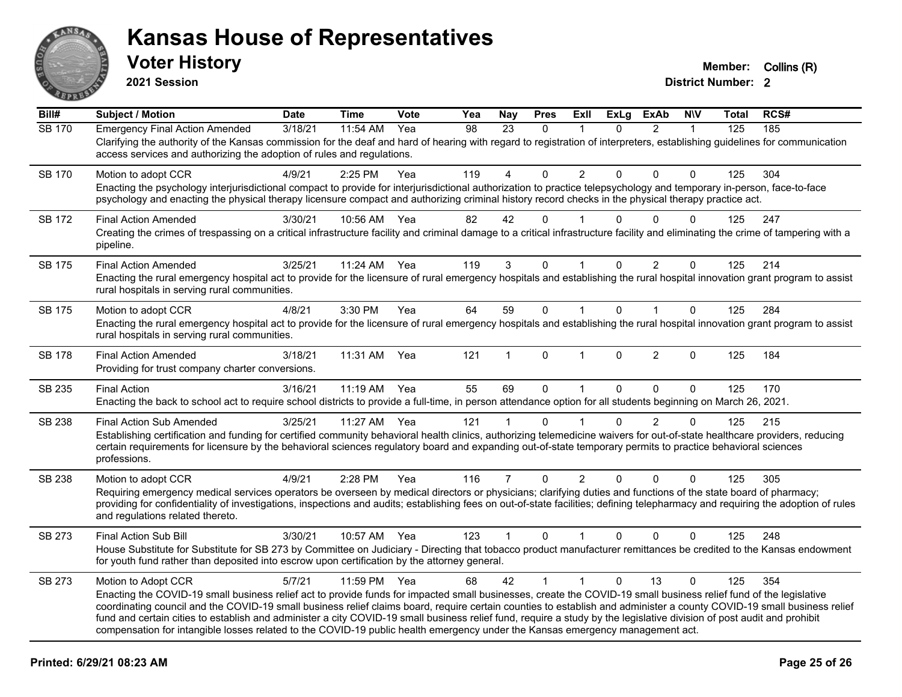

**2021 Session**

| Bill#         | <b>Subject / Motion</b>                                                                                                                                                                                                                                                                                                                                                                                                                                                                                                                                                                                                                                                       | <b>Date</b> | <b>Time</b> | Vote | Yea | <b>Nay</b>     | <b>Pres</b>  | ExII           | <b>ExLg</b> | <b>ExAb</b>    | <b>NIV</b>   | Total | RCS# |
|---------------|-------------------------------------------------------------------------------------------------------------------------------------------------------------------------------------------------------------------------------------------------------------------------------------------------------------------------------------------------------------------------------------------------------------------------------------------------------------------------------------------------------------------------------------------------------------------------------------------------------------------------------------------------------------------------------|-------------|-------------|------|-----|----------------|--------------|----------------|-------------|----------------|--------------|-------|------|
| <b>SB 170</b> | <b>Emergency Final Action Amended</b><br>Clarifying the authority of the Kansas commission for the deaf and hard of hearing with regard to registration of interpreters, establishing guidelines for communication<br>access services and authorizing the adoption of rules and regulations.                                                                                                                                                                                                                                                                                                                                                                                  | 3/18/21     | 11:54 AM    | Yea  | 98  | 23             | $\Omega$     |                | 0           | $\overline{2}$ | $\mathbf{1}$ | 125   | 185  |
| SB 170        | Motion to adopt CCR<br>Enacting the psychology interjurisdictional compact to provide for interjurisdictional authorization to practice telepsychology and temporary in-person, face-to-face<br>psychology and enacting the physical therapy licensure compact and authorizing criminal history record checks in the physical therapy practice act.                                                                                                                                                                                                                                                                                                                           | 4/9/21      | 2:25 PM     | Yea  | 119 | 4              | $\Omega$     | $\overline{2}$ | 0           | $\Omega$       | $\Omega$     | 125   | 304  |
| <b>SB 172</b> | <b>Final Action Amended</b><br>Creating the crimes of trespassing on a critical infrastructure facility and criminal damage to a critical infrastructure facility and eliminating the crime of tampering with a<br>pipeline.                                                                                                                                                                                                                                                                                                                                                                                                                                                  | 3/30/21     | 10:56 AM    | Yea  | 82  | 42             | $\Omega$     |                | U           | $\Omega$       | $\Omega$     | 125   | 247  |
| <b>SB 175</b> | <b>Final Action Amended</b><br>Enacting the rural emergency hospital act to provide for the licensure of rural emergency hospitals and establishing the rural hospital innovation grant program to assist<br>rural hospitals in serving rural communities.                                                                                                                                                                                                                                                                                                                                                                                                                    | 3/25/21     | 11:24 AM    | Yea  | 119 | 3              | 0            |                | 0           | $\overline{2}$ | $\mathbf 0$  | 125   | 214  |
| <b>SB 175</b> | Motion to adopt CCR<br>Enacting the rural emergency hospital act to provide for the licensure of rural emergency hospitals and establishing the rural hospital innovation grant program to assist<br>rural hospitals in serving rural communities.                                                                                                                                                                                                                                                                                                                                                                                                                            | 4/8/21      | 3:30 PM     | Yea  | 64  | 59             | $\mathbf 0$  | $\mathbf{1}$   | $\Omega$    | $\mathbf{1}$   | $\mathbf 0$  | 125   | 284  |
| <b>SB 178</b> | <b>Final Action Amended</b><br>Providing for trust company charter conversions.                                                                                                                                                                                                                                                                                                                                                                                                                                                                                                                                                                                               | 3/18/21     | 11:31 AM    | Yea  | 121 | 1              | $\mathbf{0}$ | $\mathbf{1}$   | 0           | $\overline{2}$ | $\mathbf{0}$ | 125   | 184  |
| SB 235        | <b>Final Action</b><br>Enacting the back to school act to require school districts to provide a full-time, in person attendance option for all students beginning on March 26, 2021.                                                                                                                                                                                                                                                                                                                                                                                                                                                                                          | 3/16/21     | 11:19 AM    | Yea  | 55  | 69             | $\Omega$     | $\mathbf{1}$   | $\Omega$    | $\Omega$       | $\Omega$     | 125   | 170  |
| SB 238        | <b>Final Action Sub Amended</b><br>Establishing certification and funding for certified community behavioral health clinics, authorizing telemedicine waivers for out-of-state healthcare providers, reducing<br>certain requirements for licensure by the behavioral sciences regulatory board and expanding out-of-state temporary permits to practice behavioral sciences<br>professions.                                                                                                                                                                                                                                                                                  | 3/25/21     | 11:27 AM    | Yea  | 121 | $\mathbf 1$    | $\Omega$     |                | 0           | 2              | $\Omega$     | 125   | 215  |
| SB 238        | Motion to adopt CCR<br>Requiring emergency medical services operators be overseen by medical directors or physicians; clarifying duties and functions of the state board of pharmacy;<br>providing for confidentiality of investigations, inspections and audits; establishing fees on out-of-state facilities; defining telepharmacy and requiring the adoption of rules<br>and regulations related thereto.                                                                                                                                                                                                                                                                 | 4/9/21      | 2:28 PM     | Yea  | 116 | $\overline{7}$ | $\mathbf 0$  | $\overline{2}$ | $\Omega$    | $\mathbf{0}$   | $\Omega$     | 125   | 305  |
| SB 273        | Final Action Sub Bill<br>House Substitute for Substitute for SB 273 by Committee on Judiciary - Directing that tobacco product manufacturer remittances be credited to the Kansas endowment<br>for youth fund rather than deposited into escrow upon certification by the attorney general.                                                                                                                                                                                                                                                                                                                                                                                   | 3/30/21     | 10:57 AM    | Yea  | 123 | $\mathbf{1}$   | $\Omega$     | $\mathbf{1}$   | $\Omega$    | $\mathbf 0$    | $\Omega$     | 125   | 248  |
| SB 273        | Motion to Adopt CCR<br>Enacting the COVID-19 small business relief act to provide funds for impacted small businesses, create the COVID-19 small business relief fund of the legislative<br>coordinating council and the COVID-19 small business relief claims board, require certain counties to establish and administer a county COVID-19 small business relief<br>fund and certain cities to establish and administer a city COVID-19 small business relief fund, require a study by the legislative division of post audit and prohibit<br>compensation for intangible losses related to the COVID-19 public health emergency under the Kansas emergency management act. | 5/7/21      | 11:59 PM    | Yea  | 68  | 42             | $\mathbf{1}$ | $\mathbf{1}$   | $\Omega$    | 13             | $\mathbf{0}$ | 125   | 354  |